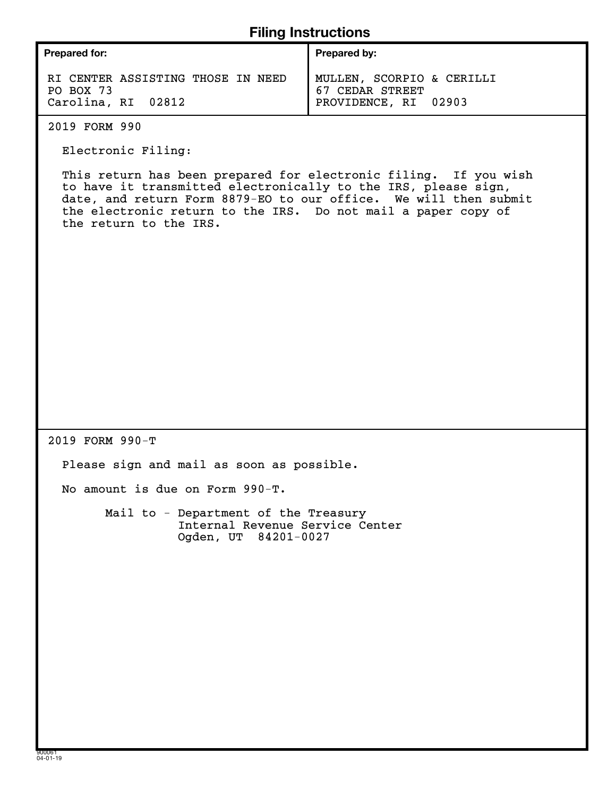### **Filing Instructions**

| <b>Filing Instructions</b>                                                                                                                                                                                                                                                                        |                                                                      |  |  |  |  |
|---------------------------------------------------------------------------------------------------------------------------------------------------------------------------------------------------------------------------------------------------------------------------------------------------|----------------------------------------------------------------------|--|--|--|--|
| <b>Prepared for:</b>                                                                                                                                                                                                                                                                              | Prepared by:                                                         |  |  |  |  |
| RI CENTER ASSISTING THOSE IN NEED<br>PO BOX 73<br>Carolina, RI 02812                                                                                                                                                                                                                              | MULLEN, SCORPIO & CERILLI<br>67 CEDAR STREET<br>PROVIDENCE, RI 02903 |  |  |  |  |
| 2019 FORM 990                                                                                                                                                                                                                                                                                     |                                                                      |  |  |  |  |
| Electronic Filing:                                                                                                                                                                                                                                                                                |                                                                      |  |  |  |  |
| This return has been prepared for electronic filing. If you wish<br>to have it transmitted electronically to the IRS, please sign,<br>date, and return Form 8879-EO to our office. We will then submit<br>the electronic return to the IRS. Do not mail a paper copy of<br>the return to the IRS. |                                                                      |  |  |  |  |
|                                                                                                                                                                                                                                                                                                   |                                                                      |  |  |  |  |
|                                                                                                                                                                                                                                                                                                   |                                                                      |  |  |  |  |
|                                                                                                                                                                                                                                                                                                   |                                                                      |  |  |  |  |
| 2019 FORM 990-T                                                                                                                                                                                                                                                                                   |                                                                      |  |  |  |  |
| Please sign and mail as soon as possible.                                                                                                                                                                                                                                                         |                                                                      |  |  |  |  |
| No amount is due on Form 990-T.                                                                                                                                                                                                                                                                   |                                                                      |  |  |  |  |
| Mail to - Department of the Treasury<br>Internal Revenue Service Center<br>Ogden, UT 84201-0027                                                                                                                                                                                                   |                                                                      |  |  |  |  |
|                                                                                                                                                                                                                                                                                                   |                                                                      |  |  |  |  |
|                                                                                                                                                                                                                                                                                                   |                                                                      |  |  |  |  |
|                                                                                                                                                                                                                                                                                                   |                                                                      |  |  |  |  |
|                                                                                                                                                                                                                                                                                                   |                                                                      |  |  |  |  |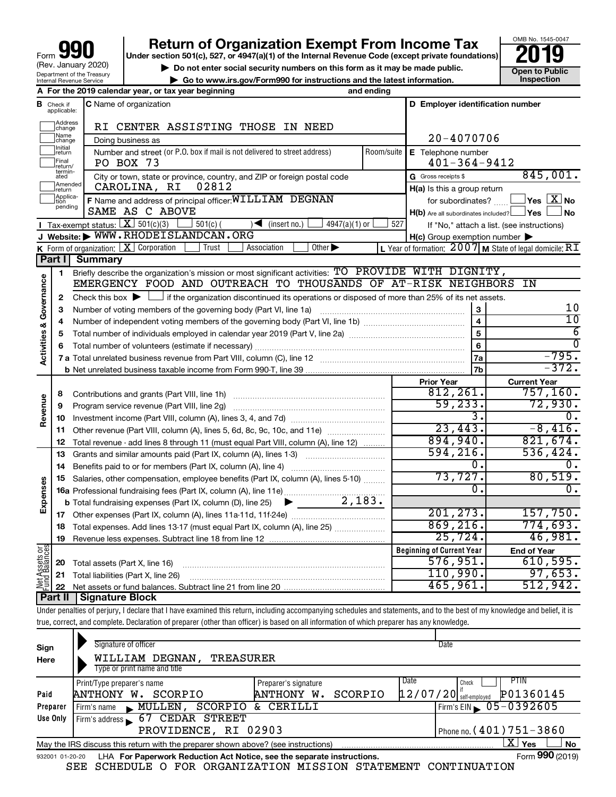| 990<br>Form                                            |
|--------------------------------------------------------|
| (Rev. January 2020)                                    |
| Department of the Treasury<br>Internal Revenue Service |

# **your Beart of Organization Exempt From Income Tax Properties and Solution Solutions Properties and Solutions Properties and Solutions Properties and Solutions Properties and Solutions Properties and Solutions**

OMB No. 1545-0047

|                                                                             | -----          |
|-----------------------------------------------------------------------------|----------------|
| Do not enter social security numbers on this form as it may be made public. | Open to Public |
| ► Go to www.irs.gov/Form990 for instructions and the latest information.    | Inspection     |

|                                |                             | A For the 2019 calendar year, or tax year beginning                                                                                                                   | and ending     |                                                     |                                                           |
|--------------------------------|-----------------------------|-----------------------------------------------------------------------------------------------------------------------------------------------------------------------|----------------|-----------------------------------------------------|-----------------------------------------------------------|
| в                              | Check if<br>applicable:     | <b>C</b> Name of organization                                                                                                                                         |                | D Employer identification number                    |                                                           |
|                                | Address<br> change          | RI CENTER ASSISTING THOSE IN NEED                                                                                                                                     |                |                                                     |                                                           |
|                                | Name<br>change              | Doing business as                                                                                                                                                     | $20 - 4070706$ |                                                     |                                                           |
|                                | Initial<br>]return          | Number and street (or P.O. box if mail is not delivered to street address)                                                                                            | Room/suite     | E Telephone number                                  |                                                           |
|                                | Final<br>return/            | PO BOX 73                                                                                                                                                             |                | $401 - 364 - 9412$                                  |                                                           |
|                                | termin-<br>ated             | City or town, state or province, country, and ZIP or foreign postal code                                                                                              |                | G Gross receipts \$                                 | 845,001.                                                  |
|                                | Amended<br>return           | CAROLINA, RI<br>02812                                                                                                                                                 |                | $H(a)$ is this a group return                       |                                                           |
|                                | Applica-<br>tion<br>pending | F Name and address of principal officer: WILLIAM DEGNAN                                                                                                               |                | for subordinates?                                   | $\exists$ Yes $\boxed{\text{X}}$ No                       |
|                                |                             | SAME AS C ABOVE                                                                                                                                                       |                | $H(b)$ Are all subordinates included? $\Box$ Yes    | No                                                        |
|                                |                             | Tax-exempt status: $X \over 301(c)(3)$<br>$501(c)$ (<br>$\sqrt{\frac{1}{1}}$ (insert no.)<br>$4947(a)(1)$ or                                                          | 527            |                                                     | If "No," attach a list. (see instructions)                |
|                                |                             | J Website: WWW.RHODEISLANDCAN.ORG                                                                                                                                     |                | $H(c)$ Group exemption number $\blacktriangleright$ |                                                           |
|                                |                             | <b>K</b> Form of organization: $\boxed{\mathbf{X}}$ Corporation<br>Other $\blacktriangleright$<br>Trust<br>Association                                                |                |                                                     | L Year of formation: $2007$ M State of legal domicile: RT |
|                                | Part I                      | Summary                                                                                                                                                               |                |                                                     |                                                           |
|                                | 1                           | Briefly describe the organization's mission or most significant activities: TO PROVIDE WITH DIGNITY,<br>EMERGENCY FOOD AND OUTREACH TO THOUSANDS OF AT-RISK NEIGHBORS |                |                                                     | ΙN                                                        |
| Governance                     |                             | Check this box $\blacktriangleright$ $\Box$ if the organization discontinued its operations or disposed of more than 25% of its net assets.                           |                |                                                     |                                                           |
|                                | $\mathbf{2}$<br>3           | Number of voting members of the governing body (Part VI, line 1a)                                                                                                     |                | 3                                                   | 10                                                        |
|                                | 4                           |                                                                                                                                                                       |                | $\overline{\mathbf{4}}$                             | $\overline{10}$                                           |
|                                | 5                           |                                                                                                                                                                       | 5              | 6                                                   |                                                           |
|                                |                             |                                                                                                                                                                       | $\overline{6}$ | $\overline{0}$                                      |                                                           |
| Activities &                   |                             |                                                                                                                                                                       | 7a             | $-795.$                                             |                                                           |
|                                |                             |                                                                                                                                                                       |                | 7 <sub>b</sub>                                      | $-372.$                                                   |
|                                |                             |                                                                                                                                                                       |                | <b>Prior Year</b>                                   | <b>Current Year</b>                                       |
|                                | 8                           | Contributions and grants (Part VIII, line 1h)                                                                                                                         |                | 812, 261.                                           | 757, 160.                                                 |
| Revenue                        | 9                           | Program service revenue (Part VIII, line 2g)                                                                                                                          |                | 59, 233.                                            | 72,930.                                                   |
|                                | 10                          |                                                                                                                                                                       |                | 3.                                                  | Ο.                                                        |
|                                | 11                          | Other revenue (Part VIII, column (A), lines 5, 6d, 8c, 9c, 10c, and 11e)                                                                                              |                | 23,443.                                             | $-8,416.$                                                 |
|                                | 12                          | Total revenue - add lines 8 through 11 (must equal Part VIII, column (A), line 12)                                                                                    |                | 894,940.                                            | 821,674.                                                  |
|                                | 13                          | Grants and similar amounts paid (Part IX, column (A), lines 1-3)                                                                                                      |                | 594, 216.                                           | 536, 424.                                                 |
|                                | 14                          |                                                                                                                                                                       |                | 0.                                                  | Ο.                                                        |
|                                | 15                          | Salaries, other compensation, employee benefits (Part IX, column (A), lines 5-10)                                                                                     |                | 73,727.                                             | 80,519.                                                   |
| Expenses                       |                             |                                                                                                                                                                       |                | О.                                                  | 0.                                                        |
|                                |                             |                                                                                                                                                                       |                |                                                     |                                                           |
|                                |                             |                                                                                                                                                                       |                | 201, 273.                                           | 157,750.                                                  |
|                                | 18                          | Total expenses. Add lines 13-17 (must equal Part IX, column (A), line 25)                                                                                             |                | 869,216.                                            | 774,693.                                                  |
|                                | 19                          |                                                                                                                                                                       |                | 25,724.                                             | 46,981.                                                   |
| Net Assets or<br>Fund Balances |                             |                                                                                                                                                                       |                | <b>Beginning of Current Year</b><br>576,951.        | <b>End of Year</b>                                        |
|                                | 20                          | Total assets (Part X, line 16)                                                                                                                                        | 110,990.       | 610,595.<br>97,653.                                 |                                                           |
|                                | 21                          | Total liabilities (Part X, line 26)                                                                                                                                   |                | 465,961.                                            | 512,942.                                                  |
|                                | 22<br>Part II               | <b>Signature Block</b>                                                                                                                                                |                |                                                     |                                                           |
|                                |                             |                                                                                                                                                                       |                |                                                     |                                                           |

Under penalties of perjury, I declare that I have examined this return, including accompanying schedules and statements, and to the best of my knowledge and belief, it is true, correct, and complete. Declaration of preparer (other than officer) is based on all information of which preparer has any knowledge.

| Sign<br>Here | Signature of officer<br><b>TREASURER</b><br>WILLIAM DEGNAN,<br>Type or print name and title                  |                                                         | Date                                                                                              |  |  |  |  |
|--------------|--------------------------------------------------------------------------------------------------------------|---------------------------------------------------------|---------------------------------------------------------------------------------------------------|--|--|--|--|
| Paid         | Print/Type preparer's name<br>SCORPIO<br>ANTHONY W.                                                          | Preparer's signature<br>SCORPIO<br><b>ANTHONY</b><br>w. | Date<br>PTIN<br>Check<br>P01360145<br>$\left[1\,2\,$ /07/20 $\right]$ <sup>17</sup> self-employed |  |  |  |  |
| Preparer     | SCORPIO<br><b>MULLEN</b><br>Firm's name $\blacksquare$                                                       | CERILLI<br>&.                                           | Firm's EIN $\sqrt{05-0392605}$                                                                    |  |  |  |  |
| Use Only     | <b>CEDAR STREET</b><br>67<br>Firm's address<br>PROVIDENCE, RI 02903                                          |                                                         | Phone no. (401) 751-3860                                                                          |  |  |  |  |
|              |                                                                                                              |                                                         |                                                                                                   |  |  |  |  |
|              | May the IRS discuss this return with the preparer shown above? (see instructions)                            |                                                         | x.<br>Yes<br>No                                                                                   |  |  |  |  |
|              | Form 990 (2019)<br>LHA For Paperwork Reduction Act Notice, see the separate instructions.<br>932001 01-20-20 |                                                         |                                                                                                   |  |  |  |  |

SEE SCHEDULE O FOR ORGANIZATION MISSION STATEMENT CONTINUATION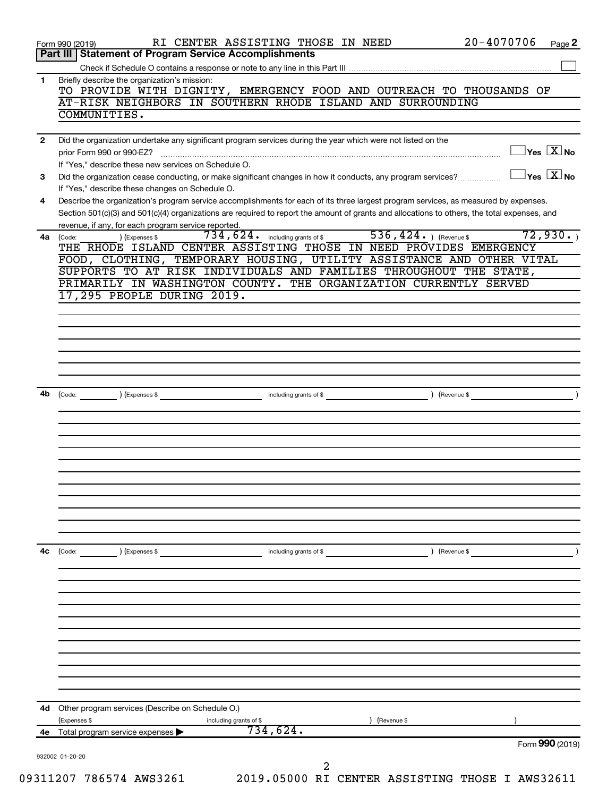|              | $20 - 4070706$<br>RI CENTER ASSISTING THOSE IN NEED<br>Form 990 (2019)<br>Page 2                                                                                                        |
|--------------|-----------------------------------------------------------------------------------------------------------------------------------------------------------------------------------------|
|              | <b>Part III   Statement of Program Service Accomplishments</b>                                                                                                                          |
| 1            | Briefly describe the organization's mission:                                                                                                                                            |
|              | TO PROVIDE WITH DIGNITY, EMERGENCY FOOD AND OUTREACH TO THOUSANDS OF                                                                                                                    |
|              | AT-RISK NEIGHBORS IN SOUTHERN RHODE ISLAND AND SURROUNDING                                                                                                                              |
|              | COMMUNITIES.                                                                                                                                                                            |
| $\mathbf{2}$ | Did the organization undertake any significant program services during the year which were not listed on the                                                                            |
|              | $\sqrt{}$ Yes $\sqrt{X}$ No<br>prior Form 990 or 990-EZ?                                                                                                                                |
|              | If "Yes," describe these new services on Schedule O.                                                                                                                                    |
| 3            | $\exists$ Yes $\boxed{\text{X}}$ No<br>Did the organization cease conducting, or make significant changes in how it conducts, any program services?                                     |
| 4            | If "Yes," describe these changes on Schedule O.<br>Describe the organization's program service accomplishments for each of its three largest program services, as measured by expenses. |
|              | Section 501(c)(3) and 501(c)(4) organizations are required to report the amount of grants and allocations to others, the total expenses, and                                            |
|              | revenue, if any, for each program service reported.                                                                                                                                     |
| 4a           | $\overline{536,424.}$ (Revenue \$<br>72,930.<br>$734$ , $624$ $\cdot$ including grants of \$<br>) (Expenses \$<br>(Code:                                                                |
|              | THE RHODE ISLAND CENTER ASSISTING THOSE IN NEED PROVIDES EMERGENCY<br>FOOD, CLOTHING, TEMPORARY HOUSING, UTILITY ASSISTANCE AND OTHER VITAL                                             |
|              | SUPPORTS TO AT RISK INDIVIDUALS AND FAMILIES THROUGHOUT THE STATE,                                                                                                                      |
|              | PRIMARILY IN WASHINGTON COUNTY. THE ORGANIZATION CURRENTLY SERVED                                                                                                                       |
|              | 17,295 PEOPLE DURING 2019.                                                                                                                                                              |
|              |                                                                                                                                                                                         |
|              |                                                                                                                                                                                         |
|              |                                                                                                                                                                                         |
|              |                                                                                                                                                                                         |
|              |                                                                                                                                                                                         |
|              |                                                                                                                                                                                         |
| 4b           | $\overbrace{\text{Code:}}$ (Expenses \$                                                                                                                                                 |
|              |                                                                                                                                                                                         |
|              |                                                                                                                                                                                         |
|              |                                                                                                                                                                                         |
|              |                                                                                                                                                                                         |
|              |                                                                                                                                                                                         |
|              |                                                                                                                                                                                         |
|              |                                                                                                                                                                                         |
|              |                                                                                                                                                                                         |
|              |                                                                                                                                                                                         |
| 4с           | $\left(\text{Code:}\right)$ $\left(\text{Expenses $}\right)$<br>including grants of \$<br>) (Revenue \$                                                                                 |
|              |                                                                                                                                                                                         |
|              |                                                                                                                                                                                         |
|              |                                                                                                                                                                                         |
|              |                                                                                                                                                                                         |
|              |                                                                                                                                                                                         |
|              |                                                                                                                                                                                         |
|              |                                                                                                                                                                                         |
|              |                                                                                                                                                                                         |
|              |                                                                                                                                                                                         |
|              |                                                                                                                                                                                         |
|              |                                                                                                                                                                                         |
|              | Other program services (Describe on Schedule O.)                                                                                                                                        |
| 4d           | (Expenses \$<br>Revenue \$<br>including grants of \$                                                                                                                                    |
| 4e           | 734,624.<br>Total program service expenses                                                                                                                                              |
|              | Form 990 (2019)<br>932002 01-20-20                                                                                                                                                      |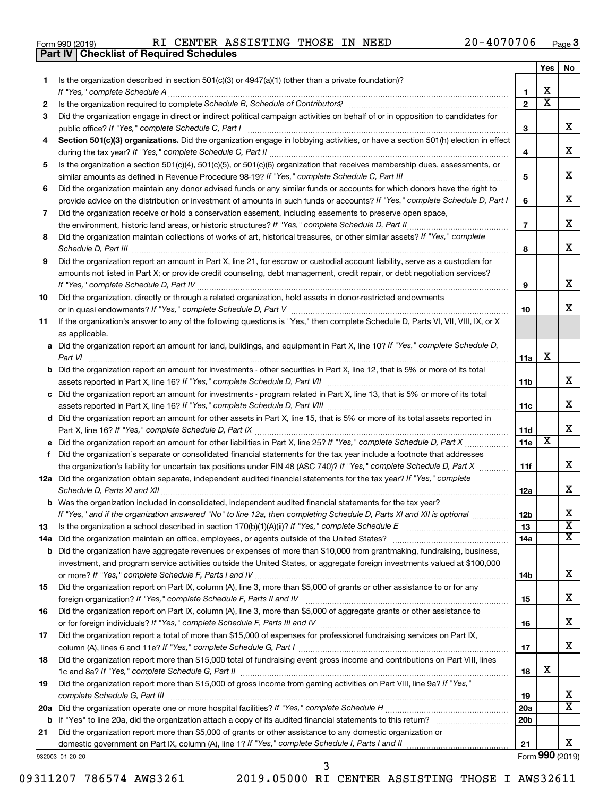|  | Form 990 (2019) |  |
|--|-----------------|--|
|  |                 |  |

**Part IV Checklist of Required Schedules**

|     |                                                                                                                                                                                                                                                                |                 | Yes                     | No                         |
|-----|----------------------------------------------------------------------------------------------------------------------------------------------------------------------------------------------------------------------------------------------------------------|-----------------|-------------------------|----------------------------|
| 1   | Is the organization described in section $501(c)(3)$ or $4947(a)(1)$ (other than a private foundation)?                                                                                                                                                        |                 |                         |                            |
|     | If "Yes," complete Schedule A                                                                                                                                                                                                                                  | 1               | х                       |                            |
| 2   |                                                                                                                                                                                                                                                                | $\overline{2}$  | $\overline{\textbf{X}}$ |                            |
| З   | Did the organization engage in direct or indirect political campaign activities on behalf of or in opposition to candidates for                                                                                                                                |                 |                         |                            |
|     | public office? If "Yes," complete Schedule C, Part I                                                                                                                                                                                                           | 3               |                         | x                          |
| 4   | Section 501(c)(3) organizations. Did the organization engage in lobbying activities, or have a section 501(h) election in effect                                                                                                                               |                 |                         |                            |
|     |                                                                                                                                                                                                                                                                | 4               |                         | х                          |
| 5   | Is the organization a section 501(c)(4), 501(c)(5), or 501(c)(6) organization that receives membership dues, assessments, or                                                                                                                                   |                 |                         |                            |
|     |                                                                                                                                                                                                                                                                | 5               |                         | x                          |
| 6   | Did the organization maintain any donor advised funds or any similar funds or accounts for which donors have the right to                                                                                                                                      |                 |                         |                            |
|     | provide advice on the distribution or investment of amounts in such funds or accounts? If "Yes," complete Schedule D, Part I                                                                                                                                   | 6               |                         | x                          |
| 7   | Did the organization receive or hold a conservation easement, including easements to preserve open space,                                                                                                                                                      |                 |                         |                            |
|     | the environment, historic land areas, or historic structures? If "Yes," complete Schedule D, Part II                                                                                                                                                           | $\overline{7}$  |                         | x                          |
| 8   | Did the organization maintain collections of works of art, historical treasures, or other similar assets? If "Yes," complete                                                                                                                                   |                 |                         |                            |
|     | Schedule D, Part III <b>www.community.community.community.community.community.community.com</b>                                                                                                                                                                | 8               |                         | x                          |
| 9   | Did the organization report an amount in Part X, line 21, for escrow or custodial account liability, serve as a custodian for                                                                                                                                  |                 |                         |                            |
|     | amounts not listed in Part X; or provide credit counseling, debt management, credit repair, or debt negotiation services?                                                                                                                                      |                 |                         |                            |
|     |                                                                                                                                                                                                                                                                | 9               |                         | х                          |
| 10  | Did the organization, directly or through a related organization, hold assets in donor-restricted endowments                                                                                                                                                   |                 |                         |                            |
|     |                                                                                                                                                                                                                                                                | 10              |                         | x.                         |
| 11  | If the organization's answer to any of the following questions is "Yes," then complete Schedule D, Parts VI, VII, VIII, IX, or X                                                                                                                               |                 |                         |                            |
|     | as applicable.                                                                                                                                                                                                                                                 |                 |                         |                            |
|     | a Did the organization report an amount for land, buildings, and equipment in Part X, line 10? If "Yes," complete Schedule D,                                                                                                                                  |                 |                         |                            |
|     |                                                                                                                                                                                                                                                                | 11a             | х                       |                            |
|     | <b>b</b> Did the organization report an amount for investments - other securities in Part X, line 12, that is 5% or more of its total                                                                                                                          |                 |                         |                            |
|     |                                                                                                                                                                                                                                                                | 11b             |                         | x                          |
|     | c Did the organization report an amount for investments - program related in Part X, line 13, that is 5% or more of its total                                                                                                                                  |                 |                         |                            |
|     |                                                                                                                                                                                                                                                                | 11c             |                         | x                          |
|     | d Did the organization report an amount for other assets in Part X, line 15, that is 5% or more of its total assets reported in                                                                                                                                |                 |                         |                            |
|     |                                                                                                                                                                                                                                                                | 11d             |                         | x                          |
|     |                                                                                                                                                                                                                                                                | 11e             | X                       |                            |
| f   | Did the organization's separate or consolidated financial statements for the tax year include a footnote that addresses                                                                                                                                        |                 |                         |                            |
|     | the organization's liability for uncertain tax positions under FIN 48 (ASC 740)? If "Yes," complete Schedule D, Part X                                                                                                                                         | 11f             |                         | x                          |
|     | 12a Did the organization obtain separate, independent audited financial statements for the tax year? If "Yes," complete                                                                                                                                        |                 |                         |                            |
|     | Schedule D, Parts XI and XII                                                                                                                                                                                                                                   | 12a             |                         | x                          |
|     | <b>b</b> Was the organization included in consolidated, independent audited financial statements for the tax year?                                                                                                                                             |                 |                         |                            |
|     | If "Yes," and if the organization answered "No" to line 12a, then completing Schedule D, Parts XI and XII is optional                                                                                                                                          | 12 <sub>b</sub> |                         | х                          |
|     |                                                                                                                                                                                                                                                                | 13              |                         | $\overline{\text{x}}$      |
| 13  |                                                                                                                                                                                                                                                                |                 |                         | x                          |
| 14a |                                                                                                                                                                                                                                                                | 14a             |                         |                            |
|     | <b>b</b> Did the organization have aggregate revenues or expenses of more than \$10,000 from grantmaking, fundraising, business,<br>investment, and program service activities outside the United States, or aggregate foreign investments valued at \$100,000 |                 |                         |                            |
|     |                                                                                                                                                                                                                                                                |                 |                         | x                          |
|     | Did the organization report on Part IX, column (A), line 3, more than \$5,000 of grants or other assistance to or for any                                                                                                                                      | 14b             |                         |                            |
| 15  |                                                                                                                                                                                                                                                                |                 |                         | x                          |
|     |                                                                                                                                                                                                                                                                | 15              |                         |                            |
| 16  | Did the organization report on Part IX, column (A), line 3, more than \$5,000 of aggregate grants or other assistance to                                                                                                                                       |                 |                         | x                          |
|     |                                                                                                                                                                                                                                                                | 16              |                         |                            |
| 17  | Did the organization report a total of more than \$15,000 of expenses for professional fundraising services on Part IX,                                                                                                                                        |                 |                         | x                          |
|     |                                                                                                                                                                                                                                                                | 17              |                         |                            |
| 18  | Did the organization report more than \$15,000 total of fundraising event gross income and contributions on Part VIII, lines                                                                                                                                   |                 | x                       |                            |
|     |                                                                                                                                                                                                                                                                | 18              |                         |                            |
| 19  | Did the organization report more than \$15,000 of gross income from gaming activities on Part VIII, line 9a? If "Yes,"                                                                                                                                         |                 |                         |                            |
|     |                                                                                                                                                                                                                                                                | 19              |                         | x<br>$\overline{\text{X}}$ |
|     |                                                                                                                                                                                                                                                                | <b>20a</b>      |                         |                            |
|     |                                                                                                                                                                                                                                                                | 20 <sub>b</sub> |                         |                            |
| 21  | Did the organization report more than \$5,000 of grants or other assistance to any domestic organization or                                                                                                                                                    |                 |                         |                            |
|     | domestic government on Part IX, column (A), line 1? If "Yes," complete Schedule I, Parts I and II                                                                                                                                                              | 21              |                         | x                          |
|     | 932003 01-20-20                                                                                                                                                                                                                                                |                 |                         | Form 990 (2019)            |

09311207 786574 AWS3261 2019.05000 RI CENTER ASSISTING THOSE I AWS32611

3

Form (2019) **990**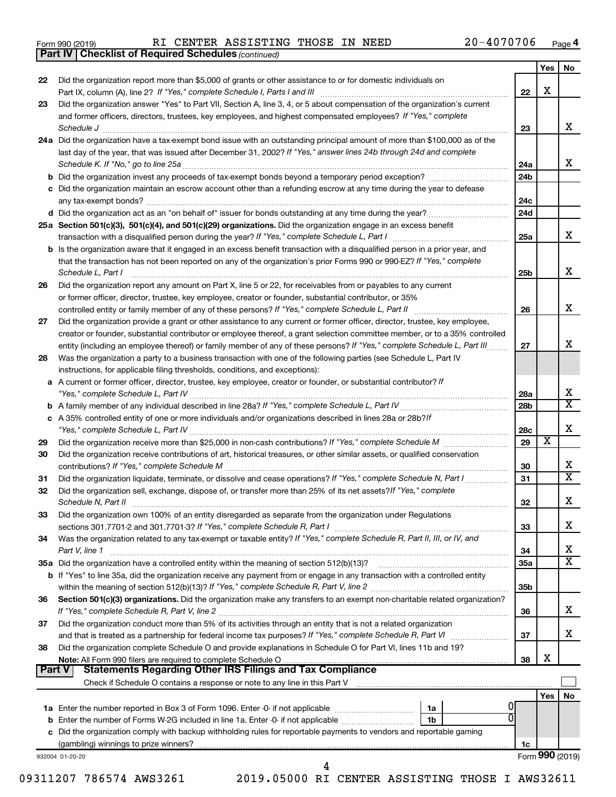|  | Form 990 (2019) |
|--|-----------------|
|  |                 |

*(continued)* **Part IV Checklist of Required Schedules**

|        |                                                                                                                                                                                 |                 | Yes | No                           |
|--------|---------------------------------------------------------------------------------------------------------------------------------------------------------------------------------|-----------------|-----|------------------------------|
| 22     | Did the organization report more than \$5,000 of grants or other assistance to or for domestic individuals on                                                                   | 22              | х   |                              |
| 23     | Did the organization answer "Yes" to Part VII, Section A, line 3, 4, or 5 about compensation of the organization's current                                                      |                 |     |                              |
|        | and former officers, directors, trustees, key employees, and highest compensated employees? If "Yes," complete                                                                  |                 |     |                              |
|        | Schedule J <b>Execute Schedule J Execute Schedule J Execute Schedule J Execute Schedule J</b>                                                                                   | 23              |     | X.                           |
|        | 24a Did the organization have a tax-exempt bond issue with an outstanding principal amount of more than \$100,000 as of the                                                     |                 |     |                              |
|        | last day of the year, that was issued after December 31, 2002? If "Yes," answer lines 24b through 24d and complete                                                              |                 |     |                              |
|        |                                                                                                                                                                                 | 24a             |     | x.                           |
|        |                                                                                                                                                                                 | 24 <sub>b</sub> |     |                              |
|        | c Did the organization maintain an escrow account other than a refunding escrow at any time during the year to defease                                                          |                 |     |                              |
|        |                                                                                                                                                                                 | 24c             |     |                              |
|        |                                                                                                                                                                                 | 24d             |     |                              |
|        | 25a Section 501(c)(3), 501(c)(4), and 501(c)(29) organizations. Did the organization engage in an excess benefit                                                                |                 |     |                              |
|        |                                                                                                                                                                                 | 25a             |     | X.                           |
|        | b Is the organization aware that it engaged in an excess benefit transaction with a disqualified person in a prior year, and                                                    |                 |     |                              |
|        | that the transaction has not been reported on any of the organization's prior Forms 990 or 990-EZ? If "Yes," complete                                                           |                 |     |                              |
|        | Schedule L, Part I                                                                                                                                                              | 25b             |     | x                            |
| 26     | Did the organization report any amount on Part X, line 5 or 22, for receivables from or payables to any current                                                                 |                 |     |                              |
|        | or former officer, director, trustee, key employee, creator or founder, substantial contributor, or 35%                                                                         |                 |     |                              |
|        | controlled entity or family member of any of these persons? If "Yes," complete Schedule L, Part II                                                                              | 26              |     | x.                           |
| 27     | Did the organization provide a grant or other assistance to any current or former officer, director, trustee, key employee,                                                     |                 |     |                              |
|        | creator or founder, substantial contributor or employee thereof, a grant selection committee member, or to a 35% controlled                                                     |                 |     |                              |
|        | entity (including an employee thereof) or family member of any of these persons? If "Yes," complete Schedule L, Part III                                                        | 27              |     | x                            |
| 28     | Was the organization a party to a business transaction with one of the following parties (see Schedule L, Part IV                                                               |                 |     |                              |
|        | instructions, for applicable filing thresholds, conditions, and exceptions):                                                                                                    |                 |     |                              |
| a      | A current or former officer, director, trustee, key employee, creator or founder, or substantial contributor? If                                                                |                 |     |                              |
|        |                                                                                                                                                                                 | 28a             |     | х                            |
|        |                                                                                                                                                                                 | 28 <sub>b</sub> |     | $\overline{\mathtt{x}}$      |
|        | c A 35% controlled entity of one or more individuals and/or organizations described in lines 28a or 28b?If                                                                      |                 |     |                              |
|        |                                                                                                                                                                                 | 28c             |     | x                            |
| 29     |                                                                                                                                                                                 | 29              | X   |                              |
| 30     | Did the organization receive contributions of art, historical treasures, or other similar assets, or qualified conservation                                                     |                 |     |                              |
|        | contributions? If "Yes," complete Schedule M                                                                                                                                    | 30              |     | x                            |
| 31     | Did the organization liquidate, terminate, or dissolve and cease operations? If "Yes," complete Schedule N, Part I                                                              | 31              |     | $\overline{\text{x}}$        |
| 32     | Did the organization sell, exchange, dispose of, or transfer more than 25% of its net assets? If "Yes," complete                                                                |                 |     |                              |
|        | Schedule N, Part II                                                                                                                                                             | 32              |     | x                            |
| 33     | Did the organization own 100% of an entity disregarded as separate from the organization under Regulations                                                                      |                 |     |                              |
|        |                                                                                                                                                                                 | 33              |     | х                            |
| 34     | Was the organization related to any tax-exempt or taxable entity? If "Yes," complete Schedule R, Part II, III, or IV, and                                                       |                 |     |                              |
|        | Part V, line 1                                                                                                                                                                  | 34              |     | х<br>$\overline{\texttt{x}}$ |
|        | 35a Did the organization have a controlled entity within the meaning of section 512(b)(13)?                                                                                     | 35a             |     |                              |
|        | <b>b</b> If "Yes" to line 35a, did the organization receive any payment from or engage in any transaction with a controlled entity                                              |                 |     |                              |
|        |                                                                                                                                                                                 | 35b             |     |                              |
| 36     | Section 501(c)(3) organizations. Did the organization make any transfers to an exempt non-charitable related organization?                                                      |                 |     | х                            |
|        |                                                                                                                                                                                 | 36              |     |                              |
| 37     | Did the organization conduct more than 5% of its activities through an entity that is not a related organization                                                                |                 |     | X.                           |
|        |                                                                                                                                                                                 | 37              |     |                              |
| 38     | Did the organization complete Schedule O and provide explanations in Schedule O for Part VI, lines 11b and 19?<br>Note: All Form 990 filers are required to complete Schedule O | 38              | х   |                              |
| Part V | <b>Statements Regarding Other IRS Filings and Tax Compliance</b>                                                                                                                |                 |     |                              |
|        |                                                                                                                                                                                 |                 |     |                              |
|        |                                                                                                                                                                                 |                 | Yes | No                           |
|        | 1a                                                                                                                                                                              |                 |     |                              |
|        | b Enter the number of Forms W-2G included in line 1a. Enter -0- if not applicable<br>1b                                                                                         |                 |     |                              |
|        | c Did the organization comply with backup withholding rules for reportable payments to vendors and reportable gaming                                                            |                 |     |                              |
|        |                                                                                                                                                                                 | 1c              |     |                              |
|        | 932004 01-20-20                                                                                                                                                                 |                 |     | Form 990 (2019)              |
|        | 4                                                                                                                                                                               |                 |     |                              |

09311207 786574 AWS3261 2019.05000 RI CENTER ASSISTING THOSE I AWS32611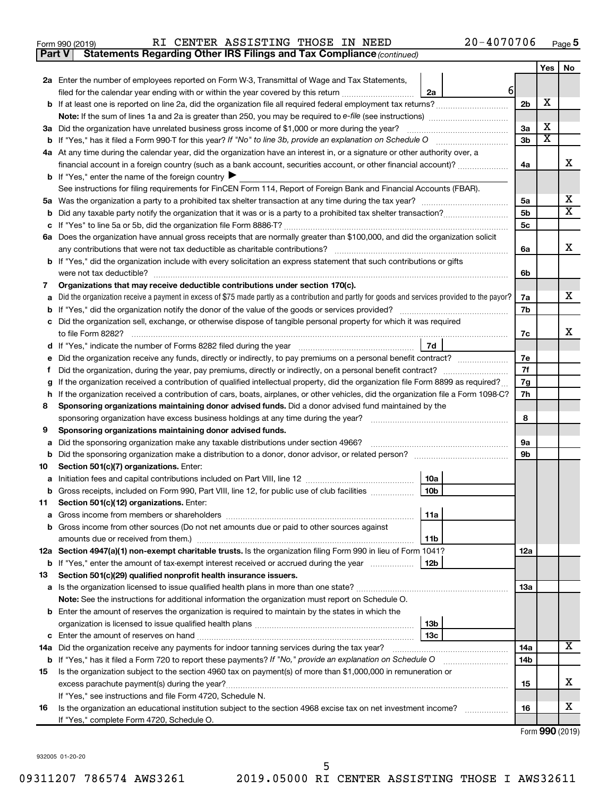|  | Form 990 (2019) |
|--|-----------------|
|  |                 |

| Form 990 (2019) |  |  | RI CENTER ASSISTING THOSE IN NEED |  |  |  | $20 - 4070706$ | Page |  |
|-----------------|--|--|-----------------------------------|--|--|--|----------------|------|--|
|-----------------|--|--|-----------------------------------|--|--|--|----------------|------|--|

**Part V** Statements Regarding Other IRS Filings and Tax Compliance (continued)

|    |                                                                                                                                                 |                | Yes                     | No                      |
|----|-------------------------------------------------------------------------------------------------------------------------------------------------|----------------|-------------------------|-------------------------|
|    | 2a Enter the number of employees reported on Form W-3, Transmittal of Wage and Tax Statements,                                                  |                |                         |                         |
|    | $6 \overline{6}$<br>filed for the calendar year ending with or within the year covered by this return<br>2a                                     |                |                         |                         |
|    | b If at least one is reported on line 2a, did the organization file all required federal employment tax returns?                                | 2 <sub>b</sub> | X                       |                         |
|    |                                                                                                                                                 |                |                         |                         |
|    | 3a Did the organization have unrelated business gross income of \$1,000 or more during the year?                                                | 3a             | х                       |                         |
|    |                                                                                                                                                 | 3b             | $\overline{\textbf{x}}$ |                         |
|    | 4a At any time during the calendar year, did the organization have an interest in, or a signature or other authority over, a                    |                |                         |                         |
|    | financial account in a foreign country (such as a bank account, securities account, or other financial account)?                                | 4a             |                         | х                       |
|    | <b>b</b> If "Yes," enter the name of the foreign country $\blacktriangleright$                                                                  |                |                         |                         |
|    | See instructions for filing requirements for FinCEN Form 114, Report of Foreign Bank and Financial Accounts (FBAR).                             |                |                         |                         |
|    |                                                                                                                                                 | 5a             |                         | x                       |
| b  |                                                                                                                                                 | 5b             |                         | $\overline{\mathbf{X}}$ |
| с  |                                                                                                                                                 | 5 <sub>c</sub> |                         |                         |
|    | 6a Does the organization have annual gross receipts that are normally greater than \$100,000, and did the organization solicit                  |                |                         |                         |
|    |                                                                                                                                                 | 6a             |                         | x                       |
|    | <b>b</b> If "Yes," did the organization include with every solicitation an express statement that such contributions or gifts                   |                |                         |                         |
|    | were not tax deductible?                                                                                                                        | 6b             |                         |                         |
| 7  | Organizations that may receive deductible contributions under section 170(c).                                                                   |                |                         |                         |
| a  | Did the organization receive a payment in excess of \$75 made partly as a contribution and partly for goods and services provided to the payor? | 7a             |                         | х                       |
| b  |                                                                                                                                                 | 7b             |                         |                         |
| с  | Did the organization sell, exchange, or otherwise dispose of tangible personal property for which it was required                               |                |                         |                         |
|    |                                                                                                                                                 | 7c             |                         | x                       |
|    | 7d                                                                                                                                              |                |                         |                         |
| е  | Did the organization receive any funds, directly or indirectly, to pay premiums on a personal benefit contract?                                 | 7e             |                         |                         |
| f  |                                                                                                                                                 | 7f             |                         |                         |
|    | If the organization received a contribution of qualified intellectual property, did the organization file Form 8899 as required?                | 7g             |                         |                         |
| h  | If the organization received a contribution of cars, boats, airplanes, or other vehicles, did the organization file a Form 1098-C?              | 7h             |                         |                         |
| 8  | Sponsoring organizations maintaining donor advised funds. Did a donor advised fund maintained by the                                            |                |                         |                         |
|    |                                                                                                                                                 | 8              |                         |                         |
| 9  | Sponsoring organizations maintaining donor advised funds.                                                                                       |                |                         |                         |
| а  | Did the sponsoring organization make any taxable distributions under section 4966?                                                              | 9а             |                         |                         |
|    |                                                                                                                                                 | 9b             |                         |                         |
| 10 | Section 501(c)(7) organizations. Enter:                                                                                                         |                |                         |                         |
| а  | 10a<br>10 <sub>b</sub>                                                                                                                          |                |                         |                         |
|    | b Gross receipts, included on Form 990, Part VIII, line 12, for public use of club facilities                                                   |                |                         |                         |
| 11 | Section 501(c)(12) organizations. Enter:<br>11a                                                                                                 |                |                         |                         |
|    |                                                                                                                                                 |                |                         |                         |
|    | b Gross income from other sources (Do not net amounts due or paid to other sources against                                                      |                |                         |                         |
|    | 11b<br>12a Section 4947(a)(1) non-exempt charitable trusts. Is the organization filing Form 990 in lieu of Form 1041?                           | 12a            |                         |                         |
|    | b If "Yes," enter the amount of tax-exempt interest received or accrued during the year<br>12b                                                  |                |                         |                         |
| 13 | Section 501(c)(29) qualified nonprofit health insurance issuers.                                                                                |                |                         |                         |
|    | a Is the organization licensed to issue qualified health plans in more than one state?                                                          | 13a            |                         |                         |
|    | Note: See the instructions for additional information the organization must report on Schedule O.                                               |                |                         |                         |
|    | <b>b</b> Enter the amount of reserves the organization is required to maintain by the states in which the                                       |                |                         |                         |
|    | 13b                                                                                                                                             |                |                         |                         |
|    | 13 <sub>c</sub><br><b>c</b> Enter the amount of reserves on hand                                                                                |                |                         |                         |
|    | 14a Did the organization receive any payments for indoor tanning services during the tax year?                                                  | 14a            |                         | x                       |
|    | <b>b</b> If "Yes," has it filed a Form 720 to report these payments? If "No," provide an explanation on Schedule O                              | 14b            |                         |                         |
| 15 | Is the organization subject to the section 4960 tax on payment(s) of more than \$1,000,000 in remuneration or                                   |                |                         |                         |
|    | excess parachute payment(s) during the year?                                                                                                    | 15             |                         | х                       |
|    | If "Yes," see instructions and file Form 4720, Schedule N.                                                                                      |                |                         |                         |
| 16 | Is the organization an educational institution subject to the section 4968 excise tax on net investment income?                                 | 16             |                         | x                       |
|    | If "Yes," complete Form 4720, Schedule O.                                                                                                       |                |                         |                         |
|    |                                                                                                                                                 |                |                         |                         |

Form (2019) **990**

932005 01-20-20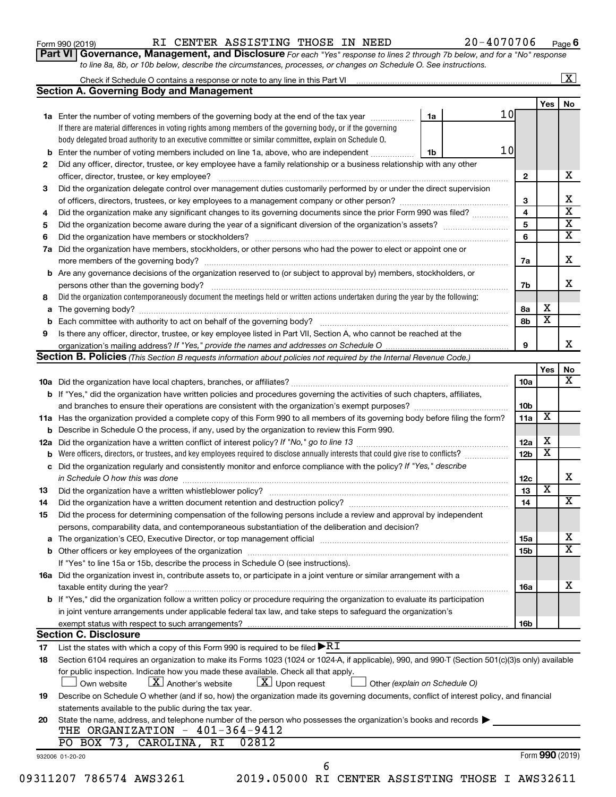| Form 990 (2019) |  |
|-----------------|--|
|-----------------|--|

**Part VI** Governance, Management, and Disclosure For each "Yes" response to lines 2 through 7b below, and for a "No" response *to line 8a, 8b, or 10b below, describe the circumstances, processes, or changes on Schedule O. See instructions.*

|    |                                                                                                                                                  |                               |    |                 |                         | $\overline{\mathbf{x}}$ |
|----|--------------------------------------------------------------------------------------------------------------------------------------------------|-------------------------------|----|-----------------|-------------------------|-------------------------|
|    | <b>Section A. Governing Body and Management</b>                                                                                                  |                               |    |                 |                         |                         |
|    |                                                                                                                                                  |                               |    |                 | Yes                     | No                      |
|    | 1a Enter the number of voting members of the governing body at the end of the tax year                                                           | 1a                            | 10 |                 |                         |                         |
|    | If there are material differences in voting rights among members of the governing body, or if the governing                                      |                               |    |                 |                         |                         |
|    | body delegated broad authority to an executive committee or similar committee, explain on Schedule O.                                            |                               |    |                 |                         |                         |
|    | <b>b</b> Enter the number of voting members included on line 1a, above, who are independent <i>manumum</i>                                       | 1b                            | 10 |                 |                         |                         |
| 2  | Did any officer, director, trustee, or key employee have a family relationship or a business relationship with any other                         |                               |    |                 |                         | x                       |
|    | officer, director, trustee, or key employee?                                                                                                     |                               |    | $\mathbf{2}$    |                         |                         |
| 3  | Did the organization delegate control over management duties customarily performed by or under the direct supervision                            |                               |    |                 |                         |                         |
|    |                                                                                                                                                  |                               |    | 3               |                         |                         |
| 4  | Did the organization make any significant changes to its governing documents since the prior Form 990 was filed?                                 |                               |    | 4               |                         |                         |
| 5  |                                                                                                                                                  |                               |    | 5               |                         |                         |
| 6  |                                                                                                                                                  |                               |    | 6               |                         |                         |
| 7a | Did the organization have members, stockholders, or other persons who had the power to elect or appoint one or                                   |                               |    |                 |                         |                         |
|    |                                                                                                                                                  |                               |    | 7a              |                         |                         |
|    | <b>b</b> Are any governance decisions of the organization reserved to (or subject to approval by) members, stockholders, or                      |                               |    |                 |                         |                         |
|    | persons other than the governing body?                                                                                                           |                               |    | 7b              |                         |                         |
| 8  | Did the organization contemporaneously document the meetings held or written actions undertaken during the year by the following:                |                               |    |                 |                         |                         |
|    |                                                                                                                                                  |                               |    | 8a              | х                       |                         |
|    |                                                                                                                                                  |                               |    | 8b              | $\overline{\textbf{x}}$ |                         |
| 9  | Is there any officer, director, trustee, or key employee listed in Part VII, Section A, who cannot be reached at the                             |                               |    |                 |                         |                         |
|    |                                                                                                                                                  |                               |    | 9               |                         |                         |
|    | Section B. Policies (This Section B requests information about policies not required by the Internal Revenue Code.)                              |                               |    |                 |                         |                         |
|    |                                                                                                                                                  |                               |    |                 | Yes                     |                         |
|    |                                                                                                                                                  |                               |    | 10a             |                         |                         |
|    | <b>b</b> If "Yes," did the organization have written policies and procedures governing the activities of such chapters, affiliates,              |                               |    |                 |                         |                         |
|    |                                                                                                                                                  |                               |    | 10b             |                         |                         |
|    | 11a Has the organization provided a complete copy of this Form 990 to all members of its governing body before filing the form?                  |                               |    | 11a             | X                       |                         |
|    | <b>b</b> Describe in Schedule O the process, if any, used by the organization to review this Form 990.                                           |                               |    |                 |                         |                         |
|    |                                                                                                                                                  |                               |    | 12a             | х                       |                         |
| b  |                                                                                                                                                  |                               |    | 12 <sub>b</sub> | $\overline{\textbf{x}}$ |                         |
|    | c Did the organization regularly and consistently monitor and enforce compliance with the policy? If "Yes," describe                             |                               |    |                 |                         |                         |
|    | in Schedule O how this was done manufactured and continuum control of the state of the state of the state of t                                   |                               |    | 12c             |                         |                         |
| 13 |                                                                                                                                                  |                               |    | 13              | $\overline{\textbf{x}}$ |                         |
| 14 | Did the organization have a written document retention and destruction policy? [11] manufaction manufaction in                                   |                               |    | 14              |                         |                         |
|    |                                                                                                                                                  |                               |    |                 |                         |                         |
| 15 | Did the process for determining compensation of the following persons include a review and approval by independent                               |                               |    |                 |                         |                         |
|    | persons, comparability data, and contemporaneous substantiation of the deliberation and decision?                                                |                               |    |                 |                         |                         |
|    |                                                                                                                                                  |                               |    | <b>15a</b>      |                         |                         |
|    |                                                                                                                                                  |                               |    | 15b             |                         |                         |
|    | If "Yes" to line 15a or 15b, describe the process in Schedule O (see instructions).                                                              |                               |    |                 |                         |                         |
|    | 16a Did the organization invest in, contribute assets to, or participate in a joint venture or similar arrangement with a                        |                               |    |                 |                         |                         |
|    | taxable entity during the year?                                                                                                                  |                               |    | 16a             |                         |                         |
|    | b If "Yes," did the organization follow a written policy or procedure requiring the organization to evaluate its participation                   |                               |    |                 |                         |                         |
|    | in joint venture arrangements under applicable federal tax law, and take steps to safeguard the organization's                                   |                               |    |                 |                         |                         |
|    | exempt status with respect to such arrangements?                                                                                                 |                               |    | 16b             |                         |                         |
|    | <b>Section C. Disclosure</b>                                                                                                                     |                               |    |                 |                         |                         |
| 17 | List the states with which a copy of this Form 990 is required to be filed $\blacktriangleright\mathbf{R}\mathbf{I}$                             |                               |    |                 |                         |                         |
| 18 | Section 6104 requires an organization to make its Forms 1023 (1024 or 1024-A, if applicable), 990, and 990-T (Section 501(c)(3)s only) available |                               |    |                 |                         |                         |
|    | for public inspection. Indicate how you made these available. Check all that apply.                                                              |                               |    |                 |                         |                         |
|    | $\lfloor x \rfloor$ Upon request<br>$\lfloor X \rfloor$ Another's website<br>Own website                                                         | Other (explain on Schedule O) |    |                 |                         |                         |
| 19 | Describe on Schedule O whether (and if so, how) the organization made its governing documents, conflict of interest policy, and financial        |                               |    |                 |                         |                         |
|    | statements available to the public during the tax year.                                                                                          |                               |    |                 |                         |                         |
| 20 | State the name, address, and telephone number of the person who possesses the organization's books and records                                   |                               |    |                 |                         |                         |
|    | THE ORGANIZATION - 401-364-9412                                                                                                                  |                               |    |                 |                         |                         |
|    | PO BOX 73, CAROLINA, RI<br>02812                                                                                                                 |                               |    |                 |                         |                         |
|    | 932006 01-20-20                                                                                                                                  |                               |    |                 | Form 990 (2019)         |                         |
|    |                                                                                                                                                  |                               |    |                 |                         |                         |
|    | 6                                                                                                                                                |                               |    |                 |                         |                         |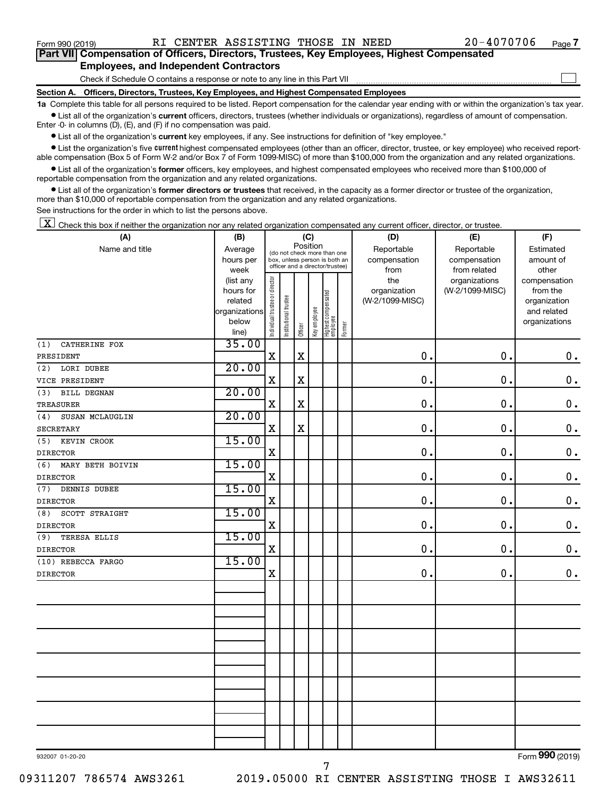$\Box$ 

| Part VII Compensation of Officers, Directors, Trustees, Key Employees, Highest Compensated |  |
|--------------------------------------------------------------------------------------------|--|
| <b>Employees, and Independent Contractors</b>                                              |  |

Check if Schedule O contains a response or note to any line in this Part VII

**Section A. Officers, Directors, Trustees, Key Employees, and Highest Compensated Employees**

**1a**  Complete this table for all persons required to be listed. Report compensation for the calendar year ending with or within the organization's tax year.  $\bullet$  List all of the organization's current officers, directors, trustees (whether individuals or organizations), regardless of amount of compensation.

Enter -0- in columns (D), (E), and (F) if no compensation was paid.

**•** List all of the organization's current key employees, if any. See instructions for definition of "key employee."

• List the organization's five *current* highest compensated employees (other than an officer, director, trustee, or key employee) who received reportable compensation (Box 5 of Form W-2 and/or Box 7 of Form 1099-MISC) of more than \$100,000 from the organization and any related organizations.

 $\bullet$  List all of the organization's former officers, key employees, and highest compensated employees who received more than \$100,000 of reportable compensation from the organization and any related organizations.

**•** List all of the organization's former directors or trustees that received, in the capacity as a former director or trustee of the organization, more than \$10,000 of reportable compensation from the organization and any related organizations.

See instructions for the order in which to list the persons above.

 $\boxed{\textbf{X}}$  Check this box if neither the organization nor any related organization compensated any current officer, director, or trustee.

| (A)                        | (B)                      |                                |                                                                  | (C)         |              |                                 |        | (D)             | (E)             | (F)                         |  |  |
|----------------------------|--------------------------|--------------------------------|------------------------------------------------------------------|-------------|--------------|---------------------------------|--------|-----------------|-----------------|-----------------------------|--|--|
| Name and title             | Average                  |                                | (do not check more than one                                      | Position    |              |                                 |        | Reportable      | Reportable      | Estimated                   |  |  |
|                            | hours per                |                                | box, unless person is both an<br>officer and a director/trustee) |             |              |                                 |        | compensation    | compensation    | amount of                   |  |  |
|                            | week                     |                                |                                                                  |             |              |                                 |        | from            | from related    | other                       |  |  |
|                            | (list any                |                                |                                                                  |             |              |                                 |        | the             | organizations   | compensation                |  |  |
|                            | hours for                |                                |                                                                  |             |              |                                 |        | organization    | (W-2/1099-MISC) | from the                    |  |  |
|                            | related<br>organizations |                                |                                                                  |             |              |                                 |        | (W-2/1099-MISC) |                 | organization<br>and related |  |  |
|                            | below                    |                                |                                                                  |             |              |                                 |        |                 |                 | organizations               |  |  |
|                            | line)                    | Individual trustee or director | Institutional trustee                                            | Officer     | Key employee | Highest compensated<br>employee | Former |                 |                 |                             |  |  |
| CATHERINE FOX<br>(1)       | 35.00                    |                                |                                                                  |             |              |                                 |        |                 |                 |                             |  |  |
| PRESIDENT                  |                          | X                              |                                                                  | $\mathbf X$ |              |                                 |        | $\mathbf 0$ .   | $\mathbf 0$ .   | 0.                          |  |  |
| LORI DUBEE<br>(2)          | 20.00                    |                                |                                                                  |             |              |                                 |        |                 |                 |                             |  |  |
| VICE PRESIDENT             |                          | $\mathbf X$                    |                                                                  | $\mathbf X$ |              |                                 |        | 0.              | $\mathbf 0$ .   | $\mathbf 0$ .               |  |  |
| <b>BILL DEGNAN</b><br>(3)  | 20.00                    |                                |                                                                  |             |              |                                 |        |                 |                 |                             |  |  |
| <b>TREASURER</b>           |                          | $\mathbf X$                    |                                                                  | X           |              |                                 |        | $\mathbf 0$ .   | $\mathbf 0$ .   | $\mathbf 0$ .               |  |  |
| (4)<br>SUSAN MCLAUGLIN     | 20.00                    |                                |                                                                  |             |              |                                 |        |                 |                 |                             |  |  |
| <b>SECRETARY</b>           |                          | $\mathbf X$                    |                                                                  | $\mathbf X$ |              |                                 |        | $\mathbf 0$ .   | $\mathbf 0$ .   | $\mathbf 0$ .               |  |  |
| (5)<br>KEVIN CROOK         | 15.00                    |                                |                                                                  |             |              |                                 |        |                 |                 |                             |  |  |
| <b>DIRECTOR</b>            |                          | $\mathbf X$                    |                                                                  |             |              |                                 |        | $\mathbf 0$     | $\mathbf 0$ .   | $\mathbf 0$ .               |  |  |
| (6)<br>MARY BETH BOIVIN    | 15.00                    |                                |                                                                  |             |              |                                 |        |                 |                 |                             |  |  |
| <b>DIRECTOR</b>            |                          | $\mathbf X$                    |                                                                  |             |              |                                 |        | 0.              | 0.              | $\mathbf 0$ .               |  |  |
| (7)<br>DENNIS DUBEE        | 15.00                    |                                |                                                                  |             |              |                                 |        |                 |                 |                             |  |  |
| <b>DIRECTOR</b>            |                          | $\mathbf X$                    |                                                                  |             |              |                                 |        | $\mathbf 0$ .   | 0.              | $\mathbf 0$ .               |  |  |
| SCOTT STRAIGHT<br>(8)      | 15.00                    |                                |                                                                  |             |              |                                 |        |                 |                 |                             |  |  |
| <b>DIRECTOR</b>            |                          | $\mathbf X$                    |                                                                  |             |              |                                 |        | $\mathbf 0$ .   | 0.              | $\mathbf 0$ .               |  |  |
| (9)<br><b>TERESA ELLIS</b> | 15.00                    |                                |                                                                  |             |              |                                 |        |                 |                 |                             |  |  |
| <b>DIRECTOR</b>            |                          | $\mathbf X$                    |                                                                  |             |              |                                 |        | 0.              | $\mathbf 0$ .   | $\mathbf 0$ .               |  |  |
| (10) REBECCA FARGO         | 15.00                    |                                |                                                                  |             |              |                                 |        |                 |                 |                             |  |  |
| <b>DIRECTOR</b>            |                          | X                              |                                                                  |             |              |                                 |        | $\mathbf 0$ .   | $\mathbf 0$ .   | 0.                          |  |  |
|                            |                          |                                |                                                                  |             |              |                                 |        |                 |                 |                             |  |  |
|                            |                          |                                |                                                                  |             |              |                                 |        |                 |                 |                             |  |  |
|                            |                          |                                |                                                                  |             |              |                                 |        |                 |                 |                             |  |  |
|                            |                          |                                |                                                                  |             |              |                                 |        |                 |                 |                             |  |  |
|                            |                          |                                |                                                                  |             |              |                                 |        |                 |                 |                             |  |  |
|                            |                          |                                |                                                                  |             |              |                                 |        |                 |                 |                             |  |  |
|                            |                          |                                |                                                                  |             |              |                                 |        |                 |                 |                             |  |  |
|                            |                          |                                |                                                                  |             |              |                                 |        |                 |                 |                             |  |  |
|                            |                          |                                |                                                                  |             |              |                                 |        |                 |                 |                             |  |  |
|                            |                          |                                |                                                                  |             |              |                                 |        |                 |                 |                             |  |  |
|                            |                          |                                |                                                                  |             |              |                                 |        |                 |                 |                             |  |  |
|                            |                          |                                |                                                                  |             |              |                                 |        |                 |                 |                             |  |  |
|                            |                          |                                |                                                                  |             |              |                                 |        |                 |                 |                             |  |  |
|                            |                          |                                |                                                                  |             |              |                                 |        |                 |                 |                             |  |  |
| 932007 01-20-20            |                          |                                |                                                                  |             |              |                                 |        |                 |                 | Form 990 (2019)             |  |  |

Form (2019) **990**

7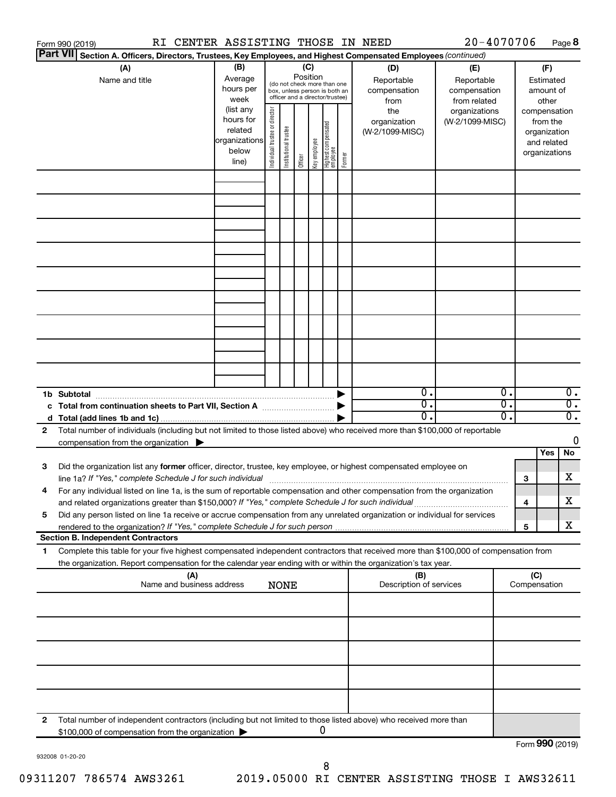|                 | RI CENTER ASSISTING THOSE IN NEED<br>Form 990 (2019)                                                                                                                                                                              |                                                                      |                                |                       |          |              |                                                                                                 |        |                                           | 20-4070706                                        |          |                                                                          |                                        | Page 8                               |
|-----------------|-----------------------------------------------------------------------------------------------------------------------------------------------------------------------------------------------------------------------------------|----------------------------------------------------------------------|--------------------------------|-----------------------|----------|--------------|-------------------------------------------------------------------------------------------------|--------|-------------------------------------------|---------------------------------------------------|----------|--------------------------------------------------------------------------|----------------------------------------|--------------------------------------|
| <b>Part VII</b> | Section A. Officers, Directors, Trustees, Key Employees, and Highest Compensated Employees (continued)                                                                                                                            |                                                                      |                                |                       |          |              |                                                                                                 |        |                                           |                                                   |          |                                                                          |                                        |                                      |
|                 | (A)<br>Name and title                                                                                                                                                                                                             | (B)<br>Average<br>hours per<br>week                                  |                                |                       | Position | (C)          | (do not check more than one<br>box, unless person is both an<br>officer and a director/trustee) |        | (D)<br>Reportable<br>compensation<br>from | (E)<br>Reportable<br>compensation<br>from related |          |                                                                          | (F)<br>Estimated<br>amount of<br>other |                                      |
|                 |                                                                                                                                                                                                                                   | (list any<br>hours for<br>related<br>organizations<br>below<br>line) | Individual trustee or director | Institutional trustee | Officer  | Key employee | Highest compensated<br>  employee                                                               | Former | the<br>organization<br>(W-2/1099-MISC)    | organizations<br>(W-2/1099-MISC)                  |          | compensation<br>from the<br>organization<br>and related<br>organizations |                                        |                                      |
|                 |                                                                                                                                                                                                                                   |                                                                      |                                |                       |          |              |                                                                                                 |        |                                           |                                                   |          |                                                                          |                                        |                                      |
|                 |                                                                                                                                                                                                                                   |                                                                      |                                |                       |          |              |                                                                                                 |        |                                           |                                                   |          |                                                                          |                                        |                                      |
|                 |                                                                                                                                                                                                                                   |                                                                      |                                |                       |          |              |                                                                                                 |        |                                           |                                                   |          |                                                                          |                                        |                                      |
|                 |                                                                                                                                                                                                                                   |                                                                      |                                |                       |          |              |                                                                                                 |        |                                           |                                                   |          |                                                                          |                                        |                                      |
|                 |                                                                                                                                                                                                                                   |                                                                      |                                |                       |          |              |                                                                                                 |        |                                           |                                                   |          |                                                                          |                                        |                                      |
|                 | 1b Subtotal                                                                                                                                                                                                                       |                                                                      |                                |                       |          |              |                                                                                                 |        | $\mathbf{0}$ .                            |                                                   | 0.       |                                                                          |                                        | $\overline{0}$ .                     |
|                 | c Total from continuation sheets to Part VII, Section A manufactured by                                                                                                                                                           |                                                                      |                                |                       |          |              |                                                                                                 |        | $\overline{0}$ .<br>0.                    |                                                   | σ.<br>о. |                                                                          |                                        | $\overline{0}$ .<br>$\overline{0}$ . |
| 2               | Total number of individuals (including but not limited to those listed above) who received more than \$100,000 of reportable<br>compensation from the organization $\blacktriangleright$                                          |                                                                      |                                |                       |          |              |                                                                                                 |        |                                           |                                                   |          |                                                                          |                                        | 0                                    |
| 3               | Did the organization list any former officer, director, trustee, key employee, or highest compensated employee on                                                                                                                 |                                                                      |                                |                       |          |              |                                                                                                 |        |                                           |                                                   |          |                                                                          | Yes                                    | No                                   |
|                 | For any individual listed on line 1a, is the sum of reportable compensation and other compensation from the organization                                                                                                          |                                                                      |                                |                       |          |              |                                                                                                 |        |                                           |                                                   |          | 3                                                                        |                                        | х                                    |
| 5               | and related organizations greater than \$150,000? If "Yes," complete Schedule J for such individual<br>Did any person listed on line 1a receive or accrue compensation from any unrelated organization or individual for services |                                                                      |                                |                       |          |              |                                                                                                 |        |                                           |                                                   |          | 4                                                                        |                                        | х                                    |
|                 | <b>Section B. Independent Contractors</b>                                                                                                                                                                                         |                                                                      |                                |                       |          |              |                                                                                                 |        |                                           |                                                   |          | 5                                                                        |                                        | х                                    |
| 1.              | Complete this table for your five highest compensated independent contractors that received more than \$100,000 of compensation from                                                                                              |                                                                      |                                |                       |          |              |                                                                                                 |        |                                           |                                                   |          |                                                                          |                                        |                                      |
|                 | the organization. Report compensation for the calendar year ending with or within the organization's tax year.<br>(A)                                                                                                             |                                                                      |                                |                       |          |              |                                                                                                 |        | (B)                                       |                                                   |          | (C)                                                                      |                                        |                                      |
|                 | Name and business address                                                                                                                                                                                                         |                                                                      |                                | <b>NONE</b>           |          |              |                                                                                                 |        | Description of services                   |                                                   |          | Compensation                                                             |                                        |                                      |
|                 |                                                                                                                                                                                                                                   |                                                                      |                                |                       |          |              |                                                                                                 |        |                                           |                                                   |          |                                                                          |                                        |                                      |
|                 |                                                                                                                                                                                                                                   |                                                                      |                                |                       |          |              |                                                                                                 |        |                                           |                                                   |          |                                                                          |                                        |                                      |
|                 |                                                                                                                                                                                                                                   |                                                                      |                                |                       |          |              |                                                                                                 |        |                                           |                                                   |          |                                                                          |                                        |                                      |
| 2               | Total number of independent contractors (including but not limited to those listed above) who received more than<br>\$100,000 of compensation from the organization                                                               |                                                                      |                                |                       |          |              | 0                                                                                               |        |                                           |                                                   |          |                                                                          |                                        |                                      |
|                 |                                                                                                                                                                                                                                   |                                                                      |                                |                       |          |              |                                                                                                 |        |                                           |                                                   |          | Form 990 (2019)                                                          |                                        |                                      |

932008 01-20-20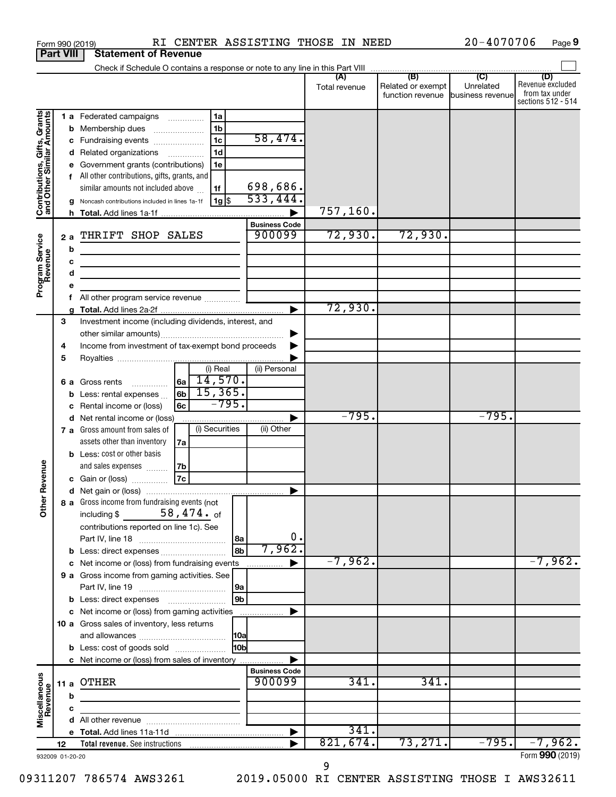|                                                                                         |                  |                   | RI CENTER ASSISTING THOSE IN NEED<br>Form 990 (2019)                                                                                                                                                                                                                                                                                                                                                                                                                                                              |                                                                   |                     |                                                        | 20-4070706 | Page 9                                    |
|-----------------------------------------------------------------------------------------|------------------|-------------------|-------------------------------------------------------------------------------------------------------------------------------------------------------------------------------------------------------------------------------------------------------------------------------------------------------------------------------------------------------------------------------------------------------------------------------------------------------------------------------------------------------------------|-------------------------------------------------------------------|---------------------|--------------------------------------------------------|------------|-------------------------------------------|
|                                                                                         | <b>Part VIII</b> |                   | <b>Statement of Revenue</b>                                                                                                                                                                                                                                                                                                                                                                                                                                                                                       |                                                                   |                     |                                                        |            |                                           |
|                                                                                         |                  |                   |                                                                                                                                                                                                                                                                                                                                                                                                                                                                                                                   |                                                                   | Total revenue       | Related or exempt<br>function revenue business revenue | Unrelated  | (D)<br>Revenue excluded<br>from tax under |
| Contributions, Gifts, Grants<br>and Other Similar Amounts<br>Program Service<br>Revenue |                  | 2a<br>b<br>с<br>d | 1 a Federated campaigns<br>1a<br>1b<br><b>b</b> Membership dues<br>1 <sub>c</sub><br>c Fundraising events<br>1d<br>d Related organizations<br>.<br>e Government grants (contributions)<br>1e<br>f All other contributions, gifts, grants, and<br>similar amounts not included above<br>1f<br>  1g  \$<br>Noncash contributions included in lines 1a-1f<br>THRIFT SHOP SALES<br><u> 1989 - Johann Stein, mars an deus Amerikaansk kommunister (</u><br>the control of the control of the control of the control of | 58,474.<br>698,686.<br>533,444.<br><b>Business Code</b><br>900099 | 757,160.<br>72,930. | 72,930.                                                |            | sections 512 - 514                        |
|                                                                                         |                  | f.                | All other program service revenue                                                                                                                                                                                                                                                                                                                                                                                                                                                                                 |                                                                   | 72,930.             |                                                        |            |                                           |
|                                                                                         | З<br>4<br>5      |                   | Investment income (including dividends, interest, and<br>Income from investment of tax-exempt bond proceeds<br>(i) Real<br>14,570.<br>l6a l<br>6 a Gross rents<br>15,365.<br>l 6b l<br><b>b</b> Less: rental expenses                                                                                                                                                                                                                                                                                             | (ii) Personal                                                     |                     |                                                        |            |                                           |
|                                                                                         |                  |                   | $-795.$<br>c Rental income or (loss)<br>6с<br>d Net rental income or (loss)<br>(i) Securities<br>7 a Gross amount from sales of<br>assets other than inventory<br>7а                                                                                                                                                                                                                                                                                                                                              | (ii) Other                                                        | $-795.$             |                                                        | $-795.$    |                                           |
| evenue<br>Other                                                                         |                  |                   | <b>b</b> Less: cost or other basis<br>and sales expenses<br>7b<br><b>7c</b><br>c Gain or (loss)<br>8 a Gross income from fundraising events (not<br>$58$ , $474$ . $_{\rm of}$<br>including \$                                                                                                                                                                                                                                                                                                                    |                                                                   |                     |                                                        |            |                                           |
|                                                                                         |                  |                   | contributions reported on line 1c). See<br> 8a<br>8b<br>c Net income or (loss) from fundraising events<br>9 a Gross income from gaming activities. See<br> 9a                                                                                                                                                                                                                                                                                                                                                     | 0.<br>7,962.                                                      | $-7,962$ .          |                                                        |            | $-7,962.$                                 |
|                                                                                         |                  |                   | 9b<br><b>b</b> Less: direct expenses <b>manually</b><br>c Net income or (loss) from gaming activities<br>10 a Gross sales of inventory, less returns<br> 10a<br>10bl<br><b>b</b> Less: cost of goods sold                                                                                                                                                                                                                                                                                                         |                                                                   |                     |                                                        |            |                                           |
|                                                                                         | 11 a             |                   | c Net income or (loss) from sales of inventory<br><b>OTHER</b>                                                                                                                                                                                                                                                                                                                                                                                                                                                    | <b>Business Code</b><br>900099                                    | 341.                | 341.                                                   |            |                                           |
| Miscellaneous<br>Revenue                                                                |                  | b<br>с            |                                                                                                                                                                                                                                                                                                                                                                                                                                                                                                                   |                                                                   | 341.                |                                                        |            |                                           |
|                                                                                         | 12               |                   |                                                                                                                                                                                                                                                                                                                                                                                                                                                                                                                   |                                                                   | 821,674.            | 73, 271.                                               | $-795.$    | $-7,962.$                                 |
| 932009 01-20-20                                                                         |                  |                   |                                                                                                                                                                                                                                                                                                                                                                                                                                                                                                                   |                                                                   |                     |                                                        |            | Form 990 (2019)                           |

**9**

09311207 786574 AWS3261 2019.05000 RI CENTER ASSISTING THOSE I AWS32611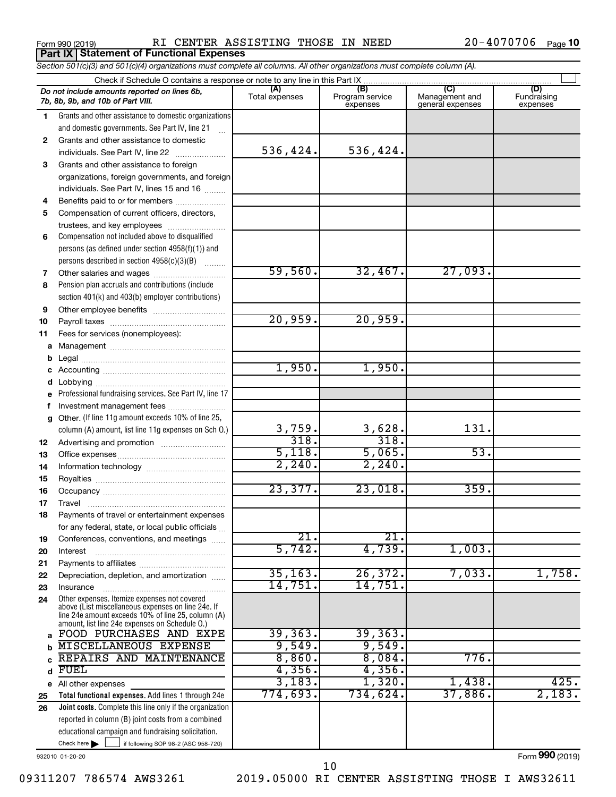**Part IX Statement of Functional Expenses**

Form 990 (2019) RI CENTER ASSISTING THOSE IN NEED 20-4070706 Page

|    | Section 501(c)(3) and 501(c)(4) organizations must complete all columns. All other organizations must complete column (A).                                                                                 |                           |                                    |                                           |                                |
|----|------------------------------------------------------------------------------------------------------------------------------------------------------------------------------------------------------------|---------------------------|------------------------------------|-------------------------------------------|--------------------------------|
|    |                                                                                                                                                                                                            |                           |                                    |                                           |                                |
|    | Do not include amounts reported on lines 6b,<br>7b, 8b, 9b, and 10b of Part VIII.                                                                                                                          | (A)<br>Total expenses     | (B)<br>Program service<br>expenses | (C)<br>Management and<br>general expenses | (D)<br>Fundraising<br>expenses |
| 1  | Grants and other assistance to domestic organizations                                                                                                                                                      |                           |                                    |                                           |                                |
|    | and domestic governments. See Part IV, line 21                                                                                                                                                             |                           |                                    |                                           |                                |
| 2  | Grants and other assistance to domestic                                                                                                                                                                    |                           |                                    |                                           |                                |
|    | individuals. See Part IV, line 22                                                                                                                                                                          | 536,424.                  | 536,424.                           |                                           |                                |
| 3  | Grants and other assistance to foreign                                                                                                                                                                     |                           |                                    |                                           |                                |
|    | organizations, foreign governments, and foreign                                                                                                                                                            |                           |                                    |                                           |                                |
|    | individuals. See Part IV, lines 15 and 16                                                                                                                                                                  |                           |                                    |                                           |                                |
| 4  | Benefits paid to or for members                                                                                                                                                                            |                           |                                    |                                           |                                |
| 5  | Compensation of current officers, directors,                                                                                                                                                               |                           |                                    |                                           |                                |
|    | trustees, and key employees                                                                                                                                                                                |                           |                                    |                                           |                                |
| 6  | Compensation not included above to disqualified                                                                                                                                                            |                           |                                    |                                           |                                |
|    | persons (as defined under section 4958(f)(1)) and                                                                                                                                                          |                           |                                    |                                           |                                |
|    | persons described in section 4958(c)(3)(B)                                                                                                                                                                 |                           |                                    |                                           |                                |
| 7  |                                                                                                                                                                                                            | 59,560.                   | 32,467.                            | 27,093.                                   |                                |
| 8  | Pension plan accruals and contributions (include                                                                                                                                                           |                           |                                    |                                           |                                |
|    | section 401(k) and 403(b) employer contributions)                                                                                                                                                          |                           |                                    |                                           |                                |
| 9  |                                                                                                                                                                                                            |                           |                                    |                                           |                                |
| 10 |                                                                                                                                                                                                            | 20,959.                   | 20,959.                            |                                           |                                |
| 11 | Fees for services (nonemployees):                                                                                                                                                                          |                           |                                    |                                           |                                |
| a  |                                                                                                                                                                                                            |                           |                                    |                                           |                                |
| b  |                                                                                                                                                                                                            |                           |                                    |                                           |                                |
| c  |                                                                                                                                                                                                            | 1,950.                    | 1,950.                             |                                           |                                |
| d  |                                                                                                                                                                                                            |                           |                                    |                                           |                                |
| е  | Professional fundraising services. See Part IV, line 17                                                                                                                                                    |                           |                                    |                                           |                                |
| f. | Investment management fees                                                                                                                                                                                 |                           |                                    |                                           |                                |
| g  | Other. (If line 11g amount exceeds 10% of line 25,                                                                                                                                                         |                           |                                    |                                           |                                |
|    | column (A) amount, list line 11g expenses on Sch 0.)                                                                                                                                                       | 3,759.                    | 3,628.                             | 131.                                      |                                |
| 12 |                                                                                                                                                                                                            | 318.                      | 318.                               |                                           |                                |
| 13 |                                                                                                                                                                                                            | 5,118.                    | 5,065.                             | 53.                                       |                                |
| 14 |                                                                                                                                                                                                            | 2, 240.                   | 2,240.                             |                                           |                                |
| 15 |                                                                                                                                                                                                            |                           |                                    |                                           |                                |
| 16 |                                                                                                                                                                                                            | 23,377.                   | 23,018.                            | 359.                                      |                                |
| 17 |                                                                                                                                                                                                            |                           |                                    |                                           |                                |
| 18 | Payments of travel or entertainment expenses                                                                                                                                                               |                           |                                    |                                           |                                |
|    | for any federal, state, or local public officials                                                                                                                                                          |                           |                                    |                                           |                                |
| 19 | Conferences, conventions, and meetings                                                                                                                                                                     | $\overline{21}$<br>5,742. | $\overline{21}$<br>4,739.          |                                           |                                |
| 20 | Interest                                                                                                                                                                                                   |                           |                                    | 1,003.                                    |                                |
| 21 |                                                                                                                                                                                                            | 35, 163.                  | 26, 372.                           | 7,033.                                    | 1,758.                         |
| 22 | Depreciation, depletion, and amortization                                                                                                                                                                  | 14,751.                   | 14,751.                            |                                           |                                |
| 23 | Insurance                                                                                                                                                                                                  |                           |                                    |                                           |                                |
| 24 | Other expenses. Itemize expenses not covered<br>above (List miscellaneous expenses on line 24e. If<br>line 24e amount exceeds 10% of line 25, column (A)<br>amount, list line 24e expenses on Schedule O.) |                           |                                    |                                           |                                |
| a  | FOOD PURCHASES AND EXPE                                                                                                                                                                                    | 39, 363.                  | 39, 363.                           |                                           |                                |
| b  | <b>MISCELLANEOUS EXPENSE</b>                                                                                                                                                                               | 9,549.                    | 9,549.                             |                                           |                                |
| C. | REPAIRS AND MAINTENANCE                                                                                                                                                                                    | 8,860.                    | 8,084.                             | 776.                                      |                                |
| d  | <b>FUEL</b>                                                                                                                                                                                                | 4,356.                    | 4,356.                             |                                           |                                |
|    | e All other expenses                                                                                                                                                                                       | 3,183.                    | 1,320.                             | 1,438.                                    | 425.                           |
| 25 | Total functional expenses. Add lines 1 through 24e                                                                                                                                                         | 774,693.                  | 734,624.                           | 37,886.                                   | 2,183.                         |
| 26 | Joint costs. Complete this line only if the organization                                                                                                                                                   |                           |                                    |                                           |                                |
|    | reported in column (B) joint costs from a combined                                                                                                                                                         |                           |                                    |                                           |                                |
|    | educational campaign and fundraising solicitation.                                                                                                                                                         |                           |                                    |                                           |                                |

932010 01-20-20

Check here

Form (2019) **990**

Check here  $\begin{array}{c} \begin{array}{|c} \hline \end{array} \end{array}$  if following SOP 98-2 (ASC 958-720)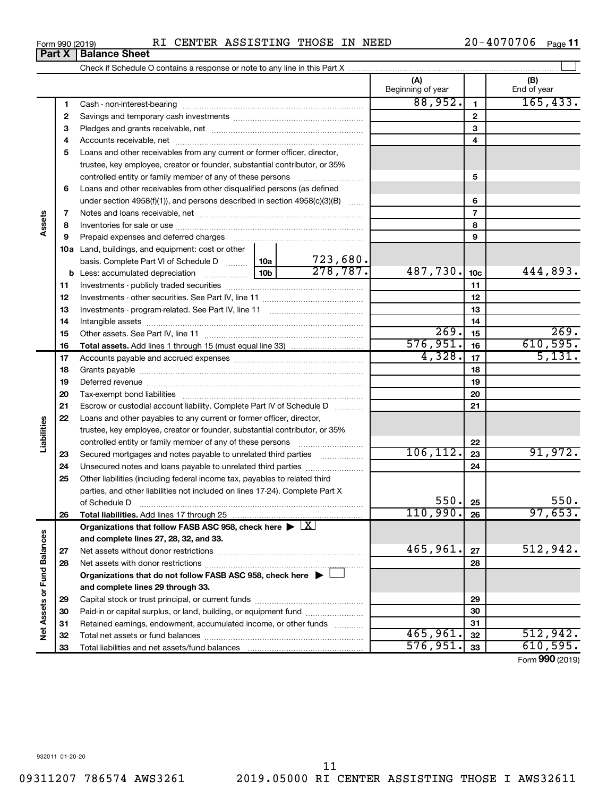Form 990 (2019)  $\qquad RI$  CENTER ASSISTING THOSE IN NEED  $\qquad \qquad 20-4070706$  Page

| $20 - 4070706$ Page 11 |
|------------------------|
|------------------------|

| (A)<br>Beginning of year<br>88,952.<br>$\blacktriangleleft$<br>1<br>$\overline{2}$<br>2                                                                                                                                                  | (B)<br>End of year |
|------------------------------------------------------------------------------------------------------------------------------------------------------------------------------------------------------------------------------------------|--------------------|
|                                                                                                                                                                                                                                          |                    |
|                                                                                                                                                                                                                                          | 165,433.           |
|                                                                                                                                                                                                                                          |                    |
| 3<br>3                                                                                                                                                                                                                                   |                    |
| 4<br>4                                                                                                                                                                                                                                   |                    |
| 5<br>Loans and other receivables from any current or former officer, director,                                                                                                                                                           |                    |
| trustee, key employee, creator or founder, substantial contributor, or 35%                                                                                                                                                               |                    |
| 5                                                                                                                                                                                                                                        |                    |
| Loans and other receivables from other disqualified persons (as defined<br>6                                                                                                                                                             |                    |
| 6<br>under section 4958(f)(1)), and persons described in section 4958(c)(3)(B)                                                                                                                                                           |                    |
| $\overline{7}$<br>7                                                                                                                                                                                                                      |                    |
| Assets<br>8<br>8                                                                                                                                                                                                                         |                    |
| 9<br>9<br>Prepaid expenses and deferred charges [11] [11] prepaid expenses and deferred charges [11] [11] minimum and the Prepaid expenses and deferred charges [11] minimum and the Prepaid experiment of Prepaid experiment and the Pr |                    |
| <b>10a</b> Land, buildings, and equipment: cost or other                                                                                                                                                                                 |                    |
| $\frac{723,680}{278,787}.$<br>basis. Complete Part VI of Schedule D  10a                                                                                                                                                                 |                    |
| 487,730.<br>10 <sub>c</sub>                                                                                                                                                                                                              | 444,893.           |
| 11<br>11                                                                                                                                                                                                                                 |                    |
| 12<br>12                                                                                                                                                                                                                                 |                    |
| 13<br>13                                                                                                                                                                                                                                 |                    |
| 14<br>14                                                                                                                                                                                                                                 |                    |
| 269.<br>15<br>15                                                                                                                                                                                                                         | 269.               |
| 576,951.<br>16<br>16                                                                                                                                                                                                                     | 610,595.           |
| 4,328.<br>17<br>17                                                                                                                                                                                                                       | 5,131.             |
| 18<br>18                                                                                                                                                                                                                                 |                    |
| 19<br>19                                                                                                                                                                                                                                 |                    |
| 20<br>20                                                                                                                                                                                                                                 |                    |
| 21<br>Escrow or custodial account liability. Complete Part IV of Schedule D<br>21                                                                                                                                                        |                    |
| 22<br>Loans and other payables to any current or former officer, director,                                                                                                                                                               |                    |
| Liabilities<br>trustee, key employee, creator or founder, substantial contributor, or 35%                                                                                                                                                |                    |
| 22                                                                                                                                                                                                                                       |                    |
| 106, 112.<br>23<br>Secured mortgages and notes payable to unrelated third parties<br>23                                                                                                                                                  | 91,972.            |
| 24<br>24<br>Unsecured notes and loans payable to unrelated third parties                                                                                                                                                                 |                    |
| 25<br>Other liabilities (including federal income tax, payables to related third                                                                                                                                                         |                    |
| parties, and other liabilities not included on lines 17-24). Complete Part X                                                                                                                                                             |                    |
| 550.<br>25<br>of Schedule D <b>www.arenamin.communications</b> of Schedule D<br>110,990.                                                                                                                                                 | 550.               |
| 26<br>26                                                                                                                                                                                                                                 | 97,653.            |
| Organizations that follow FASB ASC 958, check here $\blacktriangleright \lfloor \underline{X} \rfloor$                                                                                                                                   |                    |
| and complete lines 27, 28, 32, and 33.<br>465,961.                                                                                                                                                                                       | 512,942.           |
| 27<br>27                                                                                                                                                                                                                                 |                    |
| 28<br>28                                                                                                                                                                                                                                 |                    |
| Organizations that do not follow FASB ASC 958, check here $\blacktriangleright$                                                                                                                                                          |                    |
| and complete lines 29 through 33.                                                                                                                                                                                                        |                    |
| 29<br>29                                                                                                                                                                                                                                 |                    |
| Paid-in or capital surplus, or land, building, or equipment fund<br>30<br>30                                                                                                                                                             |                    |
| Net Assets or Fund Balances<br>31<br>Retained earnings, endowment, accumulated income, or other funds<br>31<br>465,961.                                                                                                                  | 512,942.           |
| 32<br>32<br>576,951.                                                                                                                                                                                                                     | 610,595.           |
| 33<br>33                                                                                                                                                                                                                                 | Form 990 (2019)    |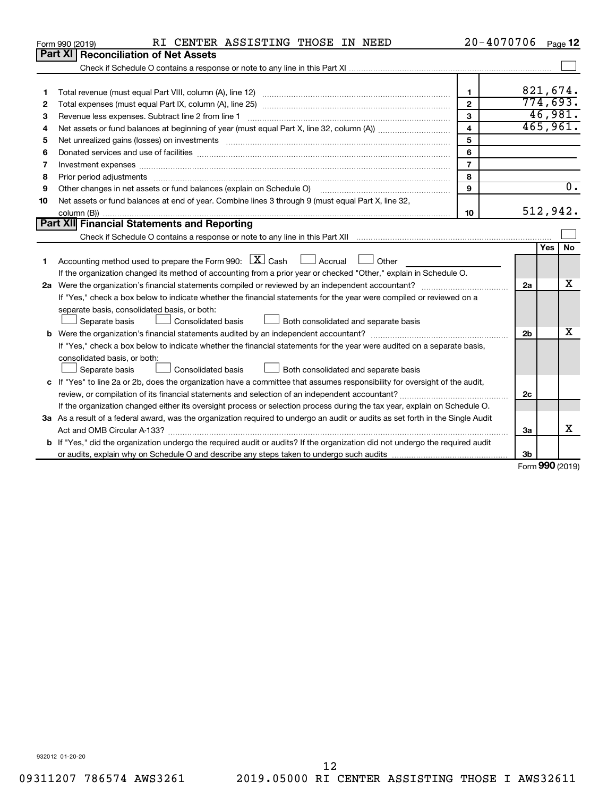|    | RI CENTER ASSISTING THOSE IN NEED<br>Form 990 (2019)                                                                                 | 20-4070706     |                |                     | Page 12          |
|----|--------------------------------------------------------------------------------------------------------------------------------------|----------------|----------------|---------------------|------------------|
|    | <b>Part XI</b><br><b>Reconciliation of Net Assets</b>                                                                                |                |                |                     |                  |
|    |                                                                                                                                      |                |                |                     |                  |
|    |                                                                                                                                      |                |                |                     |                  |
| 1  |                                                                                                                                      | $\mathbf 1$    |                |                     | 821,674.         |
| 2  |                                                                                                                                      | $\overline{2}$ |                | 774,693.            |                  |
| 3  | Revenue less expenses. Subtract line 2 from line 1                                                                                   | 3              |                |                     | 46,981.          |
| 4  |                                                                                                                                      | $\overline{4}$ |                |                     | 465,961.         |
| 5  | Net unrealized gains (losses) on investments [111] www.marting.community.community.community.community.communi                       | 5              |                |                     |                  |
| 6  |                                                                                                                                      | 6              |                |                     |                  |
| 7  | Investment expenses www.communication.com/www.communication.com/www.communication.com/www.com                                        | $\overline{7}$ |                |                     |                  |
| 8  |                                                                                                                                      | 8              |                |                     |                  |
| 9  | Other changes in net assets or fund balances (explain on Schedule O)                                                                 | 9              |                |                     | $\overline{0}$ . |
| 10 | Net assets or fund balances at end of year. Combine lines 3 through 9 (must equal Part X, line 32,                                   |                |                |                     |                  |
|    |                                                                                                                                      | 10             |                | 512,942.            |                  |
|    | Part XII Financial Statements and Reporting                                                                                          |                |                |                     |                  |
|    |                                                                                                                                      |                |                |                     |                  |
|    |                                                                                                                                      |                |                | Yes                 | No               |
| 1  | Accounting method used to prepare the Form 990: $X \subset X$ Cash<br>Accrual 1 Other                                                |                |                |                     |                  |
|    | If the organization changed its method of accounting from a prior year or checked "Other," explain in Schedule O.                    |                |                |                     |                  |
|    |                                                                                                                                      |                | 2a             |                     | x                |
|    | If "Yes," check a box below to indicate whether the financial statements for the year were compiled or reviewed on a                 |                |                |                     |                  |
|    | separate basis, consolidated basis, or both:                                                                                         |                |                |                     |                  |
|    | <b>Consolidated basis</b><br>Both consolidated and separate basis<br>Separate basis                                                  |                |                |                     |                  |
|    |                                                                                                                                      |                | 2 <sub>b</sub> |                     | х                |
|    | If "Yes," check a box below to indicate whether the financial statements for the year were audited on a separate basis,              |                |                |                     |                  |
|    | consolidated basis, or both:                                                                                                         |                |                |                     |                  |
|    | Consolidated basis<br>Both consolidated and separate basis<br>Separate basis                                                         |                |                |                     |                  |
|    | c If "Yes" to line 2a or 2b, does the organization have a committee that assumes responsibility for oversight of the audit,          |                |                |                     |                  |
|    |                                                                                                                                      |                | 2 <sub>c</sub> |                     |                  |
|    | If the organization changed either its oversight process or selection process during the tax year, explain on Schedule O.            |                |                |                     |                  |
|    | 3a As a result of a federal award, was the organization required to undergo an audit or audits as set forth in the Single Audit      |                |                |                     |                  |
|    | Act and OMB Circular A-133?                                                                                                          |                | 3a             |                     | x                |
|    | <b>b</b> If "Yes," did the organization undergo the required audit or audits? If the organization did not undergo the required audit |                |                |                     |                  |
|    |                                                                                                                                      |                | 3b             | $000 \text{ hours}$ |                  |

Form (2019) **990**

932012 01-20-20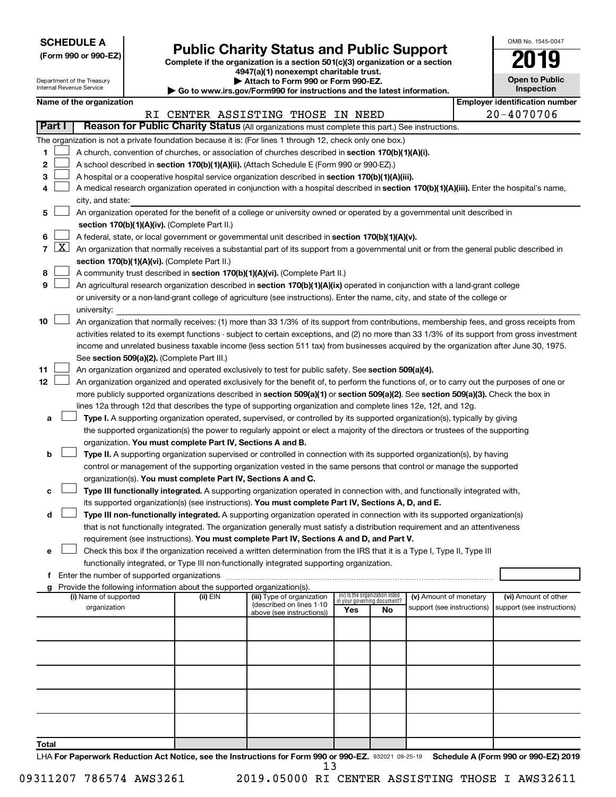| <b>SCHEDULE A</b> |  |
|-------------------|--|
|-------------------|--|

| (Form 990 or 990-EZ) |  |  |
|----------------------|--|--|
|----------------------|--|--|

# Form 990 or 990-EZ)<br>
Complete if the organization is a section 501(c)(3) organization or a section<br> **Public Charity Status and Public Support**

**4947(a)(1) nonexempt charitable trust.**

| OMB No. 1545-0047     |
|-----------------------|
| 2019                  |
| <b>Open to Public</b> |

 $\Box$ 

|        |                 | Department of the Treasury<br>Internal Revenue Service |                                                                                    | Attach to Form 990 or Form 990-EZ.<br>Go to www.irs.gov/Form990 for instructions and the latest information.                                  |                                 |                                   |                            | <b>Open to Public</b><br>Inspection   |
|--------|-----------------|--------------------------------------------------------|------------------------------------------------------------------------------------|-----------------------------------------------------------------------------------------------------------------------------------------------|---------------------------------|-----------------------------------|----------------------------|---------------------------------------|
|        |                 | Name of the organization                               |                                                                                    |                                                                                                                                               |                                 |                                   |                            | <b>Employer identification number</b> |
|        |                 |                                                        |                                                                                    | RI CENTER ASSISTING THOSE IN NEED                                                                                                             |                                 |                                   |                            | 20-4070706                            |
| Part I |                 |                                                        |                                                                                    | Reason for Public Charity Status (All organizations must complete this part.) See instructions.                                               |                                 |                                   |                            |                                       |
|        |                 |                                                        |                                                                                    | The organization is not a private foundation because it is: (For lines 1 through 12, check only one box.)                                     |                                 |                                   |                            |                                       |
| 1      |                 |                                                        |                                                                                    | A church, convention of churches, or association of churches described in section 170(b)(1)(A)(i).                                            |                                 |                                   |                            |                                       |
| 2      |                 |                                                        |                                                                                    | A school described in section 170(b)(1)(A)(ii). (Attach Schedule E (Form 990 or 990-EZ).)                                                     |                                 |                                   |                            |                                       |
| З      |                 |                                                        |                                                                                    | A hospital or a cooperative hospital service organization described in section 170(b)(1)(A)(iii).                                             |                                 |                                   |                            |                                       |
| 4      |                 |                                                        |                                                                                    | A medical research organization operated in conjunction with a hospital described in section 170(b)(1)(A)(iii). Enter the hospital's name,    |                                 |                                   |                            |                                       |
|        |                 | city, and state:                                       |                                                                                    |                                                                                                                                               |                                 |                                   |                            |                                       |
| 5      |                 |                                                        |                                                                                    | An organization operated for the benefit of a college or university owned or operated by a governmental unit described in                     |                                 |                                   |                            |                                       |
|        |                 |                                                        | section 170(b)(1)(A)(iv). (Complete Part II.)                                      |                                                                                                                                               |                                 |                                   |                            |                                       |
| 6      | $7 \mid X \mid$ |                                                        |                                                                                    | A federal, state, or local government or governmental unit described in section 170(b)(1)(A)(v).                                              |                                 |                                   |                            |                                       |
|        |                 |                                                        |                                                                                    | An organization that normally receives a substantial part of its support from a governmental unit or from the general public described in     |                                 |                                   |                            |                                       |
| 8      |                 |                                                        | section 170(b)(1)(A)(vi). (Complete Part II.)                                      | A community trust described in section 170(b)(1)(A)(vi). (Complete Part II.)                                                                  |                                 |                                   |                            |                                       |
| 9      |                 |                                                        |                                                                                    | An agricultural research organization described in section 170(b)(1)(A)(ix) operated in conjunction with a land-grant college                 |                                 |                                   |                            |                                       |
|        |                 |                                                        |                                                                                    | or university or a non-land-grant college of agriculture (see instructions). Enter the name, city, and state of the college or                |                                 |                                   |                            |                                       |
|        |                 | university:                                            |                                                                                    |                                                                                                                                               |                                 |                                   |                            |                                       |
| 10     |                 |                                                        |                                                                                    | An organization that normally receives: (1) more than 33 1/3% of its support from contributions, membership fees, and gross receipts from     |                                 |                                   |                            |                                       |
|        |                 |                                                        |                                                                                    | activities related to its exempt functions - subject to certain exceptions, and (2) no more than 33 1/3% of its support from gross investment |                                 |                                   |                            |                                       |
|        |                 |                                                        |                                                                                    | income and unrelated business taxable income (less section 511 tax) from businesses acquired by the organization after June 30, 1975.         |                                 |                                   |                            |                                       |
|        |                 |                                                        | See section 509(a)(2). (Complete Part III.)                                        |                                                                                                                                               |                                 |                                   |                            |                                       |
| 11     |                 |                                                        |                                                                                    | An organization organized and operated exclusively to test for public safety. See section 509(a)(4).                                          |                                 |                                   |                            |                                       |
| 12     |                 |                                                        |                                                                                    | An organization organized and operated exclusively for the benefit of, to perform the functions of, or to carry out the purposes of one or    |                                 |                                   |                            |                                       |
|        |                 |                                                        |                                                                                    | more publicly supported organizations described in section 509(a)(1) or section 509(a)(2). See section 509(a)(3). Check the box in            |                                 |                                   |                            |                                       |
|        |                 |                                                        |                                                                                    | lines 12a through 12d that describes the type of supporting organization and complete lines 12e, 12f, and 12g.                                |                                 |                                   |                            |                                       |
| а      |                 |                                                        |                                                                                    | Type I. A supporting organization operated, supervised, or controlled by its supported organization(s), typically by giving                   |                                 |                                   |                            |                                       |
|        |                 |                                                        |                                                                                    | the supported organization(s) the power to regularly appoint or elect a majority of the directors or trustees of the supporting               |                                 |                                   |                            |                                       |
| b      |                 |                                                        | organization. You must complete Part IV, Sections A and B.                         | Type II. A supporting organization supervised or controlled in connection with its supported organization(s), by having                       |                                 |                                   |                            |                                       |
|        |                 |                                                        |                                                                                    | control or management of the supporting organization vested in the same persons that control or manage the supported                          |                                 |                                   |                            |                                       |
|        |                 |                                                        | organization(s). You must complete Part IV, Sections A and C.                      |                                                                                                                                               |                                 |                                   |                            |                                       |
| с      |                 |                                                        |                                                                                    | Type III functionally integrated. A supporting organization operated in connection with, and functionally integrated with,                    |                                 |                                   |                            |                                       |
|        |                 |                                                        |                                                                                    | its supported organization(s) (see instructions). You must complete Part IV, Sections A, D, and E.                                            |                                 |                                   |                            |                                       |
| d      |                 |                                                        |                                                                                    | Type III non-functionally integrated. A supporting organization operated in connection with its supported organization(s)                     |                                 |                                   |                            |                                       |
|        |                 |                                                        |                                                                                    | that is not functionally integrated. The organization generally must satisfy a distribution requirement and an attentiveness                  |                                 |                                   |                            |                                       |
|        |                 |                                                        |                                                                                    | requirement (see instructions). You must complete Part IV, Sections A and D, and Part V.                                                      |                                 |                                   |                            |                                       |
| е      |                 |                                                        |                                                                                    | Check this box if the organization received a written determination from the IRS that it is a Type I, Type II, Type III                       |                                 |                                   |                            |                                       |
|        |                 |                                                        |                                                                                    | functionally integrated, or Type III non-functionally integrated supporting organization.                                                     |                                 |                                   |                            |                                       |
|        |                 |                                                        |                                                                                    |                                                                                                                                               |                                 |                                   |                            |                                       |
|        |                 | (i) Name of supported                                  | Provide the following information about the supported organization(s).<br>(ii) EIN | (iii) Type of organization                                                                                                                    | (iv) Is the organization listed |                                   | (v) Amount of monetary     | (vi) Amount of other                  |
|        |                 | organization                                           |                                                                                    | (described on lines 1-10                                                                                                                      | Yes                             | in your governing document?<br>No | support (see instructions) | support (see instructions)            |
|        |                 |                                                        |                                                                                    | above (see instructions))                                                                                                                     |                                 |                                   |                            |                                       |
|        |                 |                                                        |                                                                                    |                                                                                                                                               |                                 |                                   |                            |                                       |
|        |                 |                                                        |                                                                                    |                                                                                                                                               |                                 |                                   |                            |                                       |
|        |                 |                                                        |                                                                                    |                                                                                                                                               |                                 |                                   |                            |                                       |
|        |                 |                                                        |                                                                                    |                                                                                                                                               |                                 |                                   |                            |                                       |
|        |                 |                                                        |                                                                                    |                                                                                                                                               |                                 |                                   |                            |                                       |
|        |                 |                                                        |                                                                                    |                                                                                                                                               |                                 |                                   |                            |                                       |
|        |                 |                                                        |                                                                                    |                                                                                                                                               |                                 |                                   |                            |                                       |
|        |                 |                                                        |                                                                                    |                                                                                                                                               |                                 |                                   |                            |                                       |
|        |                 |                                                        |                                                                                    |                                                                                                                                               |                                 |                                   |                            |                                       |
| Total  |                 |                                                        |                                                                                    |                                                                                                                                               |                                 |                                   |                            |                                       |

LHA For Paperwork Reduction Act Notice, see the Instructions for Form 990 or 990-EZ. 932021 09-25-19 Schedule A (Form 990 or 990-EZ) 2019 13

09311207 786574 AWS3261 2019.05000 RI CENTER ASSISTING THOSE I AWS32611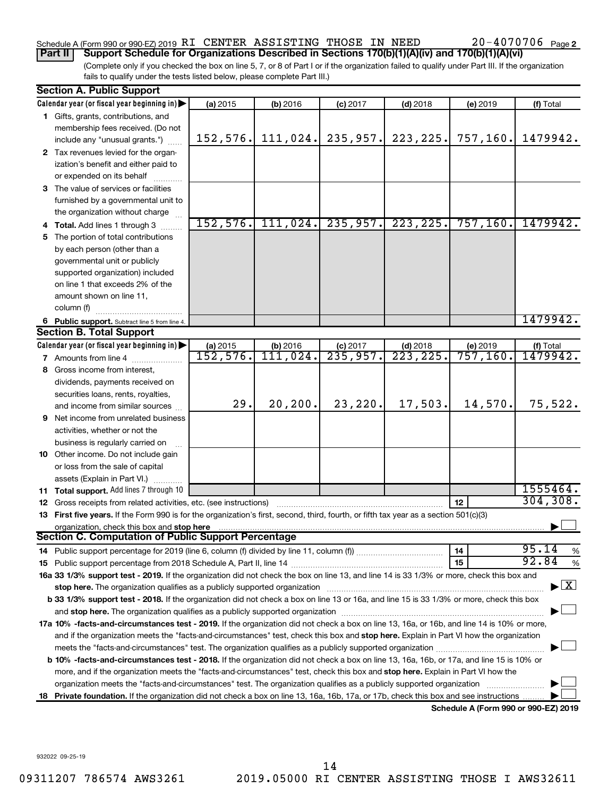### Schedule A (Form 990 or 990-EZ) 2019 RI CENTER ASSISTING THOSE IN NEED  $20-4070706$  Page

(Complete only if you checked the box on line 5, 7, or 8 of Part I or if the organization failed to qualify under Part III. If the organization fails to qualify under the tests listed below, please complete Part III.) **Part II Support Schedule for Organizations Described in Sections 170(b)(1)(A)(iv) and 170(b)(1)(A)(vi)**

|    | <b>Section A. Public Support</b>                                                                                                                                                                                               |           |            |                      |            |                                      |               |
|----|--------------------------------------------------------------------------------------------------------------------------------------------------------------------------------------------------------------------------------|-----------|------------|----------------------|------------|--------------------------------------|---------------|
|    | Calendar year (or fiscal year beginning in)                                                                                                                                                                                    | (a) 2015  | (b) 2016   | $(c)$ 2017           | $(d)$ 2018 | (e) 2019                             | (f) Total     |
|    | 1 Gifts, grants, contributions, and                                                                                                                                                                                            |           |            |                      |            |                                      |               |
|    | membership fees received. (Do not                                                                                                                                                                                              |           |            |                      |            |                                      |               |
|    | include any "unusual grants.")                                                                                                                                                                                                 | 152, 576. | 111,024.   | 235,957.             | 223, 225.  | 757, 160.                            | 1479942.      |
|    | 2 Tax revenues levied for the organ-                                                                                                                                                                                           |           |            |                      |            |                                      |               |
|    | ization's benefit and either paid to                                                                                                                                                                                           |           |            |                      |            |                                      |               |
|    | or expended on its behalf                                                                                                                                                                                                      |           |            |                      |            |                                      |               |
|    | 3 The value of services or facilities                                                                                                                                                                                          |           |            |                      |            |                                      |               |
|    | furnished by a governmental unit to                                                                                                                                                                                            |           |            |                      |            |                                      |               |
|    | the organization without charge                                                                                                                                                                                                |           |            |                      |            |                                      |               |
|    | 4 Total. Add lines 1 through 3                                                                                                                                                                                                 | 152, 576. | 111,024.   | 235,957.             | 223, 225.  | 757, 160.                            | 1479942.      |
| 5. | The portion of total contributions                                                                                                                                                                                             |           |            |                      |            |                                      |               |
|    | by each person (other than a                                                                                                                                                                                                   |           |            |                      |            |                                      |               |
|    | governmental unit or publicly                                                                                                                                                                                                  |           |            |                      |            |                                      |               |
|    | supported organization) included                                                                                                                                                                                               |           |            |                      |            |                                      |               |
|    | on line 1 that exceeds 2% of the                                                                                                                                                                                               |           |            |                      |            |                                      |               |
|    | amount shown on line 11,                                                                                                                                                                                                       |           |            |                      |            |                                      |               |
|    | column (f)                                                                                                                                                                                                                     |           |            |                      |            |                                      |               |
|    | 6 Public support. Subtract line 5 from line 4.                                                                                                                                                                                 |           |            |                      |            |                                      | 1479942.      |
|    | <b>Section B. Total Support</b>                                                                                                                                                                                                |           |            |                      |            |                                      |               |
|    | Calendar year (or fiscal year beginning in)                                                                                                                                                                                    | (a) 2015  | $(b)$ 2016 | $(c)$ 2017           | $(d)$ 2018 | (e) 2019                             | (f) Total     |
|    | 7 Amounts from line 4                                                                                                                                                                                                          | 152,576.  | 111,024.   | $\overline{235,957}$ | 223, 225.  | 757, 160.                            | 1479942.      |
| 8. | Gross income from interest,                                                                                                                                                                                                    |           |            |                      |            |                                      |               |
|    | dividends, payments received on                                                                                                                                                                                                |           |            |                      |            |                                      |               |
|    | securities loans, rents, royalties,                                                                                                                                                                                            |           |            |                      |            |                                      |               |
|    | and income from similar sources                                                                                                                                                                                                | 29.       | 20, 200.   | 23,220.              | 17,503.    | 14,570.                              | 75,522.       |
| 9  | Net income from unrelated business                                                                                                                                                                                             |           |            |                      |            |                                      |               |
|    | activities, whether or not the                                                                                                                                                                                                 |           |            |                      |            |                                      |               |
|    | business is regularly carried on                                                                                                                                                                                               |           |            |                      |            |                                      |               |
|    | 10 Other income. Do not include gain                                                                                                                                                                                           |           |            |                      |            |                                      |               |
|    | or loss from the sale of capital                                                                                                                                                                                               |           |            |                      |            |                                      |               |
|    | assets (Explain in Part VI.)                                                                                                                                                                                                   |           |            |                      |            |                                      |               |
|    | 11 Total support. Add lines 7 through 10                                                                                                                                                                                       |           |            |                      |            |                                      | 1555464.      |
|    | <b>12</b> Gross receipts from related activities, etc. (see instructions)                                                                                                                                                      |           |            |                      |            | 12                                   | 304, 308.     |
|    | 13 First five years. If the Form 990 is for the organization's first, second, third, fourth, or fifth tax year as a section 501(c)(3)                                                                                          |           |            |                      |            |                                      |               |
|    | organization, check this box and stop here                                                                                                                                                                                     |           |            |                      |            |                                      |               |
|    | <b>Section C. Computation of Public Support Percentage</b>                                                                                                                                                                     |           |            |                      |            |                                      |               |
|    | 14 Public support percentage for 2019 (line 6, column (f) divided by line 11, column (f) <i>mummumumum</i>                                                                                                                     |           |            |                      |            | 14                                   | 95.14<br>%    |
|    |                                                                                                                                                                                                                                |           |            |                      |            | 15                                   | 92.84<br>$\%$ |
|    | 16a 33 1/3% support test - 2019. If the organization did not check the box on line 13, and line 14 is 33 1/3% or more, check this box and                                                                                      |           |            |                      |            |                                      |               |
|    | stop here. The organization qualifies as a publicly supported organization manufactured content and the content of the state of the state of the state of the state of the state of the state of the state of the state of the |           |            |                      |            |                                      | X             |
|    | b 33 1/3% support test - 2018. If the organization did not check a box on line 13 or 16a, and line 15 is 33 1/3% or more, check this box                                                                                       |           |            |                      |            |                                      |               |
|    |                                                                                                                                                                                                                                |           |            |                      |            |                                      |               |
|    | 17a 10% -facts-and-circumstances test - 2019. If the organization did not check a box on line 13, 16a, or 16b, and line 14 is 10% or more,                                                                                     |           |            |                      |            |                                      |               |
|    | and if the organization meets the "facts-and-circumstances" test, check this box and stop here. Explain in Part VI how the organization                                                                                        |           |            |                      |            |                                      |               |
|    |                                                                                                                                                                                                                                |           |            |                      |            |                                      |               |
|    | b 10% -facts-and-circumstances test - 2018. If the organization did not check a box on line 13, 16a, 16b, or 17a, and line 15 is 10% or                                                                                        |           |            |                      |            |                                      |               |
|    | more, and if the organization meets the "facts-and-circumstances" test, check this box and stop here. Explain in Part VI how the                                                                                               |           |            |                      |            |                                      |               |
|    | organization meets the "facts-and-circumstances" test. The organization qualifies as a publicly supported organization                                                                                                         |           |            |                      |            |                                      |               |
| 18 | Private foundation. If the organization did not check a box on line 13, 16a, 16b, 17a, or 17b, check this box and see instructions                                                                                             |           |            |                      |            |                                      |               |
|    |                                                                                                                                                                                                                                |           |            |                      |            | Schedule A (Form 990 or 990-F7) 2019 |               |

**Schedule A (Form 990 or 990-EZ) 2019**

932022 09-25-19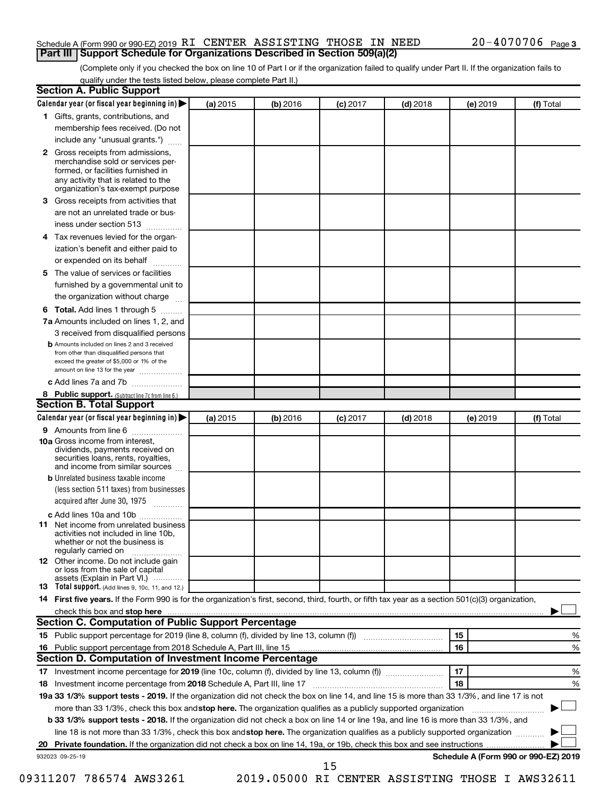#### Schedule A (Form 990 or 990-EZ) 2019 RI CENTER ASSISTING THOSE IN NEED  $20-4070706$  Page **Part III Support Schedule for Organizations Described in Section 509(a)(2)**

(Complete only if you checked the box on line 10 of Part I or if the organization failed to qualify under Part II. If the organization fails to qualify under the tests listed below, please complete Part II.)

|    | <b>Section A. Public Support</b>                                                                                                                                                                |          |          |            |            |          |                                      |
|----|-------------------------------------------------------------------------------------------------------------------------------------------------------------------------------------------------|----------|----------|------------|------------|----------|--------------------------------------|
|    | Calendar year (or fiscal year beginning in)                                                                                                                                                     | (a) 2015 | (b) 2016 | $(c)$ 2017 | $(d)$ 2018 | (e) 2019 | (f) Total                            |
|    | 1 Gifts, grants, contributions, and                                                                                                                                                             |          |          |            |            |          |                                      |
|    | membership fees received. (Do not                                                                                                                                                               |          |          |            |            |          |                                      |
|    | include any "unusual grants.")                                                                                                                                                                  |          |          |            |            |          |                                      |
|    | <b>2</b> Gross receipts from admissions,<br>merchandise sold or services per-<br>formed, or facilities furnished in<br>any activity that is related to the<br>organization's tax-exempt purpose |          |          |            |            |          |                                      |
|    | 3 Gross receipts from activities that                                                                                                                                                           |          |          |            |            |          |                                      |
|    | are not an unrelated trade or bus-                                                                                                                                                              |          |          |            |            |          |                                      |
|    | iness under section 513                                                                                                                                                                         |          |          |            |            |          |                                      |
|    | 4 Tax revenues levied for the organ-                                                                                                                                                            |          |          |            |            |          |                                      |
|    | ization's benefit and either paid to                                                                                                                                                            |          |          |            |            |          |                                      |
|    | or expended on its behalf                                                                                                                                                                       |          |          |            |            |          |                                      |
|    | 5 The value of services or facilities                                                                                                                                                           |          |          |            |            |          |                                      |
|    | furnished by a governmental unit to                                                                                                                                                             |          |          |            |            |          |                                      |
|    | the organization without charge                                                                                                                                                                 |          |          |            |            |          |                                      |
|    | <b>6 Total.</b> Add lines 1 through 5                                                                                                                                                           |          |          |            |            |          |                                      |
|    | 7a Amounts included on lines 1, 2, and                                                                                                                                                          |          |          |            |            |          |                                      |
|    | 3 received from disqualified persons                                                                                                                                                            |          |          |            |            |          |                                      |
|    | <b>b</b> Amounts included on lines 2 and 3 received<br>from other than disqualified persons that<br>exceed the greater of \$5,000 or 1% of the<br>amount on line 13 for the year                |          |          |            |            |          |                                      |
|    | c Add lines 7a and 7b                                                                                                                                                                           |          |          |            |            |          |                                      |
|    | 8 Public support. (Subtract line 7c from line 6.)                                                                                                                                               |          |          |            |            |          |                                      |
|    | <b>Section B. Total Support</b>                                                                                                                                                                 |          |          |            |            |          |                                      |
|    | Calendar year (or fiscal year beginning in)                                                                                                                                                     | (a) 2015 | (b) 2016 | $(c)$ 2017 | $(d)$ 2018 | (e) 2019 | (f) Total                            |
|    | 9 Amounts from line 6                                                                                                                                                                           |          |          |            |            |          |                                      |
|    | <b>10a</b> Gross income from interest,<br>dividends, payments received on<br>securities loans, rents, royalties,<br>and income from similar sources                                             |          |          |            |            |          |                                      |
|    | <b>b</b> Unrelated business taxable income                                                                                                                                                      |          |          |            |            |          |                                      |
|    | (less section 511 taxes) from businesses                                                                                                                                                        |          |          |            |            |          |                                      |
|    | acquired after June 30, 1975                                                                                                                                                                    |          |          |            |            |          |                                      |
|    | c Add lines 10a and 10b                                                                                                                                                                         |          |          |            |            |          |                                      |
|    | <b>11</b> Net income from unrelated business<br>activities not included in line 10b.<br>whether or not the business is<br>regularly carried on                                                  |          |          |            |            |          |                                      |
|    | 12 Other income. Do not include gain<br>or loss from the sale of capital<br>assets (Explain in Part VI.)                                                                                        |          |          |            |            |          |                                      |
|    | <b>13</b> Total support. (Add lines 9, 10c, 11, and 12.)                                                                                                                                        |          |          |            |            |          |                                      |
|    | 14 First five years. If the Form 990 is for the organization's first, second, third, fourth, or fifth tax year as a section 501(c)(3) organization,                                             |          |          |            |            |          |                                      |
|    |                                                                                                                                                                                                 |          |          |            |            |          |                                      |
|    | Section C. Computation of Public Support Percentage                                                                                                                                             |          |          |            |            |          |                                      |
|    | 15 Public support percentage for 2019 (line 8, column (f), divided by line 13, column (f) <i></i>                                                                                               |          |          |            |            | 15       | %                                    |
|    |                                                                                                                                                                                                 |          |          |            |            | 16       | %                                    |
|    | Section D. Computation of Investment Income Percentage                                                                                                                                          |          |          |            |            |          |                                      |
|    | 17 Investment income percentage for 2019 (line 10c, column (f), divided by line 13, column (f))                                                                                                 |          |          |            |            | 17       | %                                    |
|    | 18 Investment income percentage from 2018 Schedule A, Part III, line 17                                                                                                                         |          |          |            |            | 18       | %                                    |
|    | 19a 33 1/3% support tests - 2019. If the organization did not check the box on line 14, and line 15 is more than 33 1/3%, and line 17 is not                                                    |          |          |            |            |          |                                      |
|    | more than 33 1/3%, check this box and stop here. The organization qualifies as a publicly supported organization                                                                                |          |          |            |            |          |                                      |
|    | b 33 1/3% support tests - 2018. If the organization did not check a box on line 14 or line 19a, and line 16 is more than 33 1/3%, and                                                           |          |          |            |            |          |                                      |
|    | line 18 is not more than 33 1/3%, check this box and stop here. The organization qualifies as a publicly supported organization                                                                 |          |          |            |            |          |                                      |
| 20 |                                                                                                                                                                                                 |          |          |            |            |          |                                      |
|    | 932023 09-25-19                                                                                                                                                                                 |          |          |            |            |          | Schedule A (Form 990 or 990-EZ) 2019 |
|    |                                                                                                                                                                                                 |          |          | 15         |            |          |                                      |

09311207 786574 AWS3261 2019.05000 RI CENTER ASSISTING THOSE I AWS32611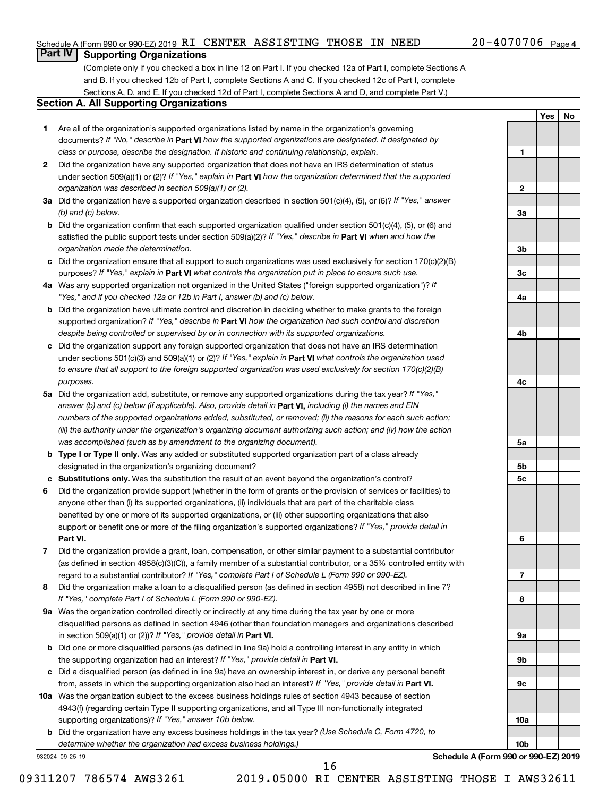**1**

**2**

**3a**

**3b**

**3c**

**4a**

**4b**

**4c**

**5a**

**5b 5c**

**6**

**7**

**8**

**9a**

**9b**

**9c**

**10a**

**10b**

**Yes No**

#### **Part IV Supporting Organizations**

(Complete only if you checked a box in line 12 on Part I. If you checked 12a of Part I, complete Sections A and B. If you checked 12b of Part I, complete Sections A and C. If you checked 12c of Part I, complete Sections A, D, and E. If you checked 12d of Part I, complete Sections A and D, and complete Part V.)

#### **Section A. All Supporting Organizations**

- **1** Are all of the organization's supported organizations listed by name in the organization's governing documents? If "No," describe in Part VI how the supported organizations are designated. If designated by *class or purpose, describe the designation. If historic and continuing relationship, explain.*
- **2** Did the organization have any supported organization that does not have an IRS determination of status under section 509(a)(1) or (2)? If "Yes," explain in Part **VI** how the organization determined that the supported *organization was described in section 509(a)(1) or (2).*
- **3a** Did the organization have a supported organization described in section 501(c)(4), (5), or (6)? If "Yes," answer *(b) and (c) below.*
- **b** Did the organization confirm that each supported organization qualified under section 501(c)(4), (5), or (6) and satisfied the public support tests under section 509(a)(2)? If "Yes," describe in Part VI when and how the *organization made the determination.*
- **c** Did the organization ensure that all support to such organizations was used exclusively for section 170(c)(2)(B) purposes? If "Yes," explain in Part VI what controls the organization put in place to ensure such use.
- **4 a** *If* Was any supported organization not organized in the United States ("foreign supported organization")? *"Yes," and if you checked 12a or 12b in Part I, answer (b) and (c) below.*
- **b** Did the organization have ultimate control and discretion in deciding whether to make grants to the foreign supported organization? If "Yes," describe in Part VI how the organization had such control and discretion *despite being controlled or supervised by or in connection with its supported organizations.*
- **c** Did the organization support any foreign supported organization that does not have an IRS determination under sections 501(c)(3) and 509(a)(1) or (2)? If "Yes," explain in Part VI what controls the organization used *to ensure that all support to the foreign supported organization was used exclusively for section 170(c)(2)(B) purposes.*
- **5a** Did the organization add, substitute, or remove any supported organizations during the tax year? If "Yes," answer (b) and (c) below (if applicable). Also, provide detail in **Part VI,** including (i) the names and EIN *numbers of the supported organizations added, substituted, or removed; (ii) the reasons for each such action; (iii) the authority under the organization's organizing document authorizing such action; and (iv) how the action was accomplished (such as by amendment to the organizing document).*
- **b Type I or Type II only.** Was any added or substituted supported organization part of a class already designated in the organization's organizing document?
- **c Substitutions only.**  Was the substitution the result of an event beyond the organization's control?
- **6** Did the organization provide support (whether in the form of grants or the provision of services or facilities) to **Part VI.** support or benefit one or more of the filing organization's supported organizations? If "Yes," provide detail in anyone other than (i) its supported organizations, (ii) individuals that are part of the charitable class benefited by one or more of its supported organizations, or (iii) other supporting organizations that also
- **7** Did the organization provide a grant, loan, compensation, or other similar payment to a substantial contributor regard to a substantial contributor? If "Yes," complete Part I of Schedule L (Form 990 or 990-EZ). (as defined in section 4958(c)(3)(C)), a family member of a substantial contributor, or a 35% controlled entity with
- **8** Did the organization make a loan to a disqualified person (as defined in section 4958) not described in line 7? *If "Yes," complete Part I of Schedule L (Form 990 or 990-EZ).*
- **9 a** Was the organization controlled directly or indirectly at any time during the tax year by one or more in section 509(a)(1) or (2))? If "Yes," provide detail in **Part VI.** disqualified persons as defined in section 4946 (other than foundation managers and organizations described
- **b** Did one or more disqualified persons (as defined in line 9a) hold a controlling interest in any entity in which the supporting organization had an interest? If "Yes," provide detail in Part VI.
- **c** Did a disqualified person (as defined in line 9a) have an ownership interest in, or derive any personal benefit from, assets in which the supporting organization also had an interest? If "Yes," provide detail in Part VI.
- **10 a** Was the organization subject to the excess business holdings rules of section 4943 because of section supporting organizations)? If "Yes," answer 10b below. 4943(f) (regarding certain Type II supporting organizations, and all Type III non-functionally integrated
	- **b** Did the organization have any excess business holdings in the tax year? (Use Schedule C, Form 4720, to *determine whether the organization had excess business holdings.)*

932024 09-25-19

**Schedule A (Form 990 or 990-EZ) 2019**

16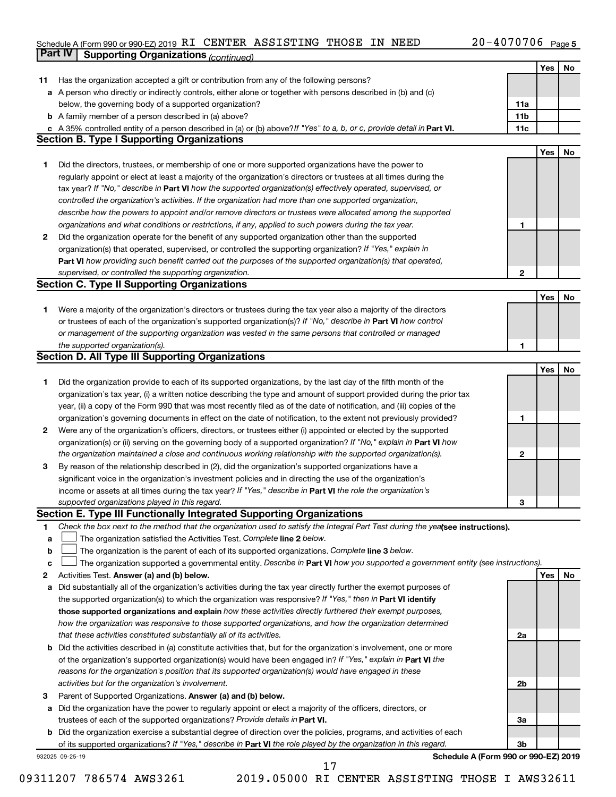#### Schedule A (Form 990 or 990-EZ) 2019 RT CENTER ASSISTING THOSE IN NEED  $ZU - 4U / U / U6$  Page **Part IV Supporting Organizations** *(continued)* RI CENTER ASSISTING THOSE IN NEED 20-4070706

|    | - - - - - ອ                                                                                                                     |                 | Yes        | No |
|----|---------------------------------------------------------------------------------------------------------------------------------|-----------------|------------|----|
| 11 | Has the organization accepted a gift or contribution from any of the following persons?                                         |                 |            |    |
|    | a A person who directly or indirectly controls, either alone or together with persons described in (b) and (c)                  |                 |            |    |
|    | below, the governing body of a supported organization?                                                                          | 11a             |            |    |
|    | <b>b</b> A family member of a person described in (a) above?                                                                    | 11 <sub>b</sub> |            |    |
|    | c A 35% controlled entity of a person described in (a) or (b) above? If "Yes" to a, b, or c, provide detail in Part VI.         | 11c             |            |    |
|    | <b>Section B. Type I Supporting Organizations</b>                                                                               |                 |            |    |
|    |                                                                                                                                 |                 | <b>Yes</b> | No |
| 1  | Did the directors, trustees, or membership of one or more supported organizations have the power to                             |                 |            |    |
|    | regularly appoint or elect at least a majority of the organization's directors or trustees at all times during the              |                 |            |    |
|    | tax year? If "No," describe in Part VI how the supported organization(s) effectively operated, supervised, or                   |                 |            |    |
|    | controlled the organization's activities. If the organization had more than one supported organization,                         |                 |            |    |
|    | describe how the powers to appoint and/or remove directors or trustees were allocated among the supported                       |                 |            |    |
|    | organizations and what conditions or restrictions, if any, applied to such powers during the tax year.                          | 1               |            |    |
| 2  | Did the organization operate for the benefit of any supported organization other than the supported                             |                 |            |    |
|    | organization(s) that operated, supervised, or controlled the supporting organization? If "Yes," explain in                      |                 |            |    |
|    | Part VI how providing such benefit carried out the purposes of the supported organization(s) that operated,                     |                 |            |    |
|    | supervised, or controlled the supporting organization.                                                                          | $\mathbf{2}$    |            |    |
|    | <b>Section C. Type II Supporting Organizations</b>                                                                              |                 |            |    |
|    |                                                                                                                                 |                 | Yes        | No |
| 1. | Were a majority of the organization's directors or trustees during the tax year also a majority of the directors                |                 |            |    |
|    | or trustees of each of the organization's supported organization(s)? If "No," describe in Part VI how control                   |                 |            |    |
|    | or management of the supporting organization was vested in the same persons that controlled or managed                          |                 |            |    |
|    | the supported organization(s).                                                                                                  | 1               |            |    |
|    | Section D. All Type III Supporting Organizations                                                                                |                 |            |    |
|    |                                                                                                                                 |                 | Yes        | No |
| 1  | Did the organization provide to each of its supported organizations, by the last day of the fifth month of the                  |                 |            |    |
|    | organization's tax year, (i) a written notice describing the type and amount of support provided during the prior tax           |                 |            |    |
|    | year, (ii) a copy of the Form 990 that was most recently filed as of the date of notification, and (iii) copies of the          |                 |            |    |
|    | organization's governing documents in effect on the date of notification, to the extent not previously provided?                | 1               |            |    |
| 2  | Were any of the organization's officers, directors, or trustees either (i) appointed or elected by the supported                |                 |            |    |
|    | organization(s) or (ii) serving on the governing body of a supported organization? If "No," explain in Part VI how              |                 |            |    |
|    | the organization maintained a close and continuous working relationship with the supported organization(s).                     | 2               |            |    |
| 3  | By reason of the relationship described in (2), did the organization's supported organizations have a                           |                 |            |    |
|    | significant voice in the organization's investment policies and in directing the use of the organization's                      |                 |            |    |
|    | income or assets at all times during the tax year? If "Yes," describe in Part VI the role the organization's                    |                 |            |    |
|    | supported organizations played in this regard.                                                                                  | З               |            |    |
|    | Section E. Type III Functionally Integrated Supporting Organizations                                                            |                 |            |    |
| 1  | Check the box next to the method that the organization used to satisfy the Integral Part Test during the yealsee instructions). |                 |            |    |
| а  | The organization satisfied the Activities Test. Complete line 2 below.                                                          |                 |            |    |
| b  | The organization is the parent of each of its supported organizations. Complete line 3 below.                                   |                 |            |    |
| с  | The organization supported a governmental entity. Describe in Part VI how you supported a government entity (see instructions). |                 |            |    |
| 2  | Activities Test. Answer (a) and (b) below.                                                                                      |                 | Yes        | No |
| а  | Did substantially all of the organization's activities during the tax year directly further the exempt purposes of              |                 |            |    |
|    | the supported organization(s) to which the organization was responsive? If "Yes," then in Part VI identify                      |                 |            |    |
|    | those supported organizations and explain how these activities directly furthered their exempt purposes,                        |                 |            |    |
|    | how the organization was responsive to those supported organizations, and how the organization determined                       |                 |            |    |
|    | that these activities constituted substantially all of its activities.                                                          | 2a              |            |    |
|    | <b>b</b> Did the activities described in (a) constitute activities that, but for the organization's involvement, one or more    |                 |            |    |
|    | of the organization's supported organization(s) would have been engaged in? If "Yes," explain in Part VI the                    |                 |            |    |
|    | reasons for the organization's position that its supported organization(s) would have engaged in these                          |                 |            |    |
|    | activities but for the organization's involvement.                                                                              | 2b              |            |    |
| з  | Parent of Supported Organizations. Answer (a) and (b) below.                                                                    |                 |            |    |
| а  | Did the organization have the power to regularly appoint or elect a majority of the officers, directors, or                     |                 |            |    |
|    | trustees of each of the supported organizations? Provide details in Part VI.                                                    | 3a              |            |    |
|    | <b>b</b> Did the organization exercise a substantial degree of direction over the policies, programs, and activities of each    |                 |            |    |
|    | of its supported organizations? If "Yes," describe in Part VI the role played by the organization in this regard.               | 3 <sub>b</sub>  |            |    |
|    | Schedule A (Form 990 or 990-EZ) 2019<br>932025 09-25-19                                                                         |                 |            |    |
|    | 17                                                                                                                              |                 |            |    |

09311207 786574 AWS3261 2019.05000 RI CENTER ASSISTING THOSE I AWS32611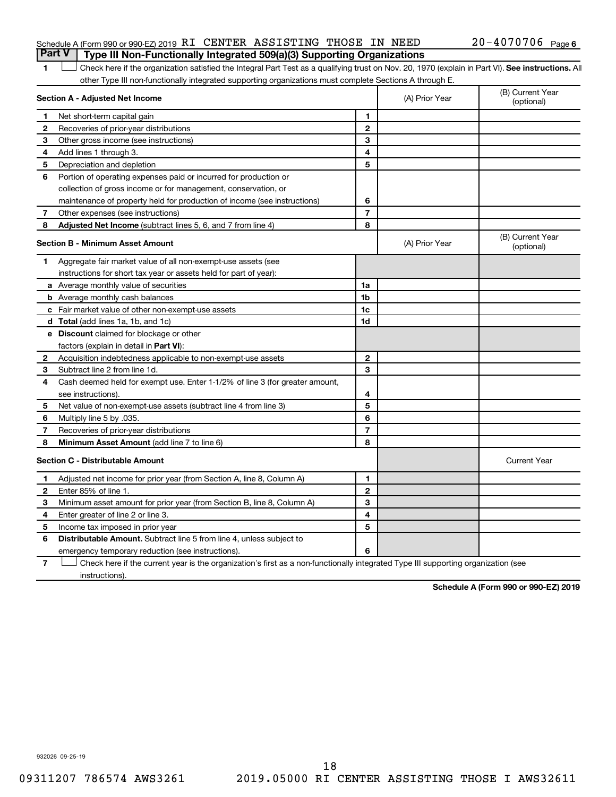#### Schedule A (Form 990 or 990-EZ) 2019 RI CENTER ASSISTING THOSE IN NEED  $20-4070706$  Page **Part V Type III Non-Functionally Integrated 509(a)(3) Supporting Organizations**

1 **Letter See instructions.** All Check here if the organization satisfied the Integral Part Test as a qualifying trust on Nov. 20, 1970 (explain in Part VI). See instructions. All other Type III non-functionally integrated supporting organizations must complete Sections A through E.

|              | Section A - Adjusted Net Income                                              |                | (A) Prior Year | (B) Current Year<br>(optional) |
|--------------|------------------------------------------------------------------------------|----------------|----------------|--------------------------------|
| 1            | Net short-term capital gain                                                  | 1              |                |                                |
| 2            | Recoveries of prior-year distributions                                       | $\mathbf{2}$   |                |                                |
| 3            | Other gross income (see instructions)                                        | 3              |                |                                |
| 4            | Add lines 1 through 3.                                                       | 4              |                |                                |
| 5            | Depreciation and depletion                                                   | 5              |                |                                |
| 6            | Portion of operating expenses paid or incurred for production or             |                |                |                                |
|              | collection of gross income or for management, conservation, or               |                |                |                                |
|              | maintenance of property held for production of income (see instructions)     | 6              |                |                                |
| 7            | Other expenses (see instructions)                                            | $\overline{7}$ |                |                                |
| 8            | Adjusted Net Income (subtract lines 5, 6, and 7 from line 4)                 | 8              |                |                                |
|              | <b>Section B - Minimum Asset Amount</b>                                      |                | (A) Prior Year | (B) Current Year<br>(optional) |
| 1.           | Aggregate fair market value of all non-exempt-use assets (see                |                |                |                                |
|              | instructions for short tax year or assets held for part of year):            |                |                |                                |
|              | a Average monthly value of securities                                        | 1a             |                |                                |
|              | <b>b</b> Average monthly cash balances                                       | 1 <sub>b</sub> |                |                                |
|              | c Fair market value of other non-exempt-use assets                           | 1c             |                |                                |
|              | d Total (add lines 1a, 1b, and 1c)                                           | 1 <sub>d</sub> |                |                                |
|              | e Discount claimed for blockage or other                                     |                |                |                                |
|              | factors (explain in detail in <b>Part VI</b> ):                              |                |                |                                |
| 2            | Acquisition indebtedness applicable to non-exempt-use assets                 | $\mathbf{2}$   |                |                                |
| З            | Subtract line 2 from line 1d.                                                | 3              |                |                                |
| 4            | Cash deemed held for exempt use. Enter 1-1/2% of line 3 (for greater amount, |                |                |                                |
|              | see instructions)                                                            | 4              |                |                                |
| 5            | Net value of non-exempt-use assets (subtract line 4 from line 3)             | 5              |                |                                |
| 6            | Multiply line 5 by .035.                                                     | 6              |                |                                |
| 7            | Recoveries of prior-year distributions                                       | $\overline{7}$ |                |                                |
| 8            | Minimum Asset Amount (add line 7 to line 6)                                  | 8              |                |                                |
|              | <b>Section C - Distributable Amount</b>                                      |                |                | <b>Current Year</b>            |
| 1            | Adjusted net income for prior year (from Section A, line 8, Column A)        | 1              |                |                                |
| $\mathbf{2}$ | Enter 85% of line 1.                                                         | $\mathbf{2}$   |                |                                |
| 3            | Minimum asset amount for prior year (from Section B, line 8, Column A)       | 3              |                |                                |
| 4            | Enter greater of line 2 or line 3.                                           | 4              |                |                                |
| 5            | Income tax imposed in prior year                                             | 5              |                |                                |
| 6            | Distributable Amount. Subtract line 5 from line 4, unless subject to         |                |                |                                |
|              | emergency temporary reduction (see instructions).                            | 6              |                |                                |
|              |                                                                              |                |                |                                |

**7** Check here if the current year is the organization's first as a non-functionally integrated Type III supporting organization (see † instructions).

**Schedule A (Form 990 or 990-EZ) 2019**

932026 09-25-19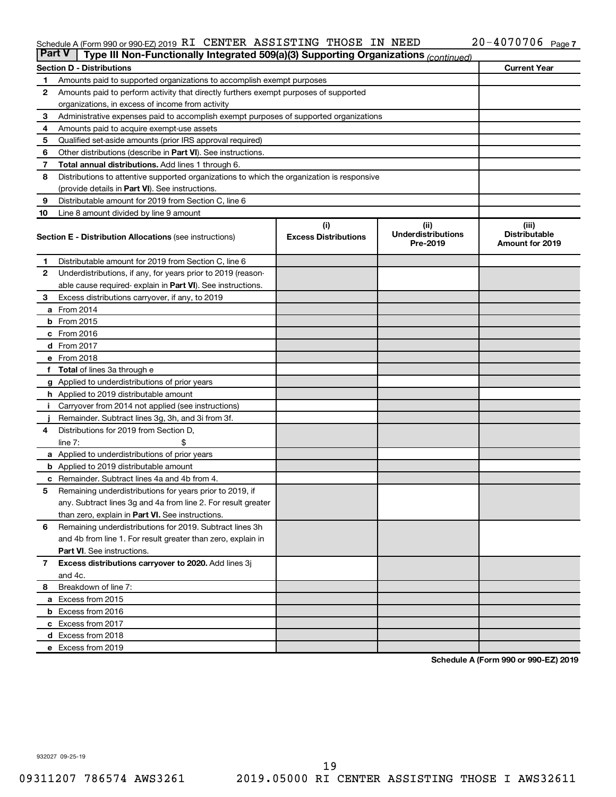#### Schedule A (Form 990 or 990-EZ) 2019 RT CENTER ASSISTING THOSE IN NEED  $ZU - 4U / U / U6$  Page RI CENTER ASSISTING THOSE IN NEED 20-4070706

| <b>Part V</b> | Type III Non-Functionally Integrated 509(a)(3) Supporting Organizations (continued)        |                                    |                                               |                                                         |  |  |  |  |
|---------------|--------------------------------------------------------------------------------------------|------------------------------------|-----------------------------------------------|---------------------------------------------------------|--|--|--|--|
|               | <b>Section D - Distributions</b>                                                           |                                    |                                               | <b>Current Year</b>                                     |  |  |  |  |
| 1             | Amounts paid to supported organizations to accomplish exempt purposes                      |                                    |                                               |                                                         |  |  |  |  |
| $\mathbf{2}$  | Amounts paid to perform activity that directly furthers exempt purposes of supported       |                                    |                                               |                                                         |  |  |  |  |
|               | organizations, in excess of income from activity                                           |                                    |                                               |                                                         |  |  |  |  |
| 3             | Administrative expenses paid to accomplish exempt purposes of supported organizations      |                                    |                                               |                                                         |  |  |  |  |
| 4             | Amounts paid to acquire exempt-use assets                                                  |                                    |                                               |                                                         |  |  |  |  |
| 5             | Qualified set-aside amounts (prior IRS approval required)                                  |                                    |                                               |                                                         |  |  |  |  |
| 6             | Other distributions (describe in <b>Part VI</b> ). See instructions.                       |                                    |                                               |                                                         |  |  |  |  |
| 7             | Total annual distributions. Add lines 1 through 6.                                         |                                    |                                               |                                                         |  |  |  |  |
| 8             | Distributions to attentive supported organizations to which the organization is responsive |                                    |                                               |                                                         |  |  |  |  |
|               | (provide details in Part VI). See instructions.                                            |                                    |                                               |                                                         |  |  |  |  |
| 9             | Distributable amount for 2019 from Section C, line 6                                       |                                    |                                               |                                                         |  |  |  |  |
| 10            | Line 8 amount divided by line 9 amount                                                     |                                    |                                               |                                                         |  |  |  |  |
|               | <b>Section E - Distribution Allocations (see instructions)</b>                             | (i)<br><b>Excess Distributions</b> | (ii)<br><b>Underdistributions</b><br>Pre-2019 | (iii)<br><b>Distributable</b><br><b>Amount for 2019</b> |  |  |  |  |
| 1             | Distributable amount for 2019 from Section C, line 6                                       |                                    |                                               |                                                         |  |  |  |  |
| 2             | Underdistributions, if any, for years prior to 2019 (reason-                               |                                    |                                               |                                                         |  |  |  |  |
|               | able cause required-explain in Part VI). See instructions.                                 |                                    |                                               |                                                         |  |  |  |  |
| 3             | Excess distributions carryover, if any, to 2019                                            |                                    |                                               |                                                         |  |  |  |  |
|               | a From 2014                                                                                |                                    |                                               |                                                         |  |  |  |  |
|               | <b>b</b> From 2015                                                                         |                                    |                                               |                                                         |  |  |  |  |
|               | c From 2016                                                                                |                                    |                                               |                                                         |  |  |  |  |
|               | d From 2017                                                                                |                                    |                                               |                                                         |  |  |  |  |
|               | e From 2018                                                                                |                                    |                                               |                                                         |  |  |  |  |
|               | f Total of lines 3a through e                                                              |                                    |                                               |                                                         |  |  |  |  |
|               | <b>g</b> Applied to underdistributions of prior years                                      |                                    |                                               |                                                         |  |  |  |  |
|               | <b>h</b> Applied to 2019 distributable amount                                              |                                    |                                               |                                                         |  |  |  |  |
| Ť.            | Carryover from 2014 not applied (see instructions)                                         |                                    |                                               |                                                         |  |  |  |  |
|               | Remainder. Subtract lines 3g, 3h, and 3i from 3f.                                          |                                    |                                               |                                                         |  |  |  |  |
| 4             | Distributions for 2019 from Section D,                                                     |                                    |                                               |                                                         |  |  |  |  |
|               | line $7:$                                                                                  |                                    |                                               |                                                         |  |  |  |  |
|               | a Applied to underdistributions of prior years                                             |                                    |                                               |                                                         |  |  |  |  |
|               | <b>b</b> Applied to 2019 distributable amount                                              |                                    |                                               |                                                         |  |  |  |  |
| c             | Remainder. Subtract lines 4a and 4b from 4.                                                |                                    |                                               |                                                         |  |  |  |  |
| 5             | Remaining underdistributions for years prior to 2019, if                                   |                                    |                                               |                                                         |  |  |  |  |
|               | any. Subtract lines 3g and 4a from line 2. For result greater                              |                                    |                                               |                                                         |  |  |  |  |
|               | than zero, explain in Part VI. See instructions.                                           |                                    |                                               |                                                         |  |  |  |  |
| 6             | Remaining underdistributions for 2019. Subtract lines 3h                                   |                                    |                                               |                                                         |  |  |  |  |
|               | and 4b from line 1. For result greater than zero, explain in                               |                                    |                                               |                                                         |  |  |  |  |
|               | <b>Part VI.</b> See instructions.                                                          |                                    |                                               |                                                         |  |  |  |  |
| $\mathbf{7}$  | Excess distributions carryover to 2020. Add lines 3j                                       |                                    |                                               |                                                         |  |  |  |  |
|               | and 4c.                                                                                    |                                    |                                               |                                                         |  |  |  |  |
| 8             | Breakdown of line 7:                                                                       |                                    |                                               |                                                         |  |  |  |  |
|               | a Excess from 2015                                                                         |                                    |                                               |                                                         |  |  |  |  |
|               | <b>b</b> Excess from 2016                                                                  |                                    |                                               |                                                         |  |  |  |  |
|               | c Excess from 2017                                                                         |                                    |                                               |                                                         |  |  |  |  |
|               | d Excess from 2018                                                                         |                                    |                                               |                                                         |  |  |  |  |
|               | e Excess from 2019                                                                         |                                    |                                               |                                                         |  |  |  |  |

**Schedule A (Form 990 or 990-EZ) 2019**

932027 09-25-19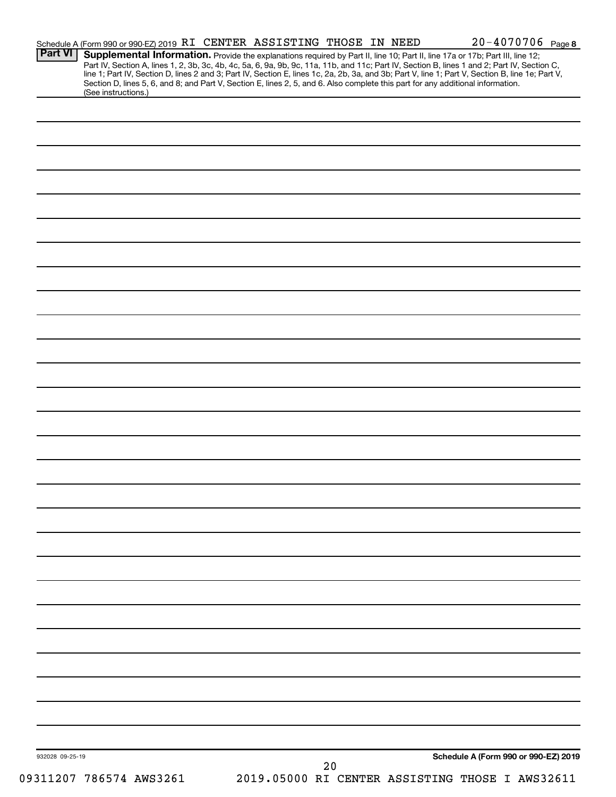| <b>Part VI</b>  | Schedule A (Form 990 or 990-EZ) 2019 RI CENTER ASSISTING THOSE IN NEED |  |  |  | $20 - 4070706$ Page 8                                                                                                                                                                                                                  |  |
|-----------------|------------------------------------------------------------------------|--|--|--|----------------------------------------------------------------------------------------------------------------------------------------------------------------------------------------------------------------------------------------|--|
|                 |                                                                        |  |  |  | <b>Supplemental Information.</b> Provide the explanations required by Part II, line 10; Part II, line 17a or 17b; Part III, line 12;<br>Part IV, Section A, lines 1, 2, 3b, 3c, 4b, 4c, 5a, 6, 9a, 9b, 9c, 11a, 11b, and 11c; Part IV, |  |
|                 |                                                                        |  |  |  |                                                                                                                                                                                                                                        |  |
|                 |                                                                        |  |  |  | Section D, lines 5, 6, and 8; and Part V, Section E, lines 2, 5, and 6. Also complete this part for any additional information.                                                                                                        |  |
|                 | (See instructions.)                                                    |  |  |  |                                                                                                                                                                                                                                        |  |
|                 |                                                                        |  |  |  |                                                                                                                                                                                                                                        |  |
|                 |                                                                        |  |  |  |                                                                                                                                                                                                                                        |  |
|                 |                                                                        |  |  |  |                                                                                                                                                                                                                                        |  |
|                 |                                                                        |  |  |  |                                                                                                                                                                                                                                        |  |
|                 |                                                                        |  |  |  |                                                                                                                                                                                                                                        |  |
|                 |                                                                        |  |  |  |                                                                                                                                                                                                                                        |  |
|                 |                                                                        |  |  |  |                                                                                                                                                                                                                                        |  |
|                 |                                                                        |  |  |  |                                                                                                                                                                                                                                        |  |
|                 |                                                                        |  |  |  |                                                                                                                                                                                                                                        |  |
|                 |                                                                        |  |  |  |                                                                                                                                                                                                                                        |  |
|                 |                                                                        |  |  |  |                                                                                                                                                                                                                                        |  |
|                 |                                                                        |  |  |  |                                                                                                                                                                                                                                        |  |
|                 |                                                                        |  |  |  |                                                                                                                                                                                                                                        |  |
|                 |                                                                        |  |  |  |                                                                                                                                                                                                                                        |  |
|                 |                                                                        |  |  |  |                                                                                                                                                                                                                                        |  |
|                 |                                                                        |  |  |  |                                                                                                                                                                                                                                        |  |
|                 |                                                                        |  |  |  |                                                                                                                                                                                                                                        |  |
|                 |                                                                        |  |  |  |                                                                                                                                                                                                                                        |  |
|                 |                                                                        |  |  |  |                                                                                                                                                                                                                                        |  |
|                 |                                                                        |  |  |  |                                                                                                                                                                                                                                        |  |
|                 |                                                                        |  |  |  |                                                                                                                                                                                                                                        |  |
|                 |                                                                        |  |  |  |                                                                                                                                                                                                                                        |  |
|                 |                                                                        |  |  |  |                                                                                                                                                                                                                                        |  |
|                 |                                                                        |  |  |  |                                                                                                                                                                                                                                        |  |
|                 |                                                                        |  |  |  |                                                                                                                                                                                                                                        |  |
|                 |                                                                        |  |  |  |                                                                                                                                                                                                                                        |  |
|                 |                                                                        |  |  |  |                                                                                                                                                                                                                                        |  |
|                 |                                                                        |  |  |  |                                                                                                                                                                                                                                        |  |
|                 |                                                                        |  |  |  |                                                                                                                                                                                                                                        |  |
|                 |                                                                        |  |  |  |                                                                                                                                                                                                                                        |  |
|                 |                                                                        |  |  |  |                                                                                                                                                                                                                                        |  |
|                 |                                                                        |  |  |  |                                                                                                                                                                                                                                        |  |
|                 |                                                                        |  |  |  |                                                                                                                                                                                                                                        |  |
|                 |                                                                        |  |  |  |                                                                                                                                                                                                                                        |  |
|                 |                                                                        |  |  |  |                                                                                                                                                                                                                                        |  |
|                 |                                                                        |  |  |  |                                                                                                                                                                                                                                        |  |
|                 |                                                                        |  |  |  |                                                                                                                                                                                                                                        |  |
|                 |                                                                        |  |  |  |                                                                                                                                                                                                                                        |  |
|                 |                                                                        |  |  |  |                                                                                                                                                                                                                                        |  |
|                 |                                                                        |  |  |  |                                                                                                                                                                                                                                        |  |
|                 |                                                                        |  |  |  |                                                                                                                                                                                                                                        |  |
|                 |                                                                        |  |  |  |                                                                                                                                                                                                                                        |  |
|                 |                                                                        |  |  |  |                                                                                                                                                                                                                                        |  |
|                 |                                                                        |  |  |  |                                                                                                                                                                                                                                        |  |
|                 |                                                                        |  |  |  |                                                                                                                                                                                                                                        |  |
|                 |                                                                        |  |  |  |                                                                                                                                                                                                                                        |  |
|                 |                                                                        |  |  |  |                                                                                                                                                                                                                                        |  |
|                 |                                                                        |  |  |  |                                                                                                                                                                                                                                        |  |
|                 |                                                                        |  |  |  |                                                                                                                                                                                                                                        |  |
|                 |                                                                        |  |  |  |                                                                                                                                                                                                                                        |  |
|                 |                                                                        |  |  |  |                                                                                                                                                                                                                                        |  |
|                 |                                                                        |  |  |  |                                                                                                                                                                                                                                        |  |
|                 |                                                                        |  |  |  |                                                                                                                                                                                                                                        |  |
|                 |                                                                        |  |  |  |                                                                                                                                                                                                                                        |  |
|                 |                                                                        |  |  |  |                                                                                                                                                                                                                                        |  |
| 932028 09-25-19 |                                                                        |  |  |  | Schedule A (Form 990 or 990-EZ) 2019                                                                                                                                                                                                   |  |
|                 | 09311207 786574 AWS3261                                                |  |  |  | 20<br>2019.05000 RI CENTER ASSISTING THOSE I AWS32611                                                                                                                                                                                  |  |
|                 |                                                                        |  |  |  |                                                                                                                                                                                                                                        |  |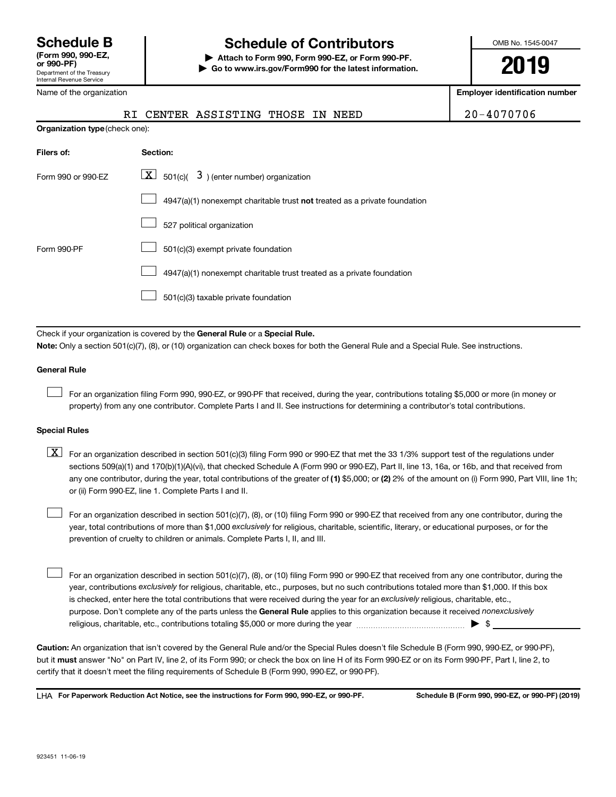# **Schedule B Schedule of Contributors**

**or 990-PF) | Attach to Form 990, Form 990-EZ, or Form 990-PF. | Go to www.irs.gov/Form990 for the latest information.** OMB No. 1545-0047

**2019**

**Employer identification number**

| Department of the Treasury<br>Internal Revenue Service |
|--------------------------------------------------------|
| Name of the organization                               |

**Organization type** (check one):

| Filers of:         | <b>Section:</b>                                                                    |
|--------------------|------------------------------------------------------------------------------------|
| Form 990 or 990-EZ | $\lfloor \mathbf{X} \rfloor$ 501(c)( 3) (enter number) organization                |
|                    | $4947(a)(1)$ nonexempt charitable trust <b>not</b> treated as a private foundation |
|                    | 527 political organization                                                         |
| Form 990-PF        | 501(c)(3) exempt private foundation                                                |
|                    | 4947(a)(1) nonexempt charitable trust treated as a private foundation              |
|                    | 501(c)(3) taxable private foundation                                               |
|                    |                                                                                    |

Check if your organization is covered by the General Rule or a Special Rule. **Note:**  Only a section 501(c)(7), (8), or (10) organization can check boxes for both the General Rule and a Special Rule. See instructions.

#### **General Rule**

 $\Box$ 

For an organization filing Form 990, 990-EZ, or 990-PF that received, during the year, contributions totaling \$5,000 or more (in money or property) from any one contributor. Complete Parts I and II. See instructions for determining a contributor's total contributions.

#### **Special Rules**

any one contributor, during the year, total contributions of the greater of (1) \$5,000; or (2) 2% of the amount on (i) Form 990, Part VIII, line 1h;  $\boxed{\text{X}}$  For an organization described in section 501(c)(3) filing Form 990 or 990-EZ that met the 33 1/3% support test of the regulations under sections 509(a)(1) and 170(b)(1)(A)(vi), that checked Schedule A (Form 990 or 990-EZ), Part II, line 13, 16a, or 16b, and that received from or (ii) Form 990-EZ, line 1. Complete Parts I and II.

year, total contributions of more than \$1,000 *exclusively* for religious, charitable, scientific, literary, or educational purposes, or for the For an organization described in section 501(c)(7), (8), or (10) filing Form 990 or 990-EZ that received from any one contributor, during the prevention of cruelty to children or animals. Complete Parts I, II, and III.  $\Box$ 

purpose. Don't complete any of the parts unless the General Rule applies to this organization because it received nonexclusively year, contributions exclusively for religious, charitable, etc., purposes, but no such contributions totaled more than \$1,000. If this box is checked, enter here the total contributions that were received during the year for an exclusively religious, charitable, etc., For an organization described in section 501(c)(7), (8), or (10) filing Form 990 or 990-EZ that received from any one contributor, during the religious, charitable, etc., contributions totaling \$5,000 or more during the year  $~\ldots\ldots\ldots\ldots\ldots\ldots\ldots\ldots\ldots\blacktriangleright~$ \$  $\Box$ 

**Caution:**  An organization that isn't covered by the General Rule and/or the Special Rules doesn't file Schedule B (Form 990, 990-EZ, or 990-PF),  **must** but it answer "No" on Part IV, line 2, of its Form 990; or check the box on line H of its Form 990-EZ or on its Form 990-PF, Part I, line 2, to certify that it doesn't meet the filing requirements of Schedule B (Form 990, 990-EZ, or 990-PF).

**For Paperwork Reduction Act Notice, see the instructions for Form 990, 990-EZ, or 990-PF. Schedule B (Form 990, 990-EZ, or 990-PF) (2019)** LHA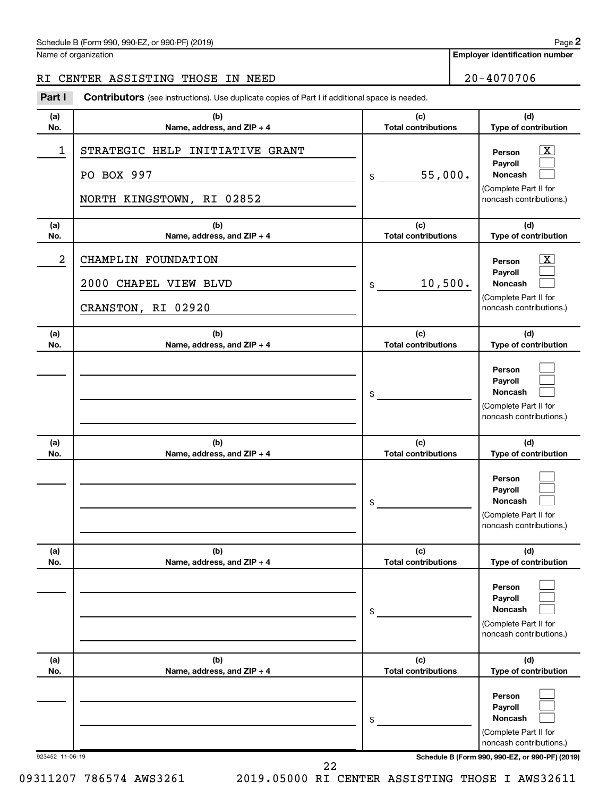#### Schedule B (Form 990, 990-EZ, or 990-PF) (2019)

Name of organization

#### RI CENTER ASSISTING THOSE IN NEED 20-4070706

**Part I** Contributors (see instructions). Use duplicate copies of Part I if additional space is needed.

| (a)             | (b)                                                                        | (c)                        | (d)                                                                                                                                 |
|-----------------|----------------------------------------------------------------------------|----------------------------|-------------------------------------------------------------------------------------------------------------------------------------|
| No.             | Name, address, and ZIP + 4                                                 | <b>Total contributions</b> | Type of contribution                                                                                                                |
| 1               | STRATEGIC HELP INITIATIVE GRANT<br>PO BOX 997<br>NORTH KINGSTOWN, RI 02852 | 55,000.<br>\$              | $\lfloor x \rfloor$<br>Person<br>Payroll<br><b>Noncash</b><br>(Complete Part II for<br>noncash contributions.)                      |
| (a)             | (b)                                                                        | (c)                        | (d)                                                                                                                                 |
| No.             | Name, address, and ZIP + 4                                                 | <b>Total contributions</b> | Type of contribution                                                                                                                |
| $\overline{2}$  | CHAMPLIN FOUNDATION<br>2000<br>CHAPEL VIEW BLVD<br>CRANSTON, RI 02920      | 10,500.<br>\$              | $\mathbf{X}$<br>Person<br>Payroll<br>Noncash<br>(Complete Part II for<br>noncash contributions.)                                    |
| (a)             | (b)                                                                        | (c)                        | (d)                                                                                                                                 |
| No.             | Name, address, and ZIP + 4                                                 | <b>Total contributions</b> | Type of contribution                                                                                                                |
|                 |                                                                            | \$                         | Person<br>Payroll<br>Noncash<br>(Complete Part II for<br>noncash contributions.)                                                    |
| (a)             | (b)                                                                        | (c)                        | (d)                                                                                                                                 |
| No.             | Name, address, and ZIP + 4                                                 | <b>Total contributions</b> | Type of contribution                                                                                                                |
|                 |                                                                            | \$                         | Person<br>Payroll<br>Noncash<br>(Complete Part II for<br>noncash contributions.)                                                    |
| (a)             | (b)                                                                        | (c)                        | (d)                                                                                                                                 |
| No.             | Name, address, and ZIP + 4                                                 | <b>Total contributions</b> | Type of contribution                                                                                                                |
|                 |                                                                            | \$                         | Person<br>Payroll<br>Noncash<br>(Complete Part II for<br>noncash contributions.)                                                    |
| (a)             | (b)                                                                        | (c)                        | (d)                                                                                                                                 |
| No.             | Name, address, and ZIP + 4                                                 | <b>Total contributions</b> | Type of contribution                                                                                                                |
| 923452 11-06-19 |                                                                            | \$                         | Person<br>Payroll<br>Noncash<br>(Complete Part II for<br>noncash contributions.)<br>Schedule B (Form 990, 990-EZ, or 990-PF) (2019) |

**2**

22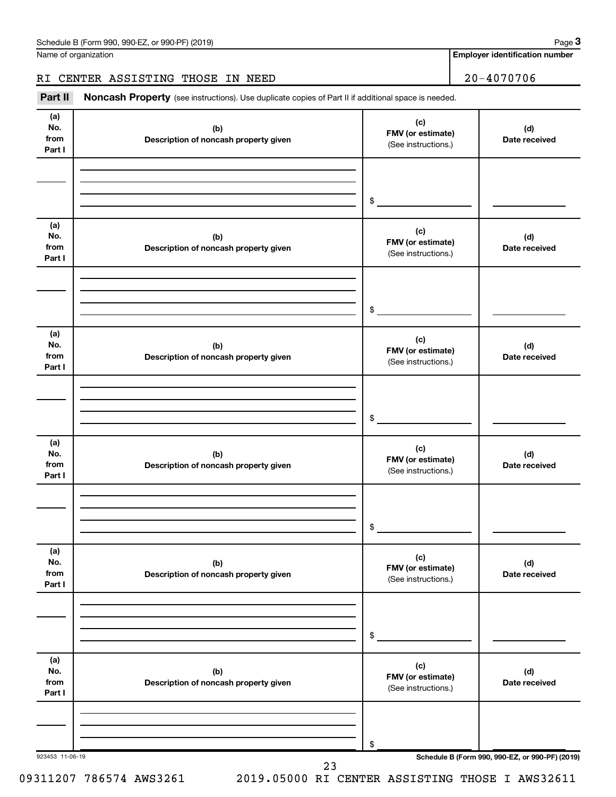Name of organization

**Employer identification number**

#### RI CENTER ASSISTING THOSE IN NEED 20-4070706

Part II Noncash Property (see instructions). Use duplicate copies of Part II if additional space is needed.

| (a)<br>No.<br>from<br>Part I | (b)<br>Description of noncash property given | (c)<br>FMV (or estimate)<br>(See instructions.) | (d)<br>Date received                            |
|------------------------------|----------------------------------------------|-------------------------------------------------|-------------------------------------------------|
|                              |                                              | \$                                              |                                                 |
| (a)<br>No.<br>from<br>Part I | (b)<br>Description of noncash property given | (c)<br>FMV (or estimate)<br>(See instructions.) | (d)<br>Date received                            |
|                              |                                              | \$                                              |                                                 |
| (a)<br>No.<br>from<br>Part I | (b)<br>Description of noncash property given | (c)<br>FMV (or estimate)<br>(See instructions.) | (d)<br>Date received                            |
|                              |                                              | \$                                              |                                                 |
| (a)<br>No.<br>from<br>Part I | (b)<br>Description of noncash property given | (c)<br>FMV (or estimate)<br>(See instructions.) | (d)<br>Date received                            |
|                              |                                              | \$                                              |                                                 |
| (a)<br>No.<br>from<br>Part I | (b)<br>Description of noncash property given | (c)<br>FMV (or estimate)<br>(See instructions.) | (d)<br>Date received                            |
|                              |                                              | \$                                              |                                                 |
| (a)<br>No.<br>from<br>Part I | (b)<br>Description of noncash property given | (c)<br>FMV (or estimate)<br>(See instructions.) | (d)<br>Date received                            |
| 923453 11-06-19              |                                              | \$                                              | Schedule B (Form 990, 990-EZ, or 990-PF) (2019) |

09311207 786574 AWS3261 2019.05000 RI CENTER ASSISTING THOSE I AWS32611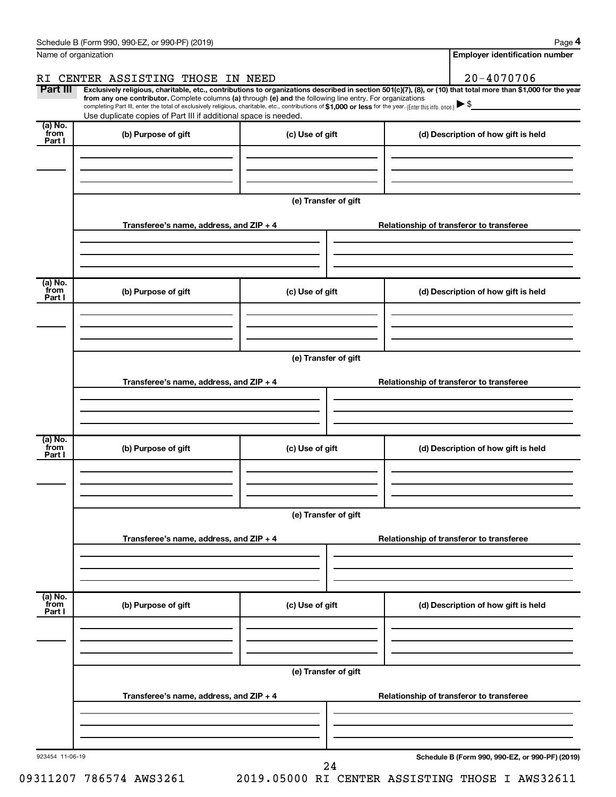| Name of organization       |                                                                                                                                                                                                                                                                              |                      |                                                 | <b>Employer identification number</b>                                                                                |
|----------------------------|------------------------------------------------------------------------------------------------------------------------------------------------------------------------------------------------------------------------------------------------------------------------------|----------------------|-------------------------------------------------|----------------------------------------------------------------------------------------------------------------------|
|                            | RI CENTER ASSISTING THOSE IN NEED                                                                                                                                                                                                                                            |                      |                                                 | $20 - 4070706$                                                                                                       |
| Part III                   | Exclusively religious, charitable, etc., contributions to organizations described in section 501(c)(7), (8), or (10) that total more than \$1,000 for the year<br>from any one contributor. Complete columns (a) through (e) and the following line entry. For organizations |                      |                                                 |                                                                                                                      |
|                            | completing Part III, enter the total of exclusively religious, charitable, etc., contributions of \$1,000 or less for the year. (Enterthis info. once.)<br>Use duplicate copies of Part III if additional space is needed.                                                   |                      |                                                 | <u> 1990 - Jan Jawa Barat, prima prima prima prima prima prima prima prima prima prima prima prima prima prima p</u> |
| (a) No.<br>`from           |                                                                                                                                                                                                                                                                              |                      |                                                 |                                                                                                                      |
| Part I                     | (b) Purpose of gift                                                                                                                                                                                                                                                          | (c) Use of gift      | (d) Description of how gift is held             |                                                                                                                      |
|                            |                                                                                                                                                                                                                                                                              |                      |                                                 |                                                                                                                      |
|                            |                                                                                                                                                                                                                                                                              |                      |                                                 |                                                                                                                      |
|                            |                                                                                                                                                                                                                                                                              |                      |                                                 |                                                                                                                      |
|                            |                                                                                                                                                                                                                                                                              | (e) Transfer of gift |                                                 |                                                                                                                      |
|                            | Transferee's name, address, and $ZIP + 4$                                                                                                                                                                                                                                    |                      | Relationship of transferor to transferee        |                                                                                                                      |
|                            |                                                                                                                                                                                                                                                                              |                      |                                                 |                                                                                                                      |
|                            |                                                                                                                                                                                                                                                                              |                      |                                                 |                                                                                                                      |
|                            |                                                                                                                                                                                                                                                                              |                      |                                                 |                                                                                                                      |
| (a) No.<br>`from<br>Part I | (b) Purpose of gift                                                                                                                                                                                                                                                          | (c) Use of gift      | (d) Description of how gift is held             |                                                                                                                      |
|                            |                                                                                                                                                                                                                                                                              |                      |                                                 |                                                                                                                      |
|                            |                                                                                                                                                                                                                                                                              |                      |                                                 |                                                                                                                      |
|                            |                                                                                                                                                                                                                                                                              |                      |                                                 |                                                                                                                      |
|                            |                                                                                                                                                                                                                                                                              | (e) Transfer of gift |                                                 |                                                                                                                      |
|                            | Transferee's name, address, and $ZIP + 4$                                                                                                                                                                                                                                    |                      | Relationship of transferor to transferee        |                                                                                                                      |
|                            |                                                                                                                                                                                                                                                                              |                      |                                                 |                                                                                                                      |
|                            |                                                                                                                                                                                                                                                                              |                      |                                                 |                                                                                                                      |
|                            |                                                                                                                                                                                                                                                                              |                      |                                                 |                                                                                                                      |
| (a) No.<br>`from           | (b) Purpose of gift                                                                                                                                                                                                                                                          | (c) Use of gift      | (d) Description of how gift is held             |                                                                                                                      |
| Part I                     |                                                                                                                                                                                                                                                                              |                      |                                                 |                                                                                                                      |
|                            |                                                                                                                                                                                                                                                                              |                      |                                                 |                                                                                                                      |
|                            |                                                                                                                                                                                                                                                                              |                      |                                                 |                                                                                                                      |
|                            |                                                                                                                                                                                                                                                                              | (e) Transfer of gift |                                                 |                                                                                                                      |
|                            |                                                                                                                                                                                                                                                                              |                      |                                                 |                                                                                                                      |
|                            | Transferee's name, address, and ZIP + 4                                                                                                                                                                                                                                      |                      | Relationship of transferor to transferee        |                                                                                                                      |
|                            |                                                                                                                                                                                                                                                                              |                      |                                                 |                                                                                                                      |
|                            |                                                                                                                                                                                                                                                                              |                      |                                                 |                                                                                                                      |
| (a) No.<br>from            |                                                                                                                                                                                                                                                                              |                      |                                                 |                                                                                                                      |
| Part I                     | (b) Purpose of gift                                                                                                                                                                                                                                                          | (c) Use of gift      | (d) Description of how gift is held             |                                                                                                                      |
|                            |                                                                                                                                                                                                                                                                              |                      |                                                 |                                                                                                                      |
|                            |                                                                                                                                                                                                                                                                              |                      |                                                 |                                                                                                                      |
|                            |                                                                                                                                                                                                                                                                              |                      |                                                 |                                                                                                                      |
|                            |                                                                                                                                                                                                                                                                              | (e) Transfer of gift |                                                 |                                                                                                                      |
|                            | Transferee's name, address, and $ZIP + 4$                                                                                                                                                                                                                                    |                      | Relationship of transferor to transferee        |                                                                                                                      |
|                            |                                                                                                                                                                                                                                                                              |                      |                                                 |                                                                                                                      |
|                            |                                                                                                                                                                                                                                                                              |                      |                                                 |                                                                                                                      |
|                            |                                                                                                                                                                                                                                                                              |                      |                                                 |                                                                                                                      |
|                            |                                                                                                                                                                                                                                                                              |                      | Schedule B (Form 990, 990-EZ, or 990-PF) (2019) |                                                                                                                      |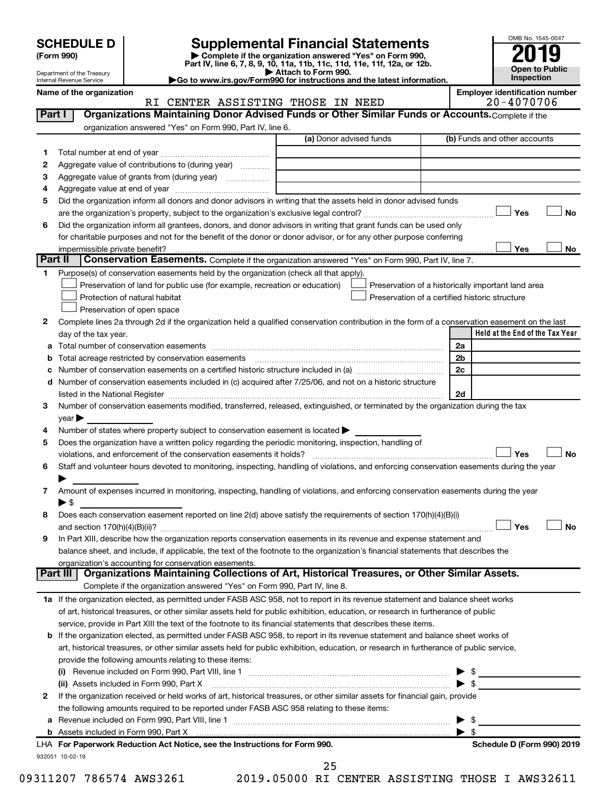| (Form 990) |  |
|------------|--|
|------------|--|

# **SCHEDULE D Supplemental Financial Statements**<br> **Form 990 2019**<br> **Part IV** line 6.7.8.9.10, 11a, 11b, 11d, 11d, 11d, 11d, 11d, 12a, 0r, 12b

**(Form 990) | Complete if the organization answered "Yes" on Form 990, Part IV, line 6, 7, 8, 9, 10, 11a, 11b, 11c, 11d, 11e, 11f, 12a, or 12b.**

**| Attach to Form 990. |Go to www.irs.gov/Form990 for instructions and the latest information.**



Department of the Treasury Internal Revenue Service

Name of the organization<br>**RI CENTER ASSISTING THOSE IN NEED Employer identification number**<br>20-4070706 RI CENTER ASSISTING THOSE IN NEED

| Part I       | Organizations Maintaining Donor Advised Funds or Other Similar Funds or Accounts. Complete if the                                              |                         |                                                       |
|--------------|------------------------------------------------------------------------------------------------------------------------------------------------|-------------------------|-------------------------------------------------------|
|              | organization answered "Yes" on Form 990, Part IV, line 6.                                                                                      | (a) Donor advised funds | (b) Funds and other accounts                          |
|              |                                                                                                                                                |                         |                                                       |
| 1            |                                                                                                                                                |                         |                                                       |
| 2            | Aggregate value of contributions to (during year)                                                                                              |                         |                                                       |
| 3            |                                                                                                                                                |                         |                                                       |
| 4            |                                                                                                                                                |                         |                                                       |
| 5            | Did the organization inform all donors and donor advisors in writing that the assets held in donor advised funds                               |                         | <b>No</b>                                             |
|              |                                                                                                                                                |                         | Yes                                                   |
| 6            | Did the organization inform all grantees, donors, and donor advisors in writing that grant funds can be used only                              |                         |                                                       |
|              | for charitable purposes and not for the benefit of the donor or donor advisor, or for any other purpose conferring                             |                         |                                                       |
| Part II      | impermissible private benefit?<br>Conservation Easements. Complete if the organization answered "Yes" on Form 990, Part IV, line 7.            |                         | Yes<br>No                                             |
| 1            | Purpose(s) of conservation easements held by the organization (check all that apply).                                                          |                         |                                                       |
|              | Preservation of land for public use (for example, recreation or education)                                                                     |                         | Preservation of a historically important land area    |
|              | Protection of natural habitat                                                                                                                  |                         | Preservation of a certified historic structure        |
|              | Preservation of open space                                                                                                                     |                         |                                                       |
| 2            | Complete lines 2a through 2d if the organization held a qualified conservation contribution in the form of a conservation easement on the last |                         |                                                       |
|              | day of the tax year.                                                                                                                           |                         | Held at the End of the Tax Year                       |
| а            |                                                                                                                                                |                         | 2a                                                    |
| b            | Total acreage restricted by conservation easements                                                                                             |                         | 2 <sub>b</sub>                                        |
|              |                                                                                                                                                |                         | 2c                                                    |
|              | d Number of conservation easements included in (c) acquired after 7/25/06, and not on a historic structure                                     |                         |                                                       |
|              |                                                                                                                                                |                         | 2d                                                    |
| 3            | Number of conservation easements modified, transferred, released, extinguished, or terminated by the organization during the tax               |                         |                                                       |
|              | $year \blacktriangleright$                                                                                                                     |                         |                                                       |
| 4            | Number of states where property subject to conservation easement is located >                                                                  |                         |                                                       |
| 5            | Does the organization have a written policy regarding the periodic monitoring, inspection, handling of                                         |                         |                                                       |
|              | violations, and enforcement of the conservation easements it holds?                                                                            |                         | Yes<br>No                                             |
| 6            | Staff and volunteer hours devoted to monitoring, inspecting, handling of violations, and enforcing conservation easements during the year      |                         |                                                       |
|              |                                                                                                                                                |                         |                                                       |
| 7            | Amount of expenses incurred in monitoring, inspecting, handling of violations, and enforcing conservation easements during the year            |                         |                                                       |
|              | $\blacktriangleright$ \$                                                                                                                       |                         |                                                       |
| 8            | Does each conservation easement reported on line 2(d) above satisfy the requirements of section 170(h)(4)(B)(i)                                |                         |                                                       |
|              |                                                                                                                                                |                         | Yes<br><b>No</b>                                      |
| 9            | In Part XIII, describe how the organization reports conservation easements in its revenue and expense statement and                            |                         |                                                       |
|              | balance sheet, and include, if applicable, the text of the footnote to the organization's financial statements that describes the              |                         |                                                       |
|              | organization's accounting for conservation easements.                                                                                          |                         |                                                       |
|              | Organizations Maintaining Collections of Art, Historical Treasures, or Other Similar Assets.<br>Part III                                       |                         |                                                       |
|              | Complete if the organization answered "Yes" on Form 990, Part IV, line 8.                                                                      |                         |                                                       |
|              | 1a If the organization elected, as permitted under FASB ASC 958, not to report in its revenue statement and balance sheet works                |                         |                                                       |
|              | of art, historical treasures, or other similar assets held for public exhibition, education, or research in furtherance of public              |                         |                                                       |
|              | service, provide in Part XIII the text of the footnote to its financial statements that describes these items.                                 |                         |                                                       |
|              | b If the organization elected, as permitted under FASB ASC 958, to report in its revenue statement and balance sheet works of                  |                         |                                                       |
|              | art, historical treasures, or other similar assets held for public exhibition, education, or research in furtherance of public service,        |                         |                                                       |
|              | provide the following amounts relating to these items:                                                                                         |                         |                                                       |
|              |                                                                                                                                                |                         | $\triangleright$ \$                                   |
|              | (ii) Assets included in Form 990, Part X                                                                                                       |                         | $\blacktriangleright$ \$                              |
| $\mathbf{2}$ | If the organization received or held works of art, historical treasures, or other similar assets for financial gain, provide                   |                         |                                                       |
|              | the following amounts required to be reported under FASB ASC 958 relating to these items:                                                      |                         |                                                       |
|              |                                                                                                                                                |                         | - \$<br>▶                                             |
|              | LHA For Paperwork Reduction Act Notice, see the Instructions for Form 990.                                                                     |                         | $\blacktriangleright$ s<br>Schedule D (Form 990) 2019 |
|              | 932051 10-02-19                                                                                                                                |                         |                                                       |
|              |                                                                                                                                                | 25                      |                                                       |

09311207 786574 AWS3261 2019.05000 RI CENTER ASSISTING THOSE I AWS32611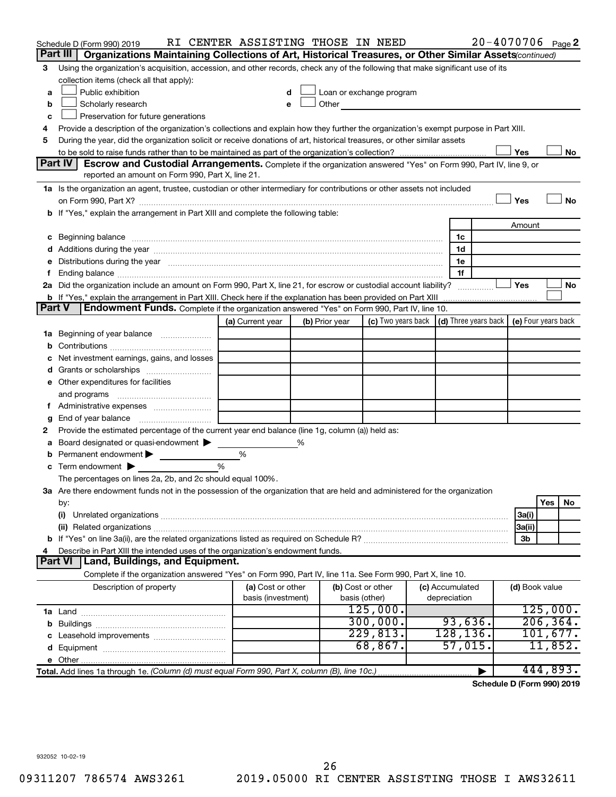|               | Schedule D (Form 990) 2019                                                                                                                                                                                                          | RI CENTER ASSISTING THOSE IN NEED       |   |                |                                                                                                                                                                                                                               |                                                                             |   | $20 - 4070706$ Page 2 |           |    |
|---------------|-------------------------------------------------------------------------------------------------------------------------------------------------------------------------------------------------------------------------------------|-----------------------------------------|---|----------------|-------------------------------------------------------------------------------------------------------------------------------------------------------------------------------------------------------------------------------|-----------------------------------------------------------------------------|---|-----------------------|-----------|----|
|               | Part III  <br>Organizations Maintaining Collections of Art, Historical Treasures, or Other Similar Assets (continued)                                                                                                               |                                         |   |                |                                                                                                                                                                                                                               |                                                                             |   |                       |           |    |
| 3             | Using the organization's acquisition, accession, and other records, check any of the following that make significant use of its                                                                                                     |                                         |   |                |                                                                                                                                                                                                                               |                                                                             |   |                       |           |    |
|               | collection items (check all that apply):                                                                                                                                                                                            |                                         |   |                |                                                                                                                                                                                                                               |                                                                             |   |                       |           |    |
| a             | Public exhibition                                                                                                                                                                                                                   |                                         |   |                | Loan or exchange program                                                                                                                                                                                                      |                                                                             |   |                       |           |    |
| b             | Scholarly research                                                                                                                                                                                                                  |                                         |   |                | Other and the contract of the contract of the contract of the contract of the contract of the contract of the contract of the contract of the contract of the contract of the contract of the contract of the contract of the |                                                                             |   |                       |           |    |
| с             | Preservation for future generations                                                                                                                                                                                                 |                                         |   |                |                                                                                                                                                                                                                               |                                                                             |   |                       |           |    |
| 4             | Provide a description of the organization's collections and explain how they further the organization's exempt purpose in Part XIII.                                                                                                |                                         |   |                |                                                                                                                                                                                                                               |                                                                             |   |                       |           |    |
| 5             | During the year, did the organization solicit or receive donations of art, historical treasures, or other similar assets                                                                                                            |                                         |   |                |                                                                                                                                                                                                                               |                                                                             |   |                       |           |    |
|               | Part IV                                                                                                                                                                                                                             |                                         |   |                |                                                                                                                                                                                                                               |                                                                             |   | Yes                   |           | No |
|               | <b>Escrow and Custodial Arrangements.</b> Complete if the organization answered "Yes" on Form 990, Part IV, line 9, or<br>reported an amount on Form 990, Part X, line 21.                                                          |                                         |   |                |                                                                                                                                                                                                                               |                                                                             |   |                       |           |    |
|               | 1a Is the organization an agent, trustee, custodian or other intermediary for contributions or other assets not included                                                                                                            |                                         |   |                |                                                                                                                                                                                                                               |                                                                             |   |                       |           |    |
|               | on Form 990, Part X? [11] matter contracts and contracts and contracts are contracted and contracts are contracted and contract and contract of the contract of the contract of the contract of the contract of the contract o      |                                         |   |                |                                                                                                                                                                                                                               |                                                                             |   | Yes                   |           | No |
|               | b If "Yes," explain the arrangement in Part XIII and complete the following table:                                                                                                                                                  |                                         |   |                |                                                                                                                                                                                                                               |                                                                             |   |                       |           |    |
|               |                                                                                                                                                                                                                                     |                                         |   |                |                                                                                                                                                                                                                               |                                                                             |   | Amount                |           |    |
|               | c Beginning balance <b>communications</b> and the contract of the contract of the contract of the contract of the contract of the contract of the contract of the contract of the contract of the contract of the contract of the c |                                         |   |                |                                                                                                                                                                                                                               | 1c                                                                          |   |                       |           |    |
|               | d Additions during the year measurement contains and a final state of the year measurement of the year measurement of the state of the state of the state of the state of the state of the state of the state of the state of       |                                         |   |                |                                                                                                                                                                                                                               | 1d                                                                          |   |                       |           |    |
|               | e Distributions during the year manufactured and an intervention of the year manufactured by the state of the state of the state of the state of the state of the state of the state of the state of the state of the state of      |                                         |   |                |                                                                                                                                                                                                                               | 1e                                                                          |   |                       |           |    |
|               |                                                                                                                                                                                                                                     |                                         |   |                |                                                                                                                                                                                                                               | 1f                                                                          |   |                       |           |    |
|               | 2a Did the organization include an amount on Form 990, Part X, line 21, for escrow or custodial account liability?                                                                                                                  |                                         |   |                |                                                                                                                                                                                                                               |                                                                             |   | ∣ Yes                 |           | No |
|               |                                                                                                                                                                                                                                     |                                         |   |                |                                                                                                                                                                                                                               |                                                                             |   |                       |           |    |
| <b>Part V</b> | Endowment Funds. Complete if the organization answered "Yes" on Form 990, Part IV, line 10.                                                                                                                                         |                                         |   |                |                                                                                                                                                                                                                               |                                                                             |   |                       |           |    |
|               |                                                                                                                                                                                                                                     | (a) Current year                        |   | (b) Prior year |                                                                                                                                                                                                                               | (c) Two years back $\vert$ (d) Three years back $\vert$ (e) Four years back |   |                       |           |    |
|               | 1a Beginning of year balance                                                                                                                                                                                                        |                                         |   |                |                                                                                                                                                                                                                               |                                                                             |   |                       |           |    |
| b             |                                                                                                                                                                                                                                     |                                         |   |                |                                                                                                                                                                                                                               |                                                                             |   |                       |           |    |
|               | Net investment earnings, gains, and losses                                                                                                                                                                                          |                                         |   |                |                                                                                                                                                                                                                               |                                                                             |   |                       |           |    |
|               |                                                                                                                                                                                                                                     |                                         |   |                |                                                                                                                                                                                                                               |                                                                             |   |                       |           |    |
|               | e Other expenditures for facilities                                                                                                                                                                                                 |                                         |   |                |                                                                                                                                                                                                                               |                                                                             |   |                       |           |    |
|               |                                                                                                                                                                                                                                     |                                         |   |                |                                                                                                                                                                                                                               |                                                                             |   |                       |           |    |
|               | f Administrative expenses                                                                                                                                                                                                           |                                         |   |                |                                                                                                                                                                                                                               |                                                                             |   |                       |           |    |
| g             |                                                                                                                                                                                                                                     |                                         |   |                |                                                                                                                                                                                                                               |                                                                             |   |                       |           |    |
| 2             | Provide the estimated percentage of the current year end balance (line 1g, column (a)) held as:                                                                                                                                     |                                         |   |                |                                                                                                                                                                                                                               |                                                                             |   |                       |           |    |
| а             | Board designated or quasi-endowment                                                                                                                                                                                                 |                                         | % |                |                                                                                                                                                                                                                               |                                                                             |   |                       |           |    |
|               | <b>b</b> Permanent endowment $\blacktriangleright$<br>$\mathbf c$ Term endowment $\blacktriangleright$                                                                                                                              | %<br>$\frac{0}{0}$                      |   |                |                                                                                                                                                                                                                               |                                                                             |   |                       |           |    |
|               | The percentages on lines 2a, 2b, and 2c should equal 100%.                                                                                                                                                                          |                                         |   |                |                                                                                                                                                                                                                               |                                                                             |   |                       |           |    |
|               | 3a Are there endowment funds not in the possession of the organization that are held and administered for the organization                                                                                                          |                                         |   |                |                                                                                                                                                                                                                               |                                                                             |   |                       |           |    |
|               | by:                                                                                                                                                                                                                                 |                                         |   |                |                                                                                                                                                                                                                               |                                                                             |   |                       | Yes       | No |
|               | (i)                                                                                                                                                                                                                                 |                                         |   |                |                                                                                                                                                                                                                               |                                                                             |   | 3a(i)                 |           |    |
|               |                                                                                                                                                                                                                                     |                                         |   |                |                                                                                                                                                                                                                               |                                                                             |   | 3a(ii)                |           |    |
|               |                                                                                                                                                                                                                                     |                                         |   |                |                                                                                                                                                                                                                               |                                                                             |   | 3b                    |           |    |
| 4             | Describe in Part XIII the intended uses of the organization's endowment funds.                                                                                                                                                      |                                         |   |                |                                                                                                                                                                                                                               |                                                                             |   |                       |           |    |
|               | Land, Buildings, and Equipment.<br><b>Part VI</b>                                                                                                                                                                                   |                                         |   |                |                                                                                                                                                                                                                               |                                                                             |   |                       |           |    |
|               | Complete if the organization answered "Yes" on Form 990, Part IV, line 11a. See Form 990, Part X, line 10.                                                                                                                          |                                         |   |                |                                                                                                                                                                                                                               |                                                                             |   |                       |           |    |
|               | Description of property                                                                                                                                                                                                             | (a) Cost or other<br>basis (investment) |   |                | (b) Cost or other<br>basis (other)                                                                                                                                                                                            | (c) Accumulated<br>depreciation                                             |   | (d) Book value        |           |    |
|               |                                                                                                                                                                                                                                     |                                         |   |                | 125,000.                                                                                                                                                                                                                      |                                                                             |   |                       | 125,000.  |    |
|               |                                                                                                                                                                                                                                     |                                         |   |                | 300,000.                                                                                                                                                                                                                      | 93,636.                                                                     |   |                       | 206, 364. |    |
|               |                                                                                                                                                                                                                                     |                                         |   |                | 229,813.                                                                                                                                                                                                                      | 128, 136.                                                                   |   |                       | 101,677.  |    |
|               |                                                                                                                                                                                                                                     |                                         |   |                | 68,867.                                                                                                                                                                                                                       | 57,015.                                                                     |   |                       | 11,852.   |    |
|               |                                                                                                                                                                                                                                     |                                         |   |                |                                                                                                                                                                                                                               |                                                                             |   |                       |           |    |
|               | Total. Add lines 1a through 1e. (Column (d) must equal Form 990, Part X, column (B), line 10c.)                                                                                                                                     |                                         |   |                |                                                                                                                                                                                                                               |                                                                             | ▶ |                       | 444,893.  |    |

**Schedule D (Form 990) 2019**

932052 10-02-19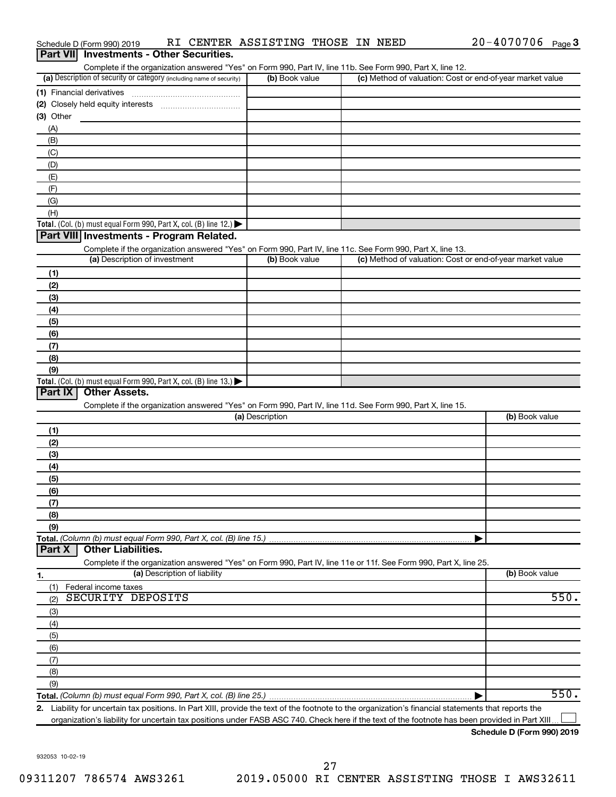| Part VII Investments - Other Securities.                                                                                                                                           |                 |                                                           |                |
|------------------------------------------------------------------------------------------------------------------------------------------------------------------------------------|-----------------|-----------------------------------------------------------|----------------|
| Complete if the organization answered "Yes" on Form 990, Part IV, line 11b. See Form 990, Part X, line 12.<br>(a) Description of security or category (including name of security) | (b) Book value  | (c) Method of valuation: Cost or end-of-year market value |                |
|                                                                                                                                                                                    |                 |                                                           |                |
|                                                                                                                                                                                    |                 |                                                           |                |
| (3) Other                                                                                                                                                                          |                 |                                                           |                |
| (A)                                                                                                                                                                                |                 |                                                           |                |
| (B)                                                                                                                                                                                |                 |                                                           |                |
| (C)                                                                                                                                                                                |                 |                                                           |                |
| (D)                                                                                                                                                                                |                 |                                                           |                |
| (E)                                                                                                                                                                                |                 |                                                           |                |
| (F)                                                                                                                                                                                |                 |                                                           |                |
| (G)                                                                                                                                                                                |                 |                                                           |                |
| (H)                                                                                                                                                                                |                 |                                                           |                |
| Total. (Col. (b) must equal Form 990, Part X, col. (B) line 12.) $\blacktriangleright$                                                                                             |                 |                                                           |                |
| Part VIII Investments - Program Related.                                                                                                                                           |                 |                                                           |                |
| Complete if the organization answered "Yes" on Form 990, Part IV, line 11c. See Form 990, Part X, line 13.                                                                         |                 |                                                           |                |
| (a) Description of investment                                                                                                                                                      | (b) Book value  | (c) Method of valuation: Cost or end-of-year market value |                |
| (1)                                                                                                                                                                                |                 |                                                           |                |
| (2)                                                                                                                                                                                |                 |                                                           |                |
| (3)                                                                                                                                                                                |                 |                                                           |                |
| (4)                                                                                                                                                                                |                 |                                                           |                |
| (5)                                                                                                                                                                                |                 |                                                           |                |
| (6)                                                                                                                                                                                |                 |                                                           |                |
| (7)                                                                                                                                                                                |                 |                                                           |                |
| (8)                                                                                                                                                                                |                 |                                                           |                |
| (9)                                                                                                                                                                                |                 |                                                           |                |
| Total. (Col. (b) must equal Form 990, Part X, col. (B) line 13.) $\blacktriangleright$<br>Part IX<br><b>Other Assets.</b>                                                          |                 |                                                           |                |
|                                                                                                                                                                                    |                 |                                                           |                |
| Complete if the organization answered "Yes" on Form 990, Part IV, line 11d. See Form 990, Part X, line 15.                                                                         | (a) Description |                                                           | (b) Book value |
|                                                                                                                                                                                    |                 |                                                           |                |
| (1)<br>(2)                                                                                                                                                                         |                 |                                                           |                |
| (3)                                                                                                                                                                                |                 |                                                           |                |
| (4)                                                                                                                                                                                |                 |                                                           |                |
| (5)                                                                                                                                                                                |                 |                                                           |                |
| (6)                                                                                                                                                                                |                 |                                                           |                |
| (7)                                                                                                                                                                                |                 |                                                           |                |
| (8)                                                                                                                                                                                |                 |                                                           |                |
| (9)                                                                                                                                                                                |                 |                                                           |                |
| Total. (Column (b) must equal Form 990, Part X, col. (B) line 15.)                                                                                                                 |                 |                                                           |                |
| <b>Other Liabilities.</b><br>Part X                                                                                                                                                |                 |                                                           |                |
| Complete if the organization answered "Yes" on Form 990, Part IV, line 11e or 11f. See Form 990, Part X, line 25.                                                                  |                 |                                                           |                |
| (a) Description of liability<br>1.                                                                                                                                                 |                 |                                                           | (b) Book value |
| Federal income taxes<br>(1)                                                                                                                                                        |                 |                                                           |                |
| SECURITY DEPOSITS<br>(2)                                                                                                                                                           |                 |                                                           | 550.           |
| (3)                                                                                                                                                                                |                 |                                                           |                |
| (4)                                                                                                                                                                                |                 |                                                           |                |
| (5)                                                                                                                                                                                |                 |                                                           |                |
| (6)                                                                                                                                                                                |                 |                                                           |                |
| (7)                                                                                                                                                                                |                 |                                                           |                |
| (8)                                                                                                                                                                                |                 |                                                           |                |
| (9)                                                                                                                                                                                |                 |                                                           |                |
|                                                                                                                                                                                    |                 |                                                           | 550.           |
| 2. Liability for uncertain tax positions. In Part XIII, provide the text of the footnote to the organization's financial statements that reports the                               |                 |                                                           |                |

Schedule D (Form 990) 2019 Page RI CENTER ASSISTING THOSE IN NEED 20-4070706

organization's liability for uncertain tax positions under FASB ASC 740. Check here if the text of the footnote has been provided in Part XIII...

20-4070706 Page 3

932053 10-02-19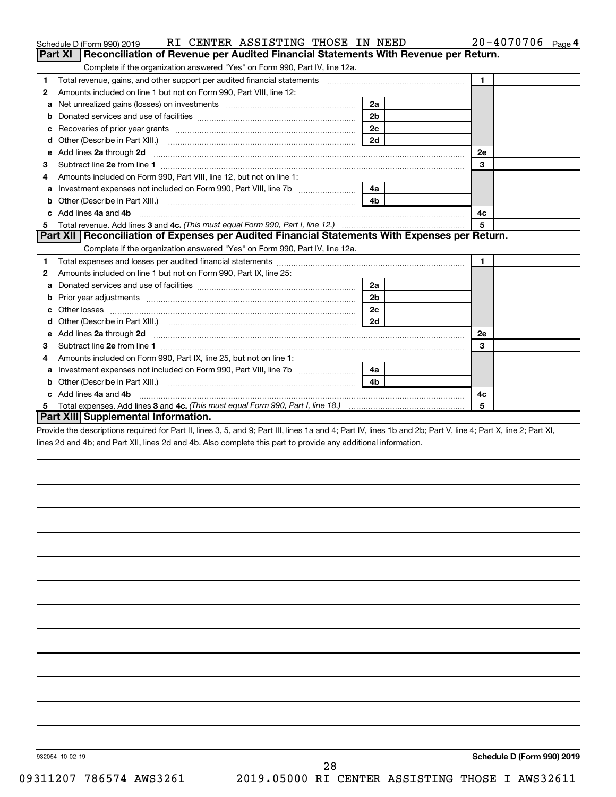|   | RI CENTER ASSISTING THOSE IN NEED<br>Schedule D (Form 990) 2019                                                                                                                                                                     |                | 20-4070706 Page 4 |
|---|-------------------------------------------------------------------------------------------------------------------------------------------------------------------------------------------------------------------------------------|----------------|-------------------|
|   | Reconciliation of Revenue per Audited Financial Statements With Revenue per Return.<br><b>Part XI</b>                                                                                                                               |                |                   |
|   | Complete if the organization answered "Yes" on Form 990, Part IV, line 12a.                                                                                                                                                         |                |                   |
| 1 | Total revenue, gains, and other support per audited financial statements [[[[[[[[[[[[[[[[[[[[[[[[[]]]]]]]]]]]                                                                                                                       |                | $\blacksquare$    |
| 2 | Amounts included on line 1 but not on Form 990, Part VIII, line 12:                                                                                                                                                                 |                |                   |
| a | Net unrealized gains (losses) on investments [11] matter contracts and the unrealized gains (losses) on investments                                                                                                                 | 2a             |                   |
| b |                                                                                                                                                                                                                                     | 2 <sub>b</sub> |                   |
| c |                                                                                                                                                                                                                                     | 2c             |                   |
| d |                                                                                                                                                                                                                                     | 2d             |                   |
| e | Add lines 2a through 2d <b>must be a constructed as a constructed by a</b> construction of the state of the state of the state of the state of the state of the state of the state of the state of the state of the state of the st |                | <b>2e</b>         |
| з |                                                                                                                                                                                                                                     |                | 3                 |
|   | Amounts included on Form 990, Part VIII, line 12, but not on line 1:                                                                                                                                                                |                |                   |
| a |                                                                                                                                                                                                                                     | 4a             |                   |
| b |                                                                                                                                                                                                                                     | 4 <sub>b</sub> |                   |
|   | c Add lines 4a and 4b                                                                                                                                                                                                               |                | 4c                |
| 5 |                                                                                                                                                                                                                                     |                | 5                 |
|   | Part XII   Reconciliation of Expenses per Audited Financial Statements With Expenses per Return.                                                                                                                                    |                |                   |
|   | Complete if the organization answered "Yes" on Form 990, Part IV, line 12a.                                                                                                                                                         |                |                   |
| 1 |                                                                                                                                                                                                                                     |                | $\mathbf{1}$      |
| 2 | Amounts included on line 1 but not on Form 990, Part IX, line 25:                                                                                                                                                                   |                |                   |
| a |                                                                                                                                                                                                                                     | 2a             |                   |
| b |                                                                                                                                                                                                                                     | 2 <sub>b</sub> |                   |
|   |                                                                                                                                                                                                                                     | 2c             |                   |
| d |                                                                                                                                                                                                                                     | 2d             |                   |
| e |                                                                                                                                                                                                                                     |                | <b>2e</b>         |
| 3 |                                                                                                                                                                                                                                     |                | 3                 |
| 4 | Amounts included on Form 990, Part IX, line 25, but not on line 1:                                                                                                                                                                  |                |                   |
| a | Investment expenses not included on Form 990, Part VIII, line 7b [                                                                                                                                                                  | 4a             |                   |
| b |                                                                                                                                                                                                                                     | 4h             |                   |
|   | c Add lines 4a and 4b                                                                                                                                                                                                               |                | 4c                |
|   |                                                                                                                                                                                                                                     |                | 5                 |
|   | Part XIII Supplemental Information.                                                                                                                                                                                                 |                |                   |

Provide the descriptions required for Part II, lines 3, 5, and 9; Part III, lines 1a and 4; Part IV, lines 1b and 2b; Part V, line 4; Part X, line 2; Part XI, lines 2d and 4b; and Part XII, lines 2d and 4b. Also complete this part to provide any additional information.

28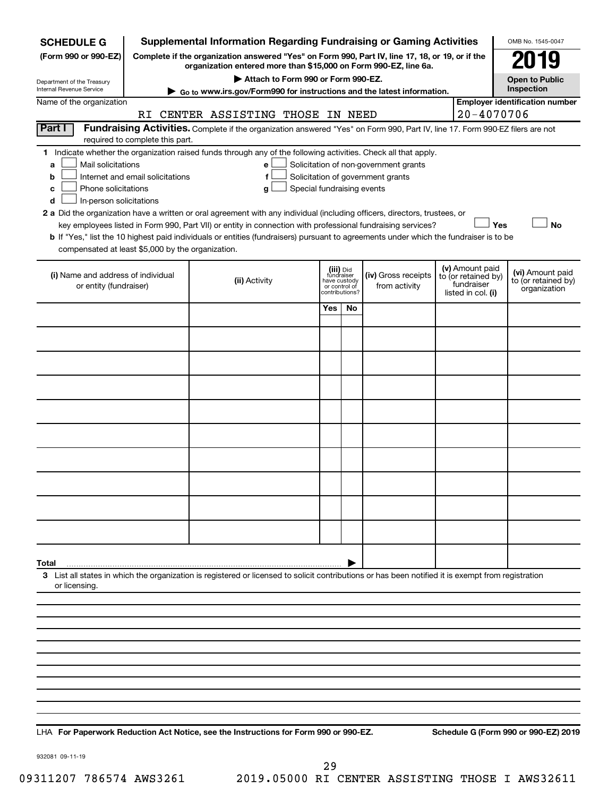| <b>SCHEDULE G</b>                                            |                                                                                                                                                                     | <b>Supplemental Information Regarding Fundraising or Gaming Activities</b>                                                                                                                                                                |                                                          |                |                                                                            |  |                                                                            | OMB No. 1545-0047                                       |
|--------------------------------------------------------------|---------------------------------------------------------------------------------------------------------------------------------------------------------------------|-------------------------------------------------------------------------------------------------------------------------------------------------------------------------------------------------------------------------------------------|----------------------------------------------------------|----------------|----------------------------------------------------------------------------|--|----------------------------------------------------------------------------|---------------------------------------------------------|
| (Form 990 or 990-EZ)                                         | Complete if the organization answered "Yes" on Form 990, Part IV, line 17, 18, or 19, or if the<br>organization entered more than \$15,000 on Form 990-EZ, line 6a. |                                                                                                                                                                                                                                           |                                                          |                |                                                                            |  |                                                                            |                                                         |
| Department of the Treasury                                   | Attach to Form 990 or Form 990-EZ.<br><b>Open to Public</b>                                                                                                         |                                                                                                                                                                                                                                           |                                                          |                |                                                                            |  |                                                                            |                                                         |
| Internal Revenue Service                                     |                                                                                                                                                                     | Go to www.irs.gov/Form990 for instructions and the latest information.                                                                                                                                                                    |                                                          |                |                                                                            |  |                                                                            | Inspection                                              |
| Name of the organization                                     |                                                                                                                                                                     | RI CENTER ASSISTING THOSE IN NEED                                                                                                                                                                                                         |                                                          |                |                                                                            |  | $20 - 4070706$                                                             | <b>Employer identification number</b>                   |
| <b>Part I</b>                                                |                                                                                                                                                                     | Fundraising Activities. Complete if the organization answered "Yes" on Form 990, Part IV, line 17. Form 990-EZ filers are not                                                                                                             |                                                          |                |                                                                            |  |                                                                            |                                                         |
| 1.                                                           | required to complete this part.                                                                                                                                     | Indicate whether the organization raised funds through any of the following activities. Check all that apply.                                                                                                                             |                                                          |                |                                                                            |  |                                                                            |                                                         |
| Mail solicitations<br>a<br>b<br>Phone solicitations<br>с     | Internet and email solicitations                                                                                                                                    | e<br>f<br>Special fundraising events<br>g                                                                                                                                                                                                 |                                                          |                | Solicitation of non-government grants<br>Solicitation of government grants |  |                                                                            |                                                         |
| In-person solicitations<br>d                                 |                                                                                                                                                                     |                                                                                                                                                                                                                                           |                                                          |                |                                                                            |  |                                                                            |                                                         |
|                                                              |                                                                                                                                                                     | 2 a Did the organization have a written or oral agreement with any individual (including officers, directors, trustees, or<br>key employees listed in Form 990, Part VII) or entity in connection with professional fundraising services? |                                                          |                |                                                                            |  | Yes                                                                        | <b>No</b>                                               |
|                                                              |                                                                                                                                                                     | b If "Yes," list the 10 highest paid individuals or entities (fundraisers) pursuant to agreements under which the fundraiser is to be                                                                                                     |                                                          |                |                                                                            |  |                                                                            |                                                         |
| compensated at least \$5,000 by the organization.            |                                                                                                                                                                     |                                                                                                                                                                                                                                           |                                                          |                |                                                                            |  |                                                                            |                                                         |
| (i) Name and address of individual<br>or entity (fundraiser) |                                                                                                                                                                     | (ii) Activity                                                                                                                                                                                                                             | (iii) Did<br>fundraiser<br>have custody<br>or control of | contributions? | (iv) Gross receipts<br>from activity                                       |  | (v) Amount paid<br>to (or retained by)<br>fundraiser<br>listed in col. (i) | (vi) Amount paid<br>to (or retained by)<br>organization |
|                                                              |                                                                                                                                                                     |                                                                                                                                                                                                                                           | Yes                                                      | No             |                                                                            |  |                                                                            |                                                         |
|                                                              |                                                                                                                                                                     |                                                                                                                                                                                                                                           |                                                          |                |                                                                            |  |                                                                            |                                                         |
|                                                              |                                                                                                                                                                     |                                                                                                                                                                                                                                           |                                                          |                |                                                                            |  |                                                                            |                                                         |
|                                                              |                                                                                                                                                                     |                                                                                                                                                                                                                                           |                                                          |                |                                                                            |  |                                                                            |                                                         |
|                                                              |                                                                                                                                                                     |                                                                                                                                                                                                                                           |                                                          |                |                                                                            |  |                                                                            |                                                         |
|                                                              |                                                                                                                                                                     |                                                                                                                                                                                                                                           |                                                          |                |                                                                            |  |                                                                            |                                                         |
|                                                              |                                                                                                                                                                     |                                                                                                                                                                                                                                           |                                                          |                |                                                                            |  |                                                                            |                                                         |
|                                                              |                                                                                                                                                                     |                                                                                                                                                                                                                                           |                                                          |                |                                                                            |  |                                                                            |                                                         |
|                                                              |                                                                                                                                                                     |                                                                                                                                                                                                                                           |                                                          |                |                                                                            |  |                                                                            |                                                         |
|                                                              |                                                                                                                                                                     |                                                                                                                                                                                                                                           |                                                          |                |                                                                            |  |                                                                            |                                                         |
|                                                              |                                                                                                                                                                     |                                                                                                                                                                                                                                           |                                                          |                |                                                                            |  |                                                                            |                                                         |
| Total                                                        |                                                                                                                                                                     |                                                                                                                                                                                                                                           |                                                          |                |                                                                            |  |                                                                            |                                                         |
| or licensing.                                                |                                                                                                                                                                     | 3 List all states in which the organization is registered or licensed to solicit contributions or has been notified it is exempt from registration                                                                                        |                                                          |                |                                                                            |  |                                                                            |                                                         |
|                                                              |                                                                                                                                                                     |                                                                                                                                                                                                                                           |                                                          |                |                                                                            |  |                                                                            |                                                         |
|                                                              |                                                                                                                                                                     |                                                                                                                                                                                                                                           |                                                          |                |                                                                            |  |                                                                            |                                                         |
|                                                              |                                                                                                                                                                     |                                                                                                                                                                                                                                           |                                                          |                |                                                                            |  |                                                                            |                                                         |
|                                                              |                                                                                                                                                                     |                                                                                                                                                                                                                                           |                                                          |                |                                                                            |  |                                                                            |                                                         |
|                                                              |                                                                                                                                                                     |                                                                                                                                                                                                                                           |                                                          |                |                                                                            |  |                                                                            |                                                         |
|                                                              |                                                                                                                                                                     |                                                                                                                                                                                                                                           |                                                          |                |                                                                            |  |                                                                            |                                                         |
|                                                              |                                                                                                                                                                     |                                                                                                                                                                                                                                           |                                                          |                |                                                                            |  |                                                                            |                                                         |
|                                                              |                                                                                                                                                                     |                                                                                                                                                                                                                                           |                                                          |                |                                                                            |  |                                                                            |                                                         |

**For Paperwork Reduction Act Notice, see the Instructions for Form 990 or 990-EZ. Schedule G (Form 990 or 990-EZ) 2019** LHA

932081 09-11-19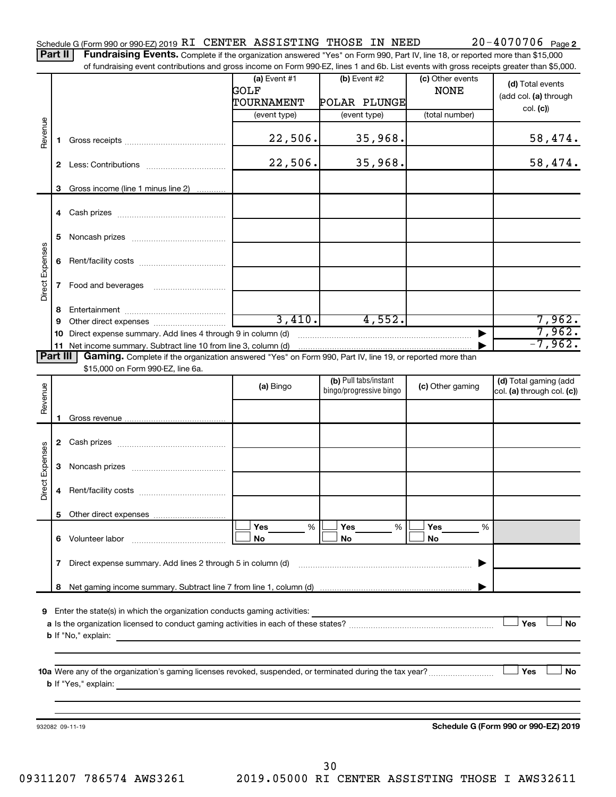Part II | Fundraising Events. Complete if the organization answered "Yes" on Form 990, Part IV, line 18, or reported more than \$15,000 of fundraising event contributions and gross income on Form 990-EZ, lines 1 and 6b. List events with gross receipts greater than \$5,000.

|                        |    | 01 Turidiaishiy event contributions and gross income on Form 990-EZ, illies T and OD. Elst events with gross receipts greater than \$0,000. |                |                         |                  |                                      |
|------------------------|----|---------------------------------------------------------------------------------------------------------------------------------------------|----------------|-------------------------|------------------|--------------------------------------|
|                        |    |                                                                                                                                             | (a) Event $#1$ | $(b)$ Event #2          | (c) Other events | (d) Total events                     |
|                        |    |                                                                                                                                             | GOLF           |                         | <b>NONE</b>      | (add col. (a) through                |
|                        |    |                                                                                                                                             | TOURNAMENT     | POLAR PLUNGE            |                  | col. (c)                             |
|                        |    |                                                                                                                                             | (event type)   | (event type)            | (total number)   |                                      |
| Revenue                | 1. |                                                                                                                                             | 22,506.        | 35,968.                 |                  | 58,474.                              |
|                        |    |                                                                                                                                             | 22,506.        | 35,968.                 |                  | 58,474.                              |
|                        |    |                                                                                                                                             |                |                         |                  |                                      |
|                        | 3  | Gross income (line 1 minus line 2)                                                                                                          |                |                         |                  |                                      |
|                        |    |                                                                                                                                             |                |                         |                  |                                      |
|                        |    |                                                                                                                                             |                |                         |                  |                                      |
|                        |    |                                                                                                                                             |                |                         |                  |                                      |
| Direct Expenses        |    |                                                                                                                                             |                |                         |                  |                                      |
|                        | 8  |                                                                                                                                             |                |                         |                  |                                      |
|                        | 9  |                                                                                                                                             | 3,410.         | 4,552.                  |                  | 7,962.                               |
|                        |    | 10 Direct expense summary. Add lines 4 through 9 in column (d)                                                                              |                |                         |                  | 7,962.                               |
|                        |    | 11 Net income summary. Subtract line 10 from line 3, column (d)                                                                             |                |                         |                  | $-7,962.$                            |
| Part III               |    | Gaming. Complete if the organization answered "Yes" on Form 990, Part IV, line 19, or reported more than                                    |                |                         |                  |                                      |
|                        |    | \$15,000 on Form 990-EZ, line 6a.                                                                                                           |                | (b) Pull tabs/instant   |                  | (d) Total gaming (add                |
| Revenue                |    |                                                                                                                                             | (a) Bingo      | bingo/progressive bingo | (c) Other gaming | col. (a) through col. (c))           |
|                        | 1  |                                                                                                                                             |                |                         |                  |                                      |
|                        |    |                                                                                                                                             |                |                         |                  |                                      |
|                        |    |                                                                                                                                             |                |                         |                  |                                      |
| <b>Direct Expenses</b> |    |                                                                                                                                             |                |                         |                  |                                      |
|                        |    |                                                                                                                                             |                |                         |                  |                                      |
|                        |    |                                                                                                                                             |                |                         |                  |                                      |
|                        |    |                                                                                                                                             | Yes<br>%       | Yes<br>%                | Yes<br>%         |                                      |
|                        |    | 6 Volunteer labor                                                                                                                           | No             | No                      | No               |                                      |
|                        | 7  | Direct expense summary. Add lines 2 through 5 in column (d)                                                                                 |                |                         |                  |                                      |
|                        | 8  |                                                                                                                                             |                |                         |                  |                                      |
|                        |    |                                                                                                                                             |                |                         |                  |                                      |
| 9                      |    | Enter the state(s) in which the organization conducts gaming activities:                                                                    |                |                         |                  |                                      |
|                        |    |                                                                                                                                             |                |                         |                  | Yes<br><b>No</b>                     |
|                        |    | <b>b</b> If "No," explain:                                                                                                                  |                |                         |                  |                                      |
|                        |    |                                                                                                                                             |                |                         |                  |                                      |
|                        |    |                                                                                                                                             |                |                         |                  |                                      |
|                        |    | 10a Were any of the organization's gaming licenses revoked, suspended, or terminated during the tax year?<br><b>b</b> If "Yes," explain:    |                |                         |                  | Yes<br>No                            |
|                        |    |                                                                                                                                             |                |                         |                  |                                      |
|                        |    |                                                                                                                                             |                |                         |                  |                                      |
|                        |    |                                                                                                                                             |                |                         |                  |                                      |
|                        |    | 932082 09-11-19                                                                                                                             |                |                         |                  | Schedule G (Form 990 or 990-EZ) 2019 |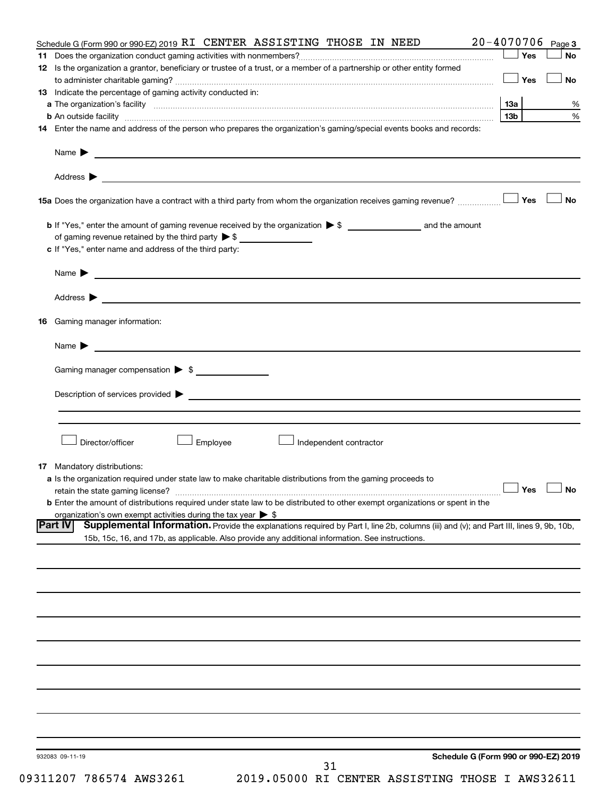| Schedule G (Form 990 or 990-EZ) 2019 RI CENTER ASSISTING THOSE IN NEED                                                                                                                                                                                       | $20 - 4070706$ Page 3 |           |
|--------------------------------------------------------------------------------------------------------------------------------------------------------------------------------------------------------------------------------------------------------------|-----------------------|-----------|
|                                                                                                                                                                                                                                                              | Yes                   | <b>No</b> |
| 12 Is the organization a grantor, beneficiary or trustee of a trust, or a member of a partnership or other entity formed                                                                                                                                     | │Yes                  | <b>No</b> |
| 13 Indicate the percentage of gaming activity conducted in:                                                                                                                                                                                                  |                       |           |
|                                                                                                                                                                                                                                                              |                       | %         |
|                                                                                                                                                                                                                                                              | 13 <sub>b</sub>       | $\%$      |
| 14 Enter the name and address of the person who prepares the organization's gaming/special events books and records:                                                                                                                                         |                       |           |
| Name $\blacktriangleright$<br><u> 1980 - John Stein, Amerikaansk politiker (* 1908)</u>                                                                                                                                                                      |                       |           |
|                                                                                                                                                                                                                                                              |                       |           |
|                                                                                                                                                                                                                                                              |                       | No        |
|                                                                                                                                                                                                                                                              |                       |           |
|                                                                                                                                                                                                                                                              |                       |           |
| c If "Yes," enter name and address of the third party:                                                                                                                                                                                                       |                       |           |
|                                                                                                                                                                                                                                                              |                       |           |
|                                                                                                                                                                                                                                                              |                       |           |
| <b>16</b> Gaming manager information:                                                                                                                                                                                                                        |                       |           |
|                                                                                                                                                                                                                                                              |                       |           |
| Gaming manager compensation > \$                                                                                                                                                                                                                             |                       |           |
|                                                                                                                                                                                                                                                              |                       |           |
|                                                                                                                                                                                                                                                              |                       |           |
|                                                                                                                                                                                                                                                              |                       |           |
| Director/officer<br>Employee<br>Independent contractor                                                                                                                                                                                                       |                       |           |
| <b>17</b> Mandatory distributions:                                                                                                                                                                                                                           |                       |           |
| a Is the organization required under state law to make charitable distributions from the gaming proceeds to                                                                                                                                                  |                       |           |
|                                                                                                                                                                                                                                                              | $\Box$ Yes $\Box$ No  |           |
| <b>b</b> Enter the amount of distributions required under state law to be distributed to other exempt organizations or spent in the                                                                                                                          |                       |           |
| organization's own exempt activities during the tax year $\triangleright$ \$                                                                                                                                                                                 |                       |           |
| Supplemental Information. Provide the explanations required by Part I, line 2b, columns (iii) and (v); and Part III, lines 9, 9b, 10b,<br><b>Part IV</b><br>15b, 15c, 16, and 17b, as applicable. Also provide any additional information. See instructions. |                       |           |
|                                                                                                                                                                                                                                                              |                       |           |
|                                                                                                                                                                                                                                                              |                       |           |
|                                                                                                                                                                                                                                                              |                       |           |
|                                                                                                                                                                                                                                                              |                       |           |
|                                                                                                                                                                                                                                                              |                       |           |
|                                                                                                                                                                                                                                                              |                       |           |
|                                                                                                                                                                                                                                                              |                       |           |
|                                                                                                                                                                                                                                                              |                       |           |
|                                                                                                                                                                                                                                                              |                       |           |
|                                                                                                                                                                                                                                                              |                       |           |
| Schedule G (Form 990 or 990-EZ) 2019<br>932083 09-11-19<br>31                                                                                                                                                                                                |                       |           |
|                                                                                                                                                                                                                                                              |                       |           |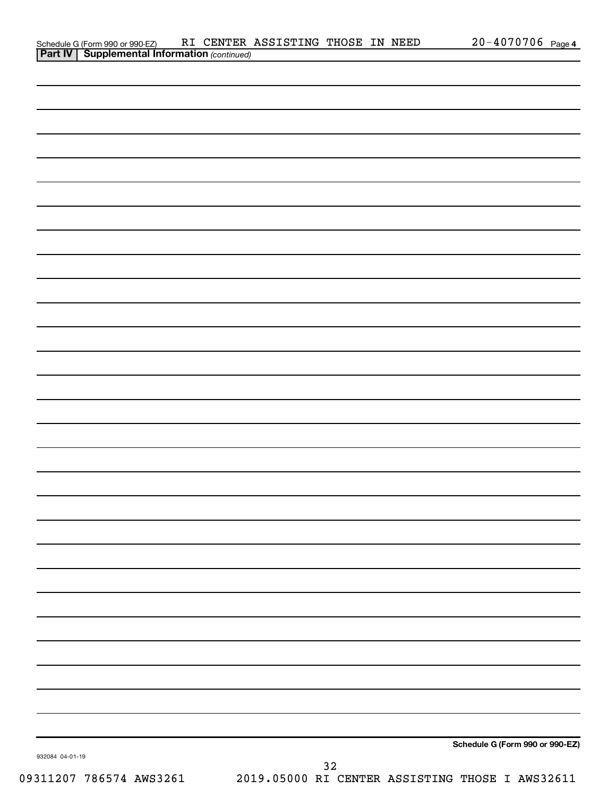| Part IV         | <b>Supplemental Information (continued)</b> |             |                                 |
|-----------------|---------------------------------------------|-------------|---------------------------------|
|                 |                                             |             |                                 |
|                 |                                             |             |                                 |
|                 |                                             |             |                                 |
|                 |                                             |             |                                 |
|                 |                                             |             |                                 |
|                 |                                             |             |                                 |
|                 |                                             |             |                                 |
|                 |                                             |             |                                 |
|                 |                                             |             |                                 |
|                 |                                             |             |                                 |
|                 |                                             |             |                                 |
|                 |                                             |             |                                 |
|                 |                                             |             |                                 |
|                 |                                             |             |                                 |
|                 |                                             |             |                                 |
|                 |                                             |             |                                 |
|                 |                                             |             |                                 |
|                 |                                             |             |                                 |
|                 |                                             |             |                                 |
|                 |                                             |             |                                 |
|                 |                                             |             |                                 |
|                 |                                             |             |                                 |
|                 |                                             |             |                                 |
|                 |                                             |             |                                 |
|                 |                                             |             |                                 |
|                 |                                             |             |                                 |
|                 |                                             |             |                                 |
|                 |                                             |             |                                 |
|                 |                                             |             |                                 |
|                 |                                             |             |                                 |
|                 |                                             |             |                                 |
|                 |                                             |             | Schedule G (Form 990 or 990-EZ) |
| 932084 04-01-19 |                                             | $3\sqrt{2}$ |                                 |

Schedule G (Form 990 or 990-EZ) RI CENTER ASSISTING THOSE IN NEED 20-4070706 page

**Part IV 1 Commental Information Control Information Control Information Control Information** 

20-4070706 Page 4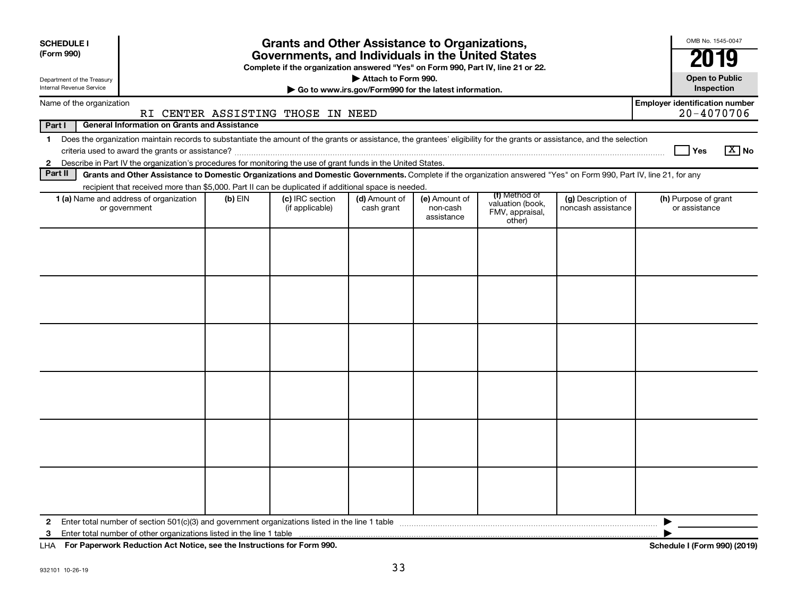| <b>SCHEDULE I</b><br>(Form 990)                                                                                                                                                                                                                                                                                                                 |                                                     | <b>Grants and Other Assistance to Organizations,</b><br>Governments, and Individuals in the United States |                                                                              |                                         |                                               |                                          | OMB No. 1545-0047<br>2019                           |  |  |  |  |  |  |
|-------------------------------------------------------------------------------------------------------------------------------------------------------------------------------------------------------------------------------------------------------------------------------------------------------------------------------------------------|-----------------------------------------------------|-----------------------------------------------------------------------------------------------------------|------------------------------------------------------------------------------|-----------------------------------------|-----------------------------------------------|------------------------------------------|-----------------------------------------------------|--|--|--|--|--|--|
|                                                                                                                                                                                                                                                                                                                                                 |                                                     | Complete if the organization answered "Yes" on Form 990, Part IV, line 21 or 22.                          |                                                                              |                                         |                                               |                                          |                                                     |  |  |  |  |  |  |
| Department of the Treasury<br><b>Internal Revenue Service</b>                                                                                                                                                                                                                                                                                   |                                                     |                                                                                                           | Attach to Form 990.<br>Go to www.irs.gov/Form990 for the latest information. |                                         |                                               |                                          | <b>Open to Public</b><br>Inspection                 |  |  |  |  |  |  |
| Name of the organization                                                                                                                                                                                                                                                                                                                        | RI CENTER ASSISTING THOSE IN NEED                   |                                                                                                           |                                                                              |                                         |                                               |                                          | <b>Employer identification number</b><br>20-4070706 |  |  |  |  |  |  |
| Part I                                                                                                                                                                                                                                                                                                                                          | <b>General Information on Grants and Assistance</b> |                                                                                                           |                                                                              |                                         |                                               |                                          |                                                     |  |  |  |  |  |  |
| Does the organization maintain records to substantiate the amount of the grants or assistance, the grantees' eligibility for the grants or assistance, and the selection<br>$\mathbf 1$<br>$\boxed{\text{X}}$ No<br><b>Yes</b><br>Describe in Part IV the organization's procedures for monitoring the use of grant funds in the United States. |                                                     |                                                                                                           |                                                                              |                                         |                                               |                                          |                                                     |  |  |  |  |  |  |
| $\mathbf{2}$                                                                                                                                                                                                                                                                                                                                    |                                                     |                                                                                                           |                                                                              |                                         |                                               |                                          |                                                     |  |  |  |  |  |  |
| Part II<br>Grants and Other Assistance to Domestic Organizations and Domestic Governments. Complete if the organization answered "Yes" on Form 990, Part IV, line 21, for any<br>recipient that received more than \$5,000. Part II can be duplicated if additional space is needed.                                                            |                                                     |                                                                                                           |                                                                              |                                         |                                               |                                          |                                                     |  |  |  |  |  |  |
|                                                                                                                                                                                                                                                                                                                                                 |                                                     |                                                                                                           |                                                                              |                                         | (f) Method of                                 |                                          |                                                     |  |  |  |  |  |  |
| 1 (a) Name and address of organization<br>or government                                                                                                                                                                                                                                                                                         | $(b)$ EIN                                           | (c) IRC section<br>(if applicable)                                                                        | (d) Amount of<br>cash grant                                                  | (e) Amount of<br>non-cash<br>assistance | valuation (book,<br>FMV, appraisal,<br>other) | (g) Description of<br>noncash assistance | (h) Purpose of grant<br>or assistance               |  |  |  |  |  |  |
|                                                                                                                                                                                                                                                                                                                                                 |                                                     |                                                                                                           |                                                                              |                                         |                                               |                                          |                                                     |  |  |  |  |  |  |
| $\mathbf{2}$<br>3                                                                                                                                                                                                                                                                                                                               |                                                     |                                                                                                           |                                                                              |                                         |                                               |                                          |                                                     |  |  |  |  |  |  |

**For Paperwork Reduction Act Notice, see the Instructions for Form 990. Schedule I (Form 990) (2019)** LHA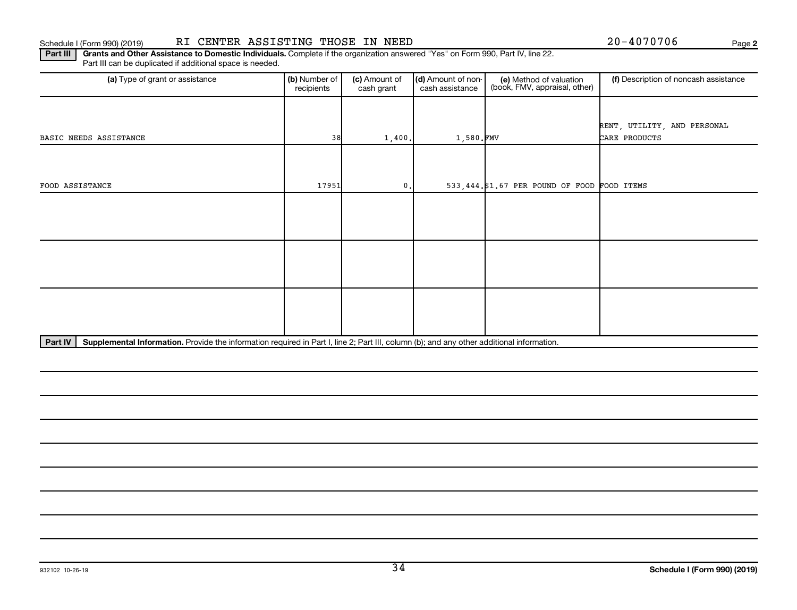#### Schedule I (Form 990) (2019) Page RI CENTER ASSISTING THOSE IN NEED 20-4070706 Page

**2**

Part III | Grants and Other Assistance to Domestic Individuals. Complete if the organization answered "Yes" on Form 990, Part IV, line 22. Part III can be duplicated if additional space is needed.

| (a) Type of grant or assistance                                                                                                                      | (b) Number of<br>recipients | (c) Amount of<br>cash grant | (d) Amount of non-<br>cash assistance | (e) Method of valuation<br>(book, FMV, appraisal, other) | (f) Description of noncash assistance |
|------------------------------------------------------------------------------------------------------------------------------------------------------|-----------------------------|-----------------------------|---------------------------------------|----------------------------------------------------------|---------------------------------------|
|                                                                                                                                                      |                             |                             |                                       |                                                          |                                       |
|                                                                                                                                                      |                             |                             |                                       |                                                          | RENT, UTILITY, AND PERSONAL           |
| BASIC NEEDS ASSISTANCE                                                                                                                               | 38                          | 1,400.                      | 1,580.FMV                             |                                                          | CARE PRODUCTS                         |
|                                                                                                                                                      |                             |                             |                                       |                                                          |                                       |
|                                                                                                                                                      |                             |                             |                                       |                                                          |                                       |
| FOOD ASSISTANCE                                                                                                                                      | 17951                       | $\mathfrak o$ .             |                                       | 533,444.\$1.67 PER POUND OF FOOD FOOD ITEMS              |                                       |
|                                                                                                                                                      |                             |                             |                                       |                                                          |                                       |
|                                                                                                                                                      |                             |                             |                                       |                                                          |                                       |
|                                                                                                                                                      |                             |                             |                                       |                                                          |                                       |
|                                                                                                                                                      |                             |                             |                                       |                                                          |                                       |
|                                                                                                                                                      |                             |                             |                                       |                                                          |                                       |
|                                                                                                                                                      |                             |                             |                                       |                                                          |                                       |
|                                                                                                                                                      |                             |                             |                                       |                                                          |                                       |
|                                                                                                                                                      |                             |                             |                                       |                                                          |                                       |
|                                                                                                                                                      |                             |                             |                                       |                                                          |                                       |
| Part IV<br>Supplemental Information. Provide the information required in Part I, line 2; Part III, column (b); and any other additional information. |                             |                             |                                       |                                                          |                                       |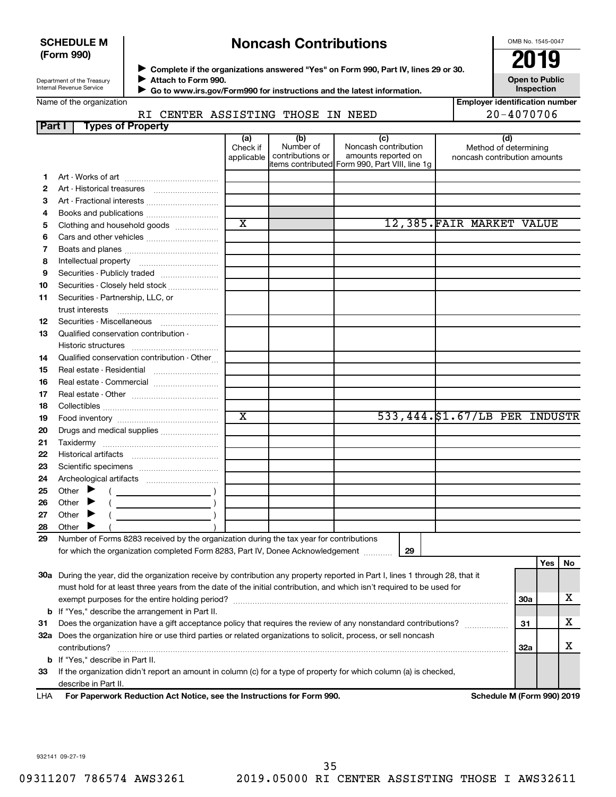#### **SCHEDULE M (Form 990)**

# **Noncash Contributions**

OMB No. 1545-0047

| Department of the Treasury |  |
|----------------------------|--|
| Internal Revenue Service   |  |

◆ Complete if the organizations answered "Yes" on Form 990, Part IV, lines 29 or 30.<br>▶ Complete if the organizations answered "Yes" on Form 990, Part IV, lines 29 or 30. **Attach to Form 990.**  $\blacktriangleright$ 

 $\blacktriangleright$ 

 **Go to www.irs.gov/Form990 for instructions and the latest information.**

**Inspection Employer identification number**

**Open to Public**

RI CENTER ASSISTING THOSE IN NEED  $\vert$  20-4070706

| <b>Part I</b> |                                         | <b>Types of Property</b>                                                                |                               |                                      |                                                                                                                                |                                                              |     |     |
|---------------|-----------------------------------------|-----------------------------------------------------------------------------------------|-------------------------------|--------------------------------------|--------------------------------------------------------------------------------------------------------------------------------|--------------------------------------------------------------|-----|-----|
|               |                                         |                                                                                         | (a)<br>Check if<br>applicable | (b)<br>Number of<br>contributions or | (c)<br>Noncash contribution<br>amounts reported on<br>items contributed Form 990, Part VIII, line 1g                           | (d)<br>Method of determining<br>noncash contribution amounts |     |     |
| 1.            |                                         |                                                                                         |                               |                                      |                                                                                                                                |                                                              |     |     |
| 2             |                                         | Art - Historical treasures                                                              |                               |                                      |                                                                                                                                |                                                              |     |     |
| 3             |                                         | Art - Fractional interests                                                              |                               |                                      |                                                                                                                                |                                                              |     |     |
| 4             |                                         | Books and publications                                                                  |                               |                                      |                                                                                                                                |                                                              |     |     |
| 5             |                                         | Clothing and household goods                                                            | $\overline{\text{x}}$         |                                      |                                                                                                                                | 12,385. FAIR MARKET VALUE                                    |     |     |
| 6             |                                         |                                                                                         |                               |                                      |                                                                                                                                |                                                              |     |     |
| 7             |                                         |                                                                                         |                               |                                      |                                                                                                                                |                                                              |     |     |
| 8             |                                         |                                                                                         |                               |                                      |                                                                                                                                |                                                              |     |     |
| 9             |                                         | Securities - Publicly traded                                                            |                               |                                      |                                                                                                                                |                                                              |     |     |
| 10            |                                         | Securities - Closely held stock                                                         |                               |                                      |                                                                                                                                |                                                              |     |     |
| 11            | Securities - Partnership, LLC, or       |                                                                                         |                               |                                      |                                                                                                                                |                                                              |     |     |
| 12            |                                         | Securities - Miscellaneous                                                              |                               |                                      |                                                                                                                                |                                                              |     |     |
| 13            | Qualified conservation contribution -   |                                                                                         |                               |                                      |                                                                                                                                |                                                              |     |     |
|               |                                         |                                                                                         |                               |                                      |                                                                                                                                |                                                              |     |     |
| 14            |                                         | Qualified conservation contribution - Other                                             |                               |                                      |                                                                                                                                |                                                              |     |     |
| 15            |                                         | Real estate - Residential                                                               |                               |                                      |                                                                                                                                |                                                              |     |     |
| 16            |                                         | Real estate - Commercial                                                                |                               |                                      |                                                                                                                                |                                                              |     |     |
| 17            |                                         |                                                                                         |                               |                                      |                                                                                                                                |                                                              |     |     |
| 18            |                                         |                                                                                         |                               |                                      |                                                                                                                                |                                                              |     |     |
| 19            |                                         |                                                                                         | $\overline{\text{x}}$         |                                      |                                                                                                                                | 533,444. \$1.67/LB PER INDUSTR                               |     |     |
| 20            |                                         | Drugs and medical supplies                                                              |                               |                                      |                                                                                                                                |                                                              |     |     |
| 21            |                                         |                                                                                         |                               |                                      |                                                                                                                                |                                                              |     |     |
| 22            |                                         |                                                                                         |                               |                                      |                                                                                                                                |                                                              |     |     |
| 23            |                                         |                                                                                         |                               |                                      |                                                                                                                                |                                                              |     |     |
| 24            |                                         |                                                                                         |                               |                                      |                                                                                                                                |                                                              |     |     |
| 25            | Other $\blacktriangleright$             |                                                                                         |                               |                                      |                                                                                                                                |                                                              |     |     |
| 26            | Other $\blacktriangleright$             | $\overline{\phantom{a}}$ )                                                              |                               |                                      |                                                                                                                                |                                                              |     |     |
| 27            | Other $\blacktriangleright$             |                                                                                         |                               |                                      |                                                                                                                                |                                                              |     |     |
| 28            | Other $\blacktriangleright$             |                                                                                         |                               |                                      |                                                                                                                                |                                                              |     |     |
| 29            |                                         | Number of Forms 8283 received by the organization during the tax year for contributions |                               |                                      |                                                                                                                                |                                                              |     |     |
|               |                                         | for which the organization completed Form 8283, Part IV, Donee Acknowledgement          |                               |                                      | 29                                                                                                                             |                                                              |     |     |
|               |                                         |                                                                                         |                               |                                      |                                                                                                                                |                                                              | Yes | No. |
|               |                                         |                                                                                         |                               |                                      | 30a During the year, did the organization receive by contribution any property reported in Part I, lines 1 through 28, that it |                                                              |     |     |
|               |                                         |                                                                                         |                               |                                      | must hold for at least three years from the date of the initial contribution, and which isn't required to be used for          |                                                              |     |     |
|               |                                         |                                                                                         |                               |                                      |                                                                                                                                |                                                              | 30a | х   |
|               |                                         | <b>b</b> If "Yes," describe the arrangement in Part II.                                 |                               |                                      |                                                                                                                                |                                                              |     | х   |
| 31            |                                         |                                                                                         |                               |                                      | Does the organization have a gift acceptance policy that requires the review of any nonstandard contributions?                 |                                                              | 31  |     |
|               | contributions?                          |                                                                                         |                               |                                      | 32a Does the organization hire or use third parties or related organizations to solicit, process, or sell noncash              |                                                              | 32a | x   |
|               | <b>b</b> If "Yes," describe in Part II. |                                                                                         |                               |                                      |                                                                                                                                |                                                              |     |     |
| 33            |                                         |                                                                                         |                               |                                      | If the organization didn't report an amount in column (c) for a type of property for which column (a) is checked,              |                                                              |     |     |
|               | describe in Part II.                    |                                                                                         |                               |                                      |                                                                                                                                |                                                              |     |     |

**For Paperwork Reduction Act Notice, see the Instructions for Form 990. Schedule M (Form 990) 2019** LHA

932141 09-27-19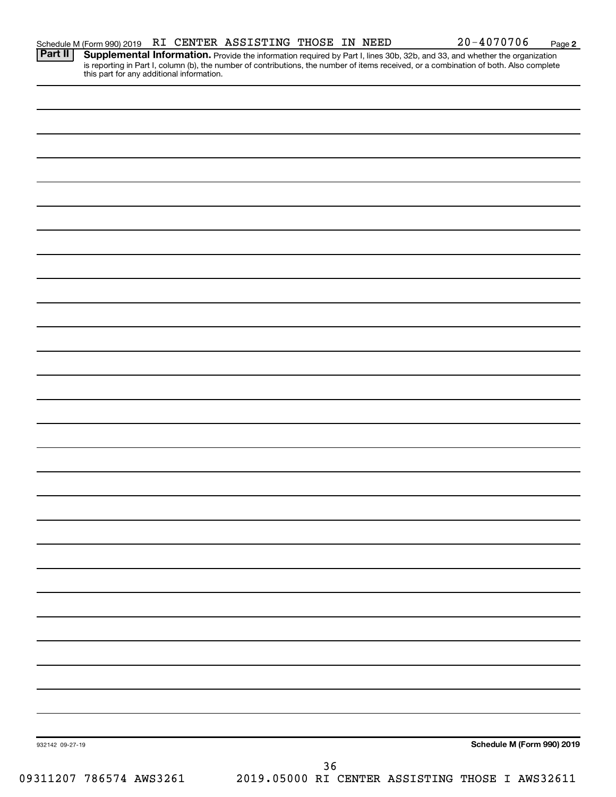Provide the information required by Part I, lines 30b, 32b, and 33, and whether the organization is reporting in Part I, column (b), the number of contributions, the number of items received, or a combination of both. Also complete this part for any additional information. **Part II Supplemental Information.** 

| 932142 09-27-19         | Schedule M (Form 990) 2019                      |
|-------------------------|-------------------------------------------------|
|                         |                                                 |
|                         | $36$                                            |
| 09311207 786574 AWS3261 | 2019.05000 RI CENTER ASSISTING THOSE I AWS32611 |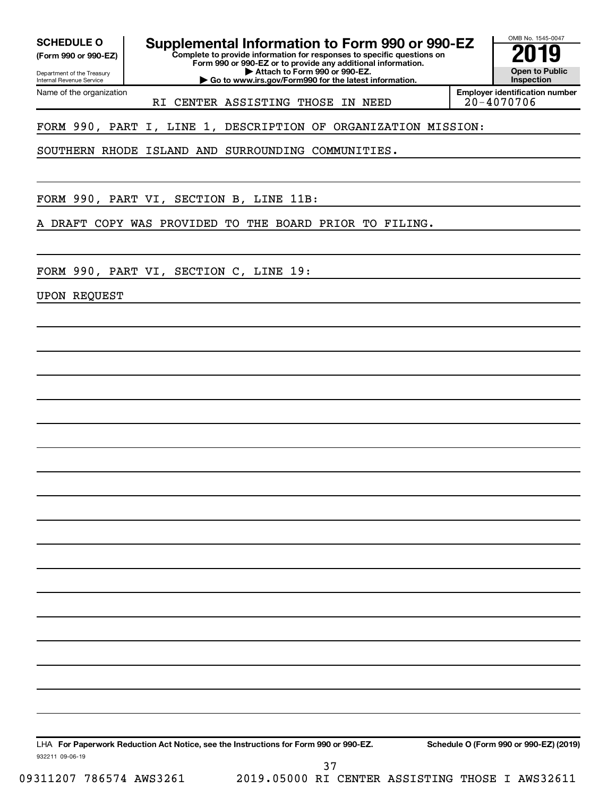Department of the Treasury **(Form 990 or 990-EZ)**

Internal Revenue Service

**Complete to provide information for responses to specific questions on SCHEDULE O Supplemental Information to Form 990 or 990-EZ 2019** 

**Form 990 or 990-EZ or to provide any additional information. | Attach to Form 990 or 990-EZ.**

**| Go to www.irs.gov/Form990 for the latest information.**

**Open to Public Inspection**

OMB No. 1545-0047

Name of the organization RI CENTER ASSISTING THOSE IN NEED **Employer identification number**

FORM 990, PART I, LINE 1, DESCRIPTION OF ORGANIZATION MISSION:

SOUTHERN RHODE ISLAND AND SURROUNDING COMMUNITIES.

FORM 990, PART VI, SECTION B, LINE 11B:

A DRAFT COPY WAS PROVIDED TO THE BOARD PRIOR TO FILING.

FORM 990, PART VI, SECTION C, LINE 19:

UPON REQUEST

LHA For Paperwork Reduction Act Notice, see the Instructions for Form 990 or 990-EZ. Schedule O (Form 990 or 990-EZ) (2019)

932211 09-06-19

09311207 786574 AWS3261 2019.05000 RI CENTER ASSISTING THOSE I AWS32611 37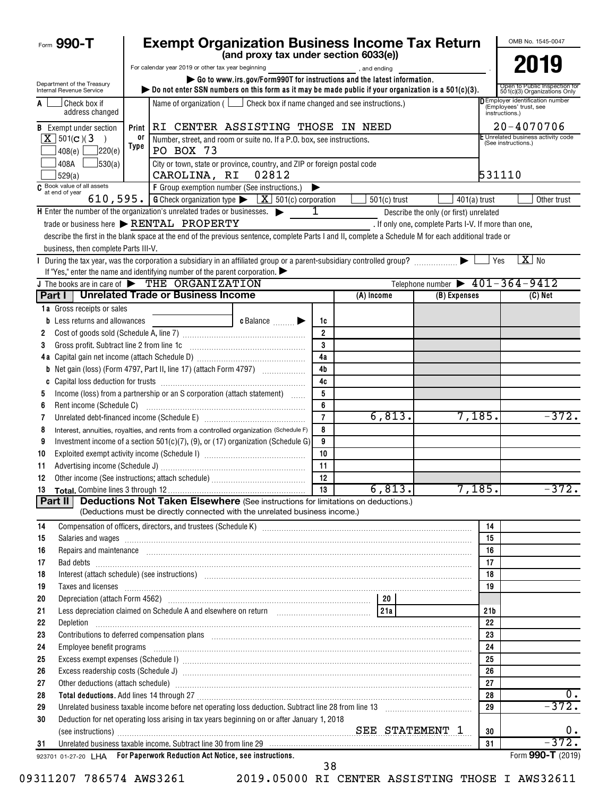| Form 990-T                                             |            | <b>Exempt Organization Business Income Tax Return</b>                                                                                                                                                                                                                                                                                                          |                |                        |                                                      |                       | OMB No. 1545-0047                                                                   |
|--------------------------------------------------------|------------|----------------------------------------------------------------------------------------------------------------------------------------------------------------------------------------------------------------------------------------------------------------------------------------------------------------------------------------------------------------|----------------|------------------------|------------------------------------------------------|-----------------------|-------------------------------------------------------------------------------------|
|                                                        |            | (and proxy tax under section 6033(e))                                                                                                                                                                                                                                                                                                                          |                |                        |                                                      |                       |                                                                                     |
|                                                        |            | For calendar year 2019 or other tax year beginning                                                                                                                                                                                                                                                                                                             |                | and ending, and ending |                                                      |                       | 2019                                                                                |
| Department of the Treasury<br>Internal Revenue Service |            | Go to www.irs.gov/Form990T for instructions and the latest information.<br>bo not enter SSN numbers on this form as it may be made public if your organization is a 501(c)(3).                                                                                                                                                                                 |                |                        |                                                      |                       | Open to Public Inspection for<br>501(c)(3) Organizations Only                       |
| Check box if<br>A<br>address changed                   |            | Name of organization ( $\Box$ Check box if name changed and see instructions.)                                                                                                                                                                                                                                                                                 |                |                        |                                                      |                       | <b>D</b> Employer identification number<br>(Employees' trust, see<br>instructions.) |
| <b>B</b> Exempt under section                          | Print      | RI CENTER ASSISTING THOSE IN NEED                                                                                                                                                                                                                                                                                                                              |                |                        |                                                      |                       | $20 - 4070706$                                                                      |
| $X$ 501(c)(3)                                          | or<br>Type | Number, street, and room or suite no. If a P.O. box, see instructions.                                                                                                                                                                                                                                                                                         |                |                        |                                                      |                       | E Unrelated business activity code<br>(See instructions.)                           |
| 220(e) <br>408(e)                                      |            | PO BOX 73                                                                                                                                                                                                                                                                                                                                                      |                |                        |                                                      |                       |                                                                                     |
| 408A<br>530(a)<br>529(a)                               |            | City or town, state or province, country, and ZIP or foreign postal code<br>CAROLINA, RI<br>02812                                                                                                                                                                                                                                                              |                |                        |                                                      |                       | 531110                                                                              |
| $\overline{C}$ Book value of all assets                |            | F Group exemption number (See instructions.)                                                                                                                                                                                                                                                                                                                   | ▶              |                        |                                                      |                       |                                                                                     |
|                                                        |            | 610, 595. G Check organization type $\triangleright$ $\boxed{X}$ 501(c) corporation                                                                                                                                                                                                                                                                            |                | $501(c)$ trust         | $401(a)$ trust                                       |                       | Other trust                                                                         |
|                                                        |            | $\mathsf H$ Enter the number of the organization's unrelated trades or businesses. $\blacktriangleright$                                                                                                                                                                                                                                                       | 1              |                        | Describe the only (or first) unrelated               |                       |                                                                                     |
|                                                        |            | trade or business here > RENTAL PROPERTY                                                                                                                                                                                                                                                                                                                       |                |                        | . If only one, complete Parts I-V. If more than one, |                       |                                                                                     |
|                                                        |            | describe the first in the blank space at the end of the previous sentence, complete Parts I and II, complete a Schedule M for each additional trade or                                                                                                                                                                                                         |                |                        |                                                      |                       |                                                                                     |
| business, then complete Parts III-V.                   |            |                                                                                                                                                                                                                                                                                                                                                                |                |                        |                                                      |                       |                                                                                     |
|                                                        |            | If "Yes," enter the name and identifying number of the parent corporation. $\blacktriangleright$                                                                                                                                                                                                                                                               |                |                        |                                                      | Yes                   | $X$ No                                                                              |
|                                                        |            | J The books are in care of THE ORGANIZATION                                                                                                                                                                                                                                                                                                                    |                |                        | Telephone number $\triangleright$ 401-364-9412       |                       |                                                                                     |
|                                                        |            | Part I   Unrelated Trade or Business Income                                                                                                                                                                                                                                                                                                                    |                | (A) Income             | (B) Expenses                                         |                       | (C) Net                                                                             |
| 1a Gross receipts or sales                             |            |                                                                                                                                                                                                                                                                                                                                                                |                |                        |                                                      |                       |                                                                                     |
| <b>b</b> Less returns and allowances                   |            | $c$ Balance $\qquad \qquad \blacktriangleright$                                                                                                                                                                                                                                                                                                                | 1c             |                        |                                                      |                       |                                                                                     |
| 2                                                      |            |                                                                                                                                                                                                                                                                                                                                                                | $\overline{2}$ |                        |                                                      |                       |                                                                                     |
| Gross profit. Subtract line 2 from line 1c<br>3        |            |                                                                                                                                                                                                                                                                                                                                                                | $\mathbf{3}$   |                        |                                                      |                       |                                                                                     |
|                                                        |            |                                                                                                                                                                                                                                                                                                                                                                | 4a             |                        |                                                      |                       |                                                                                     |
|                                                        |            | <b>b</b> Net gain (loss) (Form 4797, Part II, line 17) (attach Form 4797)                                                                                                                                                                                                                                                                                      | 4 <sub>b</sub> |                        |                                                      |                       |                                                                                     |
| C                                                      |            |                                                                                                                                                                                                                                                                                                                                                                | 4c             |                        |                                                      |                       |                                                                                     |
| 5                                                      |            | Income (loss) from a partnership or an S corporation (attach statement)                                                                                                                                                                                                                                                                                        | 5              |                        |                                                      |                       |                                                                                     |
| Rent income (Schedule C)<br>6                          |            |                                                                                                                                                                                                                                                                                                                                                                | 6              |                        |                                                      |                       |                                                                                     |
| 7                                                      |            |                                                                                                                                                                                                                                                                                                                                                                | $\overline{7}$ | 6,813.                 | 7,185.                                               |                       | $-372.$                                                                             |
| 8                                                      |            | Interest, annuities, royalties, and rents from a controlled organization (Schedule F)                                                                                                                                                                                                                                                                          | 8              |                        |                                                      |                       |                                                                                     |
| 9                                                      |            | Investment income of a section $501(c)(7)$ , (9), or (17) organization (Schedule G)                                                                                                                                                                                                                                                                            | 9              |                        |                                                      |                       |                                                                                     |
| 10                                                     |            |                                                                                                                                                                                                                                                                                                                                                                | 10             |                        |                                                      |                       |                                                                                     |
| 11                                                     |            |                                                                                                                                                                                                                                                                                                                                                                | 11<br>12       |                        |                                                      |                       |                                                                                     |
| Other income (See instructions; attach schedule)<br>12 |            |                                                                                                                                                                                                                                                                                                                                                                | 13             | 6, 813.                | 7,185.                                               |                       | $-372.$                                                                             |
| Part II                                                |            | <b>Deductions Not Taken Elsewhere</b> (See instructions for limitations on deductions.)                                                                                                                                                                                                                                                                        |                |                        |                                                      |                       |                                                                                     |
|                                                        |            | (Deductions must be directly connected with the unrelated business income.)                                                                                                                                                                                                                                                                                    |                |                        |                                                      |                       |                                                                                     |
| 14                                                     |            |                                                                                                                                                                                                                                                                                                                                                                |                |                        |                                                      | 14                    |                                                                                     |
| 15                                                     |            | Salaries and wages <b>construction and construction of the construction</b> and wages <b>construction and wages</b>                                                                                                                                                                                                                                            |                |                        |                                                      | 15                    |                                                                                     |
| 16                                                     |            | Repairs and maintenance <i>[1] [1] [1] [1] [1] [1] [1] [1] [1] [1]</i> [1] <b>[1]</b> [1] <b>[1]</b> [1] <b>[1] [1] [1] [1] [1] [1] [1] [1] [1] [1] [1] [1] [1] [1] [1] [1] [1] [1] [1] [1] [1] [1]</b>                                                                                                                                                        |                |                        |                                                      | 16                    |                                                                                     |
| 17                                                     |            |                                                                                                                                                                                                                                                                                                                                                                |                |                        |                                                      | 17                    |                                                                                     |
| 18                                                     |            | Interest (attach schedule) (see instructions) www.communications.communications are interest (attach schedule)                                                                                                                                                                                                                                                 |                |                        |                                                      | 18                    |                                                                                     |
| Taxes and licenses<br>19                               |            |                                                                                                                                                                                                                                                                                                                                                                |                |                        |                                                      | 19                    |                                                                                     |
| 20                                                     |            |                                                                                                                                                                                                                                                                                                                                                                |                |                        |                                                      |                       |                                                                                     |
| 21                                                     |            | Less depreciation claimed on Schedule A and elsewhere on return [1] [214]                                                                                                                                                                                                                                                                                      |                |                        |                                                      | 21 <sub>b</sub><br>22 |                                                                                     |
| 22<br>23                                               |            |                                                                                                                                                                                                                                                                                                                                                                |                |                        |                                                      | 23                    |                                                                                     |
| 24                                                     |            | Contributions to deferred compensation plans [11] manufactured and manufactured contributions to deferred compensation plans<br>Employee benefit programs in the continuum contract of the contract of the contract of the contract of the contract of the contract of the contract of the contract of the contract of the contract of the contract of the con |                |                        |                                                      | 24                    |                                                                                     |
| 25                                                     |            |                                                                                                                                                                                                                                                                                                                                                                |                |                        |                                                      | 25                    |                                                                                     |
| 26                                                     |            |                                                                                                                                                                                                                                                                                                                                                                |                |                        |                                                      | 26                    |                                                                                     |
| 27                                                     |            | Other deductions (attach schedule) manufactured and contract and contract and contract and contract and contract and contract and contract and contract and contract and contract and contract and contract and contract and c                                                                                                                                 |                |                        |                                                      | 27                    |                                                                                     |
| 28                                                     |            | Total deductions. Add lines 14 through 27 [11] Martin Martin Martin Martin Martin Martin Martin Martin Martin Martin Martin Martin Martin Martin Martin Martin Martin Martin Martin Martin Martin Martin Martin Martin Martin                                                                                                                                  |                |                        |                                                      | 28                    | $0$ .                                                                               |
| 29                                                     |            | Unrelated business taxable income before net operating loss deduction. Subtract line 28 from line 13 [111] [120] [120] [120] [120] [120] [120] [120] [120] [120] [120] [120] [120] [120] [120] [120] [120] [120] [120] [120] [                                                                                                                                 |                |                        |                                                      | 29                    | $-372.$                                                                             |
| 30                                                     |            | Deduction for net operating loss arising in tax years beginning on or after January 1, 2018                                                                                                                                                                                                                                                                    |                |                        |                                                      |                       |                                                                                     |
|                                                        |            |                                                                                                                                                                                                                                                                                                                                                                |                |                        |                                                      | 30                    | 0.                                                                                  |
| 31                                                     |            | Unrelated business taxable income. Subtract line 30 from line 29 [11] match match match and the income state in                                                                                                                                                                                                                                                |                |                        |                                                      | 31                    | $-372.$                                                                             |
|                                                        |            | 923701 01-27-20 LHA For Paperwork Reduction Act Notice, see instructions.                                                                                                                                                                                                                                                                                      |                |                        |                                                      |                       | Form 990-T (2019)                                                                   |
|                                                        |            |                                                                                                                                                                                                                                                                                                                                                                | 38             |                        |                                                      |                       |                                                                                     |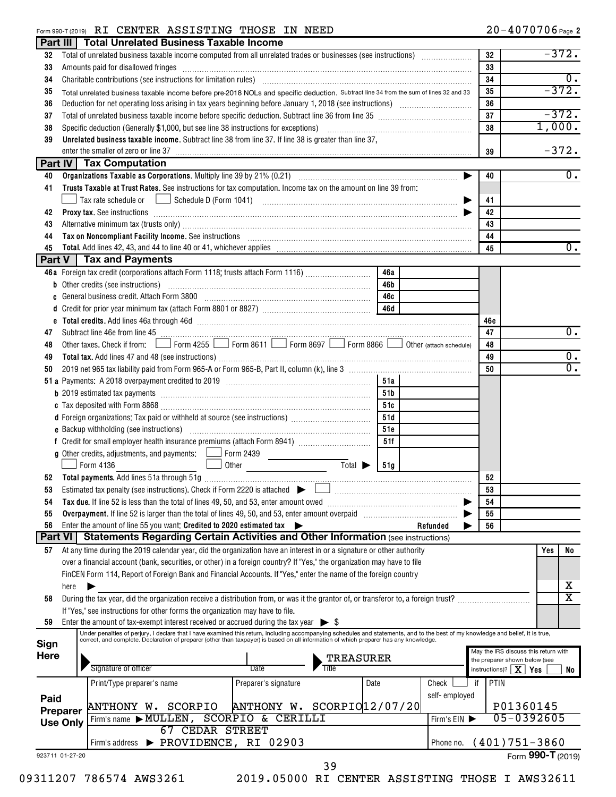#### Form 990-T (2019) Page RI CENTER ASSISTING THOSE IN NEED 20-4070706

| Part III             |                 | <b>Total Unrelated Business Taxable Income</b>                                                                                                                                                                                                   |                                      |      |               |            |                                               |
|----------------------|-----------------|--------------------------------------------------------------------------------------------------------------------------------------------------------------------------------------------------------------------------------------------------|--------------------------------------|------|---------------|------------|-----------------------------------------------|
| 32                   |                 |                                                                                                                                                                                                                                                  |                                      |      |               | 32         | $-372.$                                       |
| 33                   |                 | Amounts paid for disallowed fringes [11] Amount of the contract of the state of the state of the state of the state of the state of the state of the state of the state of the state of the state of the state of the state of                   |                                      |      |               | 33         |                                               |
| 34                   |                 | Charitable contributions (see instructions for limitation rules) [11] manufacture in the contributions (see instructions for limitation rules) [11] manufacture in the contributions (see instructions for limitation rules) [                   |                                      |      |               | 34         | $\overline{0}$ .                              |
| 35                   |                 | Total unrelated business taxable income before pre-2018 NOLs and specific deduction. Subtract line 34 from the sum of lines 32 and 33                                                                                                            |                                      |      |               | 35         | $-372.$                                       |
| 36                   |                 |                                                                                                                                                                                                                                                  |                                      |      |               | 36         |                                               |
| 37                   |                 |                                                                                                                                                                                                                                                  |                                      |      |               | 37         | $-372.$                                       |
| 38                   |                 |                                                                                                                                                                                                                                                  |                                      |      |               | 38         | 1,000.                                        |
| 39                   |                 | Unrelated business taxable income. Subtract line 38 from line 37. If line 38 is greater than line 37,                                                                                                                                            |                                      |      |               |            |                                               |
|                      |                 | enter the smaller of zero or line 37                                                                                                                                                                                                             |                                      |      |               | 39         | $-372.$                                       |
|                      |                 | <b>Part IV Tax Computation</b>                                                                                                                                                                                                                   |                                      |      |               |            |                                               |
| 40                   |                 |                                                                                                                                                                                                                                                  |                                      |      | ▶             | 40         | $\overline{0}$ .                              |
| 41                   |                 | Trusts Taxable at Trust Rates. See instructions for tax computation. Income tax on the amount on line 39 from:                                                                                                                                   |                                      |      |               |            |                                               |
|                      |                 |                                                                                                                                                                                                                                                  |                                      |      |               | 41         |                                               |
| 42                   |                 | Proxy tax. See instructions information and contact the contract of the contract of the contract of the contract of the contract of the contract of the contract of the contract of the contract of the contract of the contra                   |                                      |      |               | 42         |                                               |
| 43                   |                 |                                                                                                                                                                                                                                                  |                                      |      |               | 43         |                                               |
| 44                   |                 | Tax on Noncompliant Facility Income. See instructions [11] The manufacture in the contract on Noncompliant Facility Income. See instructions [11] The manufacture income of the set of the set of the set of the set of the se                   |                                      |      |               | 44         |                                               |
| 45                   |                 |                                                                                                                                                                                                                                                  |                                      |      |               | 45         | $\overline{0}$ .                              |
|                      |                 | <b>Part V</b>   Tax and Payments                                                                                                                                                                                                                 |                                      |      |               |            |                                               |
|                      |                 | 46a Foreign tax credit (corporations attach Form 1118; trusts attach Form 1116)                                                                                                                                                                  |                                      | 46a  |               |            |                                               |
|                      |                 | <b>b</b> Other credits (see instructions)                                                                                                                                                                                                        |                                      | 46b  |               |            |                                               |
| C                    |                 |                                                                                                                                                                                                                                                  |                                      | 46с  |               |            |                                               |
|                      |                 |                                                                                                                                                                                                                                                  |                                      | 46d  |               |            |                                               |
|                      |                 | e Total credits. Add lines 46a through 46d [111] [12] The Total Manuscription of the Total credits. Add lines 46a through 46d                                                                                                                    |                                      |      |               | 46e        |                                               |
| 47                   |                 | Subtract line 46e from line 45 <b>with the contract of the contract of the 45</b> contract line 46e from line 45                                                                                                                                 |                                      |      |               | 47         | 0.                                            |
| 48                   |                 | Other taxes. Check if from: Form 4255 Form 8611 Form 8697 Form 8866 Other (attach schedule)                                                                                                                                                      |                                      |      |               | 48         |                                               |
| 49                   |                 |                                                                                                                                                                                                                                                  |                                      |      |               | 49         | $0$ .                                         |
| 50                   |                 |                                                                                                                                                                                                                                                  |                                      |      |               | 50         | $\overline{0}$ .                              |
|                      |                 |                                                                                                                                                                                                                                                  |                                      | 51a  |               |            |                                               |
|                      |                 |                                                                                                                                                                                                                                                  |                                      | 51b  |               |            |                                               |
|                      |                 |                                                                                                                                                                                                                                                  |                                      | 51c  |               |            |                                               |
|                      |                 | d Foreign organizations: Tax paid or withheld at source (see instructions) [                                                                                                                                                                     |                                      | 51d  |               |            |                                               |
|                      |                 |                                                                                                                                                                                                                                                  |                                      | 51e  |               |            |                                               |
|                      |                 |                                                                                                                                                                                                                                                  |                                      | 51f  |               |            |                                               |
|                      |                 | <b>g</b> Other credits, adjustments, and payments: $\Box$ Form 2439                                                                                                                                                                              |                                      |      |               |            |                                               |
|                      |                 | Form 4136                                                                                                                                                                                                                                        | Total $\blacktriangleright$<br>Other | 51q  |               |            |                                               |
| 52                   |                 |                                                                                                                                                                                                                                                  |                                      |      |               | 52         |                                               |
| 53                   |                 | Estimated tax penalty (see instructions). Check if Form 2220 is attached $\triangleright$                                                                                                                                                        |                                      |      |               | 53         |                                               |
| 54                   |                 | Tax due. If line 52 is less than the total of lines 49, 50, and 53, enter amount owed                                                                                                                                                            |                                      |      |               | 54         |                                               |
| 55                   |                 |                                                                                                                                                                                                                                                  |                                      |      |               | 55         |                                               |
| 56<br><b>Part VI</b> |                 | Enter the amount of line 55 you want: Credited to 2020 estimated tax<br><b>Statements Regarding Certain Activities and Other Information (see instructions)</b>                                                                                  | ▶                                    |      | Refunded      | 56         |                                               |
|                      |                 |                                                                                                                                                                                                                                                  |                                      |      |               |            |                                               |
| 57                   |                 | At any time during the 2019 calendar year, did the organization have an interest in or a signature or other authority<br>over a financial account (bank, securities, or other) in a foreign country? If "Yes," the organization may have to file |                                      |      |               |            | Yes<br>No                                     |
|                      |                 | FinCEN Form 114, Report of Foreign Bank and Financial Accounts. If "Yes," enter the name of the foreign country                                                                                                                                  |                                      |      |               |            |                                               |
|                      | here            |                                                                                                                                                                                                                                                  |                                      |      |               |            | х                                             |
| 58                   |                 | During the tax year, did the organization receive a distribution from, or was it the grantor of, or transferor to, a foreign trust?                                                                                                              |                                      |      |               |            | $\overline{\text{x}}$                         |
|                      |                 | If "Yes," see instructions for other forms the organization may have to file.                                                                                                                                                                    |                                      |      |               |            |                                               |
| 59                   |                 | Enter the amount of tax-exempt interest received or accrued during the tax year $\triangleright$ \$                                                                                                                                              |                                      |      |               |            |                                               |
|                      |                 | Under penalties of perjury, I declare that I have examined this return, including accompanying schedules and statements, and to the best of my knowledge and belief, it is true,                                                                 |                                      |      |               |            |                                               |
| Sign                 |                 | correct, and complete. Declaration of preparer (other than taxpayer) is based on all information of which preparer has any knowledge.                                                                                                            |                                      |      |               |            | May the IRS discuss this return with          |
| <b>Here</b>          |                 |                                                                                                                                                                                                                                                  | TREASURER                            |      |               |            | the preparer shown below (see                 |
|                      |                 | Signature of officer                                                                                                                                                                                                                             | Title<br>Date                        |      |               |            | instructions)? $\boxed{\mathbf{X}}$ Yes<br>No |
|                      |                 | Print/Type preparer's name                                                                                                                                                                                                                       | Preparer's signature                 | Date | Check         | PTIN<br>if |                                               |
| Paid                 |                 |                                                                                                                                                                                                                                                  |                                      |      | self-employed |            |                                               |
|                      | Preparer        | ANTHONY W. SCORPIO                                                                                                                                                                                                                               | ANTHONY W. SCORPIO 12/07/20          |      |               |            | P01360145                                     |
|                      | <b>Use Only</b> | Firm's name $\blacktriangleright$ MULLEN,                                                                                                                                                                                                        | <b>SCORPIO &amp; CERILLI</b>         |      | Firm's EIN    |            | 05-0392605                                    |
|                      |                 | <b>67 CEDAR STREET</b>                                                                                                                                                                                                                           |                                      |      |               |            |                                               |
|                      |                 | Firm's address > PROVIDENCE, RI 02903                                                                                                                                                                                                            |                                      |      | Phone no.     |            | $(401)751-3860$                               |
| 923711 01-27-20      |                 |                                                                                                                                                                                                                                                  |                                      |      |               |            | Form 990-T (2019)                             |
|                      |                 |                                                                                                                                                                                                                                                  | 39                                   |      |               |            |                                               |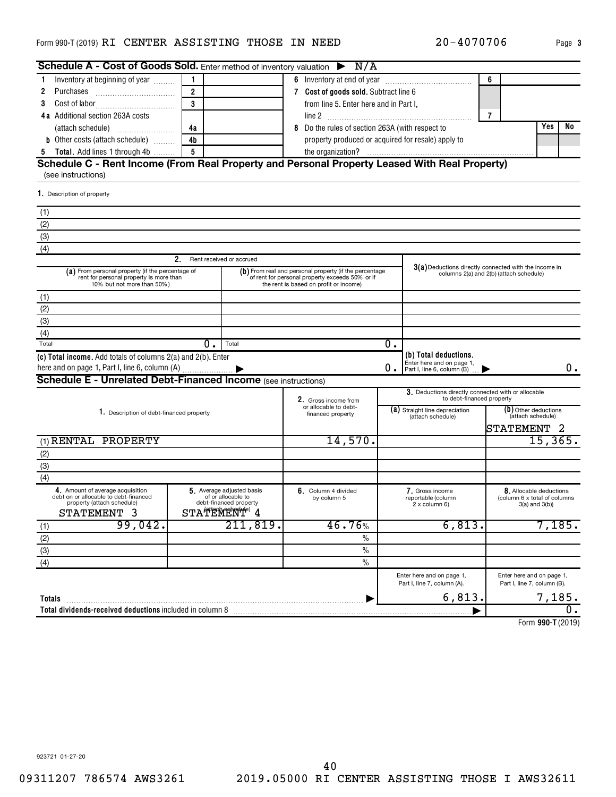#### <code>Form</code> 990-T (2019) <code>RI CENTER ASSISTING THOSE IN NEED</code>  $20-4070706$   $_{\text{Page}}$

| Schedule A - Cost of Goods Sold. Enter method of inventory valuation $\triangleright$ N/A                                 |                             |                                                                                                        |                                        |                                                                                                                                                       |    |                                                                                  |                |                                                                           |  |          |
|---------------------------------------------------------------------------------------------------------------------------|-----------------------------|--------------------------------------------------------------------------------------------------------|----------------------------------------|-------------------------------------------------------------------------------------------------------------------------------------------------------|----|----------------------------------------------------------------------------------|----------------|---------------------------------------------------------------------------|--|----------|
| Inventory at beginning of year<br>1                                                                                       | $\mathbf{1}$                |                                                                                                        |                                        |                                                                                                                                                       |    |                                                                                  | 6              |                                                                           |  |          |
| 2                                                                                                                         | $\overline{2}$              |                                                                                                        |                                        | 7 Cost of goods sold. Subtract line 6                                                                                                                 |    |                                                                                  |                |                                                                           |  |          |
| 3                                                                                                                         | 3                           |                                                                                                        | from line 5. Enter here and in Part I, |                                                                                                                                                       |    |                                                                                  |                |                                                                           |  |          |
| 4a Additional section 263A costs                                                                                          |                             |                                                                                                        |                                        |                                                                                                                                                       |    |                                                                                  | $\overline{7}$ |                                                                           |  |          |
|                                                                                                                           | 4a                          |                                                                                                        |                                        | 8 Do the rules of section 263A (with respect to                                                                                                       |    |                                                                                  | Yes            | No                                                                        |  |          |
| <b>b</b> Other costs (attach schedule)                                                                                    | 4b                          |                                                                                                        |                                        | property produced or acquired for resale) apply to                                                                                                    |    |                                                                                  |                |                                                                           |  |          |
| <b>5</b> Total. Add lines 1 through 4b                                                                                    | $\overline{5}$              |                                                                                                        |                                        |                                                                                                                                                       |    |                                                                                  |                |                                                                           |  |          |
| Schedule C - Rent Income (From Real Property and Personal Property Leased With Real Property)<br>(see instructions)       |                             |                                                                                                        |                                        |                                                                                                                                                       |    |                                                                                  |                |                                                                           |  |          |
| 1. Description of property                                                                                                |                             |                                                                                                        |                                        |                                                                                                                                                       |    |                                                                                  |                |                                                                           |  |          |
| (1)                                                                                                                       |                             |                                                                                                        |                                        |                                                                                                                                                       |    |                                                                                  |                |                                                                           |  |          |
| (2)                                                                                                                       |                             |                                                                                                        |                                        |                                                                                                                                                       |    |                                                                                  |                |                                                                           |  |          |
| (3)                                                                                                                       |                             |                                                                                                        |                                        |                                                                                                                                                       |    |                                                                                  |                |                                                                           |  |          |
| (4)                                                                                                                       |                             |                                                                                                        |                                        |                                                                                                                                                       |    |                                                                                  |                |                                                                           |  |          |
|                                                                                                                           | 2. Rent received or accrued |                                                                                                        |                                        |                                                                                                                                                       |    |                                                                                  |                |                                                                           |  |          |
| (a) From personal property (if the percentage of<br>rent for personal property is more than<br>10% but not more than 50%) |                             |                                                                                                        |                                        | $(b)$ From real and personal property (if the percentage<br>of rent for personal property exceeds 50% or if<br>the rent is based on profit or income) |    | 3(a) Deductions directly connected with the income in                            |                | columns 2(a) and 2(b) (attach schedule)                                   |  |          |
| (1)                                                                                                                       |                             |                                                                                                        |                                        |                                                                                                                                                       |    |                                                                                  |                |                                                                           |  |          |
| (2)                                                                                                                       |                             |                                                                                                        |                                        |                                                                                                                                                       |    |                                                                                  |                |                                                                           |  |          |
| (3)                                                                                                                       |                             |                                                                                                        |                                        |                                                                                                                                                       |    |                                                                                  |                |                                                                           |  |          |
| (4)                                                                                                                       |                             |                                                                                                        |                                        |                                                                                                                                                       |    |                                                                                  |                |                                                                           |  |          |
| Total                                                                                                                     | 0.                          | Total                                                                                                  |                                        |                                                                                                                                                       | О. |                                                                                  |                |                                                                           |  |          |
| (c) Total income. Add totals of columns 2(a) and 2(b). Enter                                                              |                             |                                                                                                        |                                        |                                                                                                                                                       | 0. | (b) Total deductions.<br>Enter here and on page 1,<br>Part I, line 6, column (B) |                |                                                                           |  | 0.       |
| <b>Schedule E - Unrelated Debt-Financed Income (see instructions)</b>                                                     |                             |                                                                                                        |                                        |                                                                                                                                                       |    |                                                                                  |                |                                                                           |  |          |
|                                                                                                                           |                             |                                                                                                        |                                        | 2. Gross income from                                                                                                                                  |    | 3. Deductions directly connected with or allocable<br>to debt-financed property  |                |                                                                           |  |          |
| 1. Description of debt-financed property                                                                                  |                             |                                                                                                        |                                        | or allocable to debt-<br>financed property                                                                                                            |    | (a) Straight line depreciation<br>(attach schedule)                              |                | (b) Other deductions<br>(attach schedule)<br>STATEMENT 2                  |  |          |
| (1) RENTAL PROPERTY                                                                                                       |                             |                                                                                                        |                                        | 14,570.                                                                                                                                               |    |                                                                                  |                |                                                                           |  | 15, 365. |
| (2)                                                                                                                       |                             |                                                                                                        |                                        |                                                                                                                                                       |    |                                                                                  |                |                                                                           |  |          |
| (3)                                                                                                                       |                             |                                                                                                        |                                        |                                                                                                                                                       |    |                                                                                  |                |                                                                           |  |          |
| (4)                                                                                                                       |                             |                                                                                                        |                                        |                                                                                                                                                       |    |                                                                                  |                |                                                                           |  |          |
| 4. Amount of average acquisition<br>debt on or allocable to debt-financed<br>property (attach schedule)<br>STATEMENT 3    |                             | 5. Average adjusted basis<br>of or allocable to<br>debt-financed property<br>STATEMENT <sup>e)</sup> 4 |                                        | 6. Column 4 divided<br>by column 5                                                                                                                    |    | 7. Gross income<br>reportable (column<br>2 x column 6)                           |                | 8. Allocable deductions<br>(column 6 x total of columns<br>3(a) and 3(b)) |  |          |
| 99,042.                                                                                                                   |                             | 211,819.                                                                                               |                                        | 46.76%                                                                                                                                                |    | 6,813.                                                                           |                |                                                                           |  | 7,185.   |
| $rac{(1)}{(2)}$<br>(3)<br>(4)                                                                                             |                             |                                                                                                        |                                        | $\%$                                                                                                                                                  |    |                                                                                  |                |                                                                           |  |          |
|                                                                                                                           |                             |                                                                                                        |                                        | $\frac{0}{0}$                                                                                                                                         |    |                                                                                  |                |                                                                           |  |          |
|                                                                                                                           |                             |                                                                                                        |                                        | $\frac{0}{0}$                                                                                                                                         |    |                                                                                  |                |                                                                           |  |          |
|                                                                                                                           |                             |                                                                                                        |                                        |                                                                                                                                                       |    | Enter here and on page 1,<br>Part I, line 7, column (A).                         |                | Enter here and on page 1,<br>Part I, line 7, column (B).                  |  |          |
| Totals                                                                                                                    |                             |                                                                                                        |                                        |                                                                                                                                                       |    | 6,813.                                                                           |                |                                                                           |  | 7,185.   |
| Total dividends-received deductions included in column 8                                                                  |                             |                                                                                                        |                                        |                                                                                                                                                       |    |                                                                                  |                |                                                                           |  | 0.       |
|                                                                                                                           |                             |                                                                                                        |                                        |                                                                                                                                                       |    |                                                                                  |                |                                                                           |  |          |

**990-T**  Form (2019)

923721 01-27-20

20-4070706 Page 3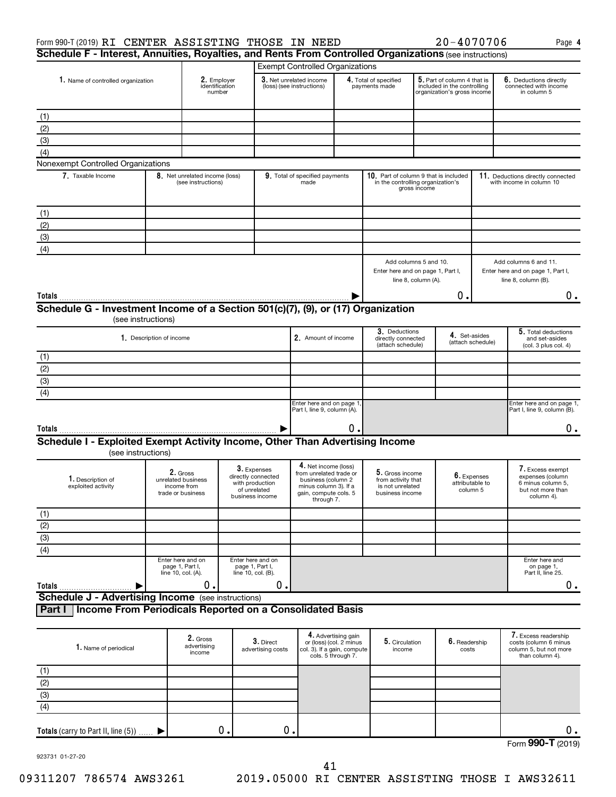| Cohodulo E Interest Annuities Develties and Dents Even Centrelled Organizations (ed. 1986) |      |
|--------------------------------------------------------------------------------------------|------|
| $20 - 4070706$<br>Form 990-T (2019) RI CENTER ASSISTING THOSE IN NEED                      | Page |

| Schedule F - Interest, Annuities, Royalties, and Rents From Controlled Organizations (see instructions) |                                                                    |                                                      |                                                                                         |                                                                                                                                       |    |                                                                              |                                                                                            |                                            |                                                                                              |
|---------------------------------------------------------------------------------------------------------|--------------------------------------------------------------------|------------------------------------------------------|-----------------------------------------------------------------------------------------|---------------------------------------------------------------------------------------------------------------------------------------|----|------------------------------------------------------------------------------|--------------------------------------------------------------------------------------------|--------------------------------------------|----------------------------------------------------------------------------------------------|
|                                                                                                         |                                                                    |                                                      |                                                                                         | <b>Exempt Controlled Organizations</b>                                                                                                |    |                                                                              |                                                                                            |                                            |                                                                                              |
| 1. Name of controlled organization                                                                      |                                                                    | 2. Employer<br>identification<br>number              |                                                                                         | 3. Net unrelated income<br>(loss) (see instructions)                                                                                  |    | 4. Total of specified<br>payments made                                       | 5. Part of column 4 that is<br>included in the controlling<br>organization's gross income  |                                            | 6. Deductions directly<br>connected with income<br>in column 5                               |
| (1)                                                                                                     |                                                                    |                                                      |                                                                                         |                                                                                                                                       |    |                                                                              |                                                                                            |                                            |                                                                                              |
| (2)                                                                                                     |                                                                    |                                                      |                                                                                         |                                                                                                                                       |    |                                                                              |                                                                                            |                                            |                                                                                              |
| (3)                                                                                                     |                                                                    |                                                      |                                                                                         |                                                                                                                                       |    |                                                                              |                                                                                            |                                            |                                                                                              |
| (4)                                                                                                     |                                                                    |                                                      |                                                                                         |                                                                                                                                       |    |                                                                              |                                                                                            |                                            |                                                                                              |
| Nonexempt Controlled Organizations                                                                      |                                                                    |                                                      |                                                                                         |                                                                                                                                       |    |                                                                              |                                                                                            |                                            |                                                                                              |
| 7. Taxable Income                                                                                       |                                                                    | 8. Net unrelated income (loss)<br>(see instructions) |                                                                                         | 9. Total of specified payments<br>made                                                                                                |    |                                                                              | 10. Part of column 9 that is included<br>in the controlling organization's<br>gross income |                                            | 11. Deductions directly connected<br>with income in column 10                                |
| (1)                                                                                                     |                                                                    |                                                      |                                                                                         |                                                                                                                                       |    |                                                                              |                                                                                            |                                            |                                                                                              |
| (2)                                                                                                     |                                                                    |                                                      |                                                                                         |                                                                                                                                       |    |                                                                              |                                                                                            |                                            |                                                                                              |
| (3)                                                                                                     |                                                                    |                                                      |                                                                                         |                                                                                                                                       |    |                                                                              |                                                                                            |                                            |                                                                                              |
| (4)                                                                                                     |                                                                    |                                                      |                                                                                         |                                                                                                                                       |    |                                                                              |                                                                                            |                                            |                                                                                              |
|                                                                                                         |                                                                    |                                                      |                                                                                         |                                                                                                                                       |    |                                                                              | Add columns 5 and 10.<br>Enter here and on page 1, Part I,<br>line 8, column (A).          |                                            | Add columns 6 and 11.<br>Enter here and on page 1, Part I,<br>line 8, column (B).            |
| Totals                                                                                                  |                                                                    |                                                      |                                                                                         |                                                                                                                                       |    |                                                                              | Ο.                                                                                         |                                            | $0$ .                                                                                        |
| Schedule G - Investment Income of a Section 501(c)(7), (9), or (17) Organization                        |                                                                    |                                                      |                                                                                         |                                                                                                                                       |    |                                                                              |                                                                                            |                                            |                                                                                              |
|                                                                                                         | (see instructions)                                                 |                                                      |                                                                                         |                                                                                                                                       |    |                                                                              |                                                                                            |                                            |                                                                                              |
|                                                                                                         | 1. Description of income                                           |                                                      |                                                                                         | 2. Amount of income                                                                                                                   |    | 3. Deductions<br>directly connected<br>(attach schedule)                     |                                                                                            | 4. Set-asides<br>(attach schedule)         | 5. Total deductions<br>and set-asides<br>(col. 3 plus col. 4)                                |
| (1)                                                                                                     |                                                                    |                                                      |                                                                                         |                                                                                                                                       |    |                                                                              |                                                                                            |                                            |                                                                                              |
| $\overline{2}$                                                                                          |                                                                    |                                                      |                                                                                         |                                                                                                                                       |    |                                                                              |                                                                                            |                                            |                                                                                              |
| $\overline{3}$                                                                                          |                                                                    |                                                      |                                                                                         |                                                                                                                                       |    |                                                                              |                                                                                            |                                            |                                                                                              |
| (4)                                                                                                     |                                                                    |                                                      |                                                                                         |                                                                                                                                       |    |                                                                              |                                                                                            |                                            |                                                                                              |
|                                                                                                         |                                                                    |                                                      |                                                                                         | Enter here and on page 1<br>Part I, line 9, column (A).                                                                               |    |                                                                              |                                                                                            |                                            | Enter here and on page 1,<br>Part I, line 9, column (B).                                     |
| Totals                                                                                                  |                                                                    |                                                      |                                                                                         |                                                                                                                                       | О. |                                                                              |                                                                                            |                                            | $0$ .                                                                                        |
| Schedule I - Exploited Exempt Activity Income, Other Than Advertising Income<br>(see instructions)      |                                                                    |                                                      |                                                                                         |                                                                                                                                       |    |                                                                              |                                                                                            |                                            |                                                                                              |
| 1. Description of<br>exploited activity                                                                 | 2. Gross<br>unrelated business<br>income from<br>trade or business |                                                      | 3. Expenses<br>directly connected<br>with production<br>of unrelated<br>business income | 4. Net income (loss)<br>from unrelated trade or<br>business (column 2<br>minus column 3). If a<br>gain, compute cols. 5<br>through 7. |    | 5. Gross income<br>from activity that<br>is not unrelated<br>business income |                                                                                            | 6. Expenses<br>attributable to<br>column 5 | 7. Excess exempt<br>expenses (column<br>6 minus column 5,<br>but not more than<br>column 4). |
|                                                                                                         |                                                                    |                                                      |                                                                                         |                                                                                                                                       |    |                                                                              |                                                                                            |                                            |                                                                                              |
| $rac{(1)}{(2)}$<br>(3)                                                                                  |                                                                    |                                                      |                                                                                         |                                                                                                                                       |    |                                                                              |                                                                                            |                                            |                                                                                              |
|                                                                                                         |                                                                    |                                                      |                                                                                         |                                                                                                                                       |    |                                                                              |                                                                                            |                                            |                                                                                              |
| $\overline{(4)}$                                                                                        |                                                                    |                                                      |                                                                                         |                                                                                                                                       |    |                                                                              |                                                                                            |                                            |                                                                                              |
|                                                                                                         | Enter here and on<br>page 1, Part I,<br>line 10, col. (A).         |                                                      | Enter here and on<br>page 1, Part I,<br>line 10, col. (B).                              |                                                                                                                                       |    |                                                                              |                                                                                            |                                            | Enter here and<br>on page 1,<br>Part II, line 25.                                            |

(see instructions) **Schedule J - Advertising Income** 9 **Part I Income From Periodicals Reported on a Consolidated Basis**

| 1. Name of periodical                  | 2. Gross<br>advertising<br>income | $3.$ Direct<br>advertising costs | 4. Advertising gain<br>or (loss) (col. 2 minus<br>col. 3). If a gain, compute<br>cols. 5 through 7. | 5. Circulation<br>income | $\boldsymbol{6}.$ Readership<br>costs | 7. Excess readership<br>costs (column 6 minus<br>column 5, but not more<br>than column 4). |
|----------------------------------------|-----------------------------------|----------------------------------|-----------------------------------------------------------------------------------------------------|--------------------------|---------------------------------------|--------------------------------------------------------------------------------------------|
| (1)                                    |                                   |                                  |                                                                                                     |                          |                                       |                                                                                            |
| (2)                                    |                                   |                                  |                                                                                                     |                          |                                       |                                                                                            |
| (3)                                    |                                   |                                  |                                                                                                     |                          |                                       |                                                                                            |
| (4)                                    |                                   |                                  |                                                                                                     |                          |                                       |                                                                                            |
|                                        |                                   |                                  |                                                                                                     |                          |                                       |                                                                                            |
| Totals (carry to Part II, line $(5)$ ) | о.                                |                                  |                                                                                                     |                          |                                       | $\sim$ $\sim$                                                                              |

Form (2019) **990-T**

**4**

923731 01-27-20

**Totals**

 $\begin{array}{ccccccc} 0. & \hspace{1.5cm} & 0. & \hspace{1.5cm} & \hspace{1.5cm} & \hspace{1.5cm} & \hspace{1.5cm} & \hspace{1.5cm} & \hspace{1.5cm} & \hspace{1.5cm} & \hspace{1.5cm} & \hspace{1.5cm} & \hspace{1.5cm} & \hspace{1.5cm} \end{array}$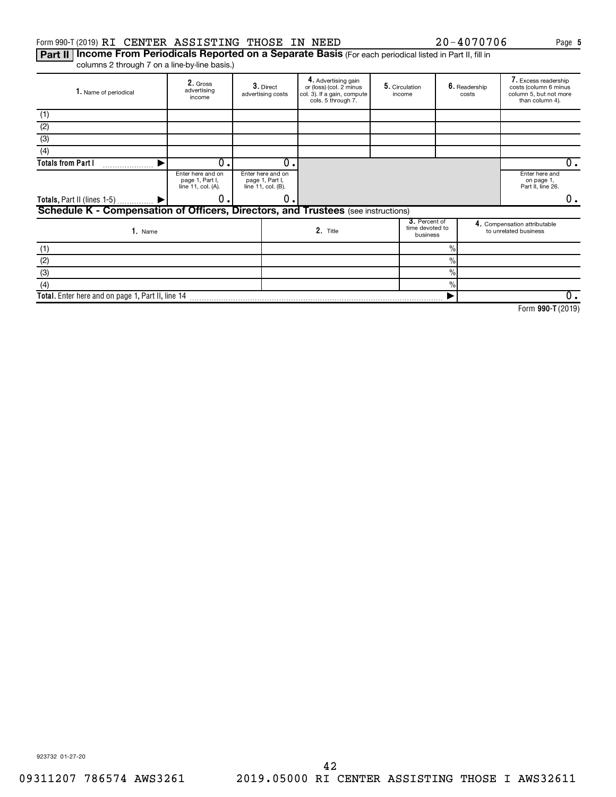#### Form 990-T (2019) RI CENTER ASSISTING THOSE IN NEED  $20-4070706$  Page

Part II | Income From Periodicals Reported on a Separate Basis (For each periodical listed in Part II, fill in columns 2 through 7 on a line-by-line basis.)

| 1. Name of periodical                                                             | 2. Gross<br>advertising<br>income                          |  | 3. Direct<br>advertising costs                             | 4. Advertising gain<br>or (loss) (col. 2 minus<br>col. 3). If a gain, compute<br>cols. 5 through 7. |  | 5. Circulation<br>income                     |               | 6. Readership<br>costs | 7. Excess readership<br>costs (column 6 minus<br>column 5, but not more<br>than column 4). |  |
|-----------------------------------------------------------------------------------|------------------------------------------------------------|--|------------------------------------------------------------|-----------------------------------------------------------------------------------------------------|--|----------------------------------------------|---------------|------------------------|--------------------------------------------------------------------------------------------|--|
| (1)                                                                               |                                                            |  |                                                            |                                                                                                     |  |                                              |               |                        |                                                                                            |  |
| (2)                                                                               |                                                            |  |                                                            |                                                                                                     |  |                                              |               |                        |                                                                                            |  |
| (3)                                                                               |                                                            |  |                                                            |                                                                                                     |  |                                              |               |                        |                                                                                            |  |
| (4)                                                                               |                                                            |  |                                                            |                                                                                                     |  |                                              |               |                        |                                                                                            |  |
| <b>Totals from Part I</b>                                                         | 0.                                                         |  | $\Omega$                                                   |                                                                                                     |  |                                              |               |                        | 0.                                                                                         |  |
|                                                                                   | Enter here and on<br>page 1, Part I,<br>line 11, col. (A). |  | Enter here and on<br>page 1, Part I,<br>line 11, col. (B). |                                                                                                     |  |                                              |               |                        | Enter here and<br>on page 1,<br>Part II, line 26.                                          |  |
| Totals, Part II (lines 1-5)  ▶                                                    | 0.                                                         |  | 0                                                          |                                                                                                     |  |                                              |               |                        | 0.                                                                                         |  |
| Schedule K - Compensation of Officers, Directors, and Trustees (see instructions) |                                                            |  |                                                            |                                                                                                     |  |                                              |               |                        |                                                                                            |  |
| 1. Name                                                                           |                                                            |  | 2. Title                                                   |                                                                                                     |  | 3. Percent of<br>time devoted to<br>business |               |                        | 4. Compensation attributable<br>to unrelated business                                      |  |
| (1)                                                                               |                                                            |  |                                                            |                                                                                                     |  |                                              | $\frac{9}{6}$ |                        |                                                                                            |  |
| (2)                                                                               |                                                            |  |                                                            |                                                                                                     |  |                                              | $\%$          |                        |                                                                                            |  |
| (3)                                                                               |                                                            |  |                                                            |                                                                                                     |  |                                              | $\frac{0}{0}$ |                        |                                                                                            |  |
| (4)                                                                               |                                                            |  |                                                            |                                                                                                     |  |                                              | $\frac{0}{0}$ |                        |                                                                                            |  |
| Total. Enter here and on page 1, Part II, line 14                                 |                                                            |  |                                                            |                                                                                                     |  |                                              |               |                        | 0.                                                                                         |  |

**990-T**  Form (2019)

**5**

923732 01-27-20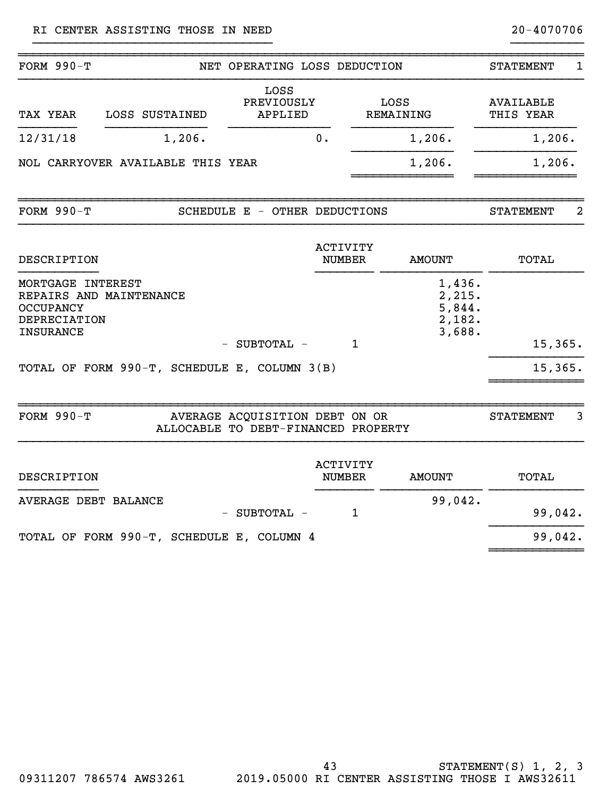| FORM $990-T$                                                                                                |  | NET OPERATING LOSS DEDUCTION                                          |                                  |                          |                                                | <b>STATEMENT</b>              | $\mathbf{1}$ |  |
|-------------------------------------------------------------------------------------------------------------|--|-----------------------------------------------------------------------|----------------------------------|--------------------------|------------------------------------------------|-------------------------------|--------------|--|
| TAX YEAR<br>LOSS SUSTAINED                                                                                  |  | LOSS<br>PREVIOUSLY<br><b>APPLIED</b>                                  |                                  | LOSS<br><b>REMAINING</b> |                                                | <b>AVAILABLE</b><br>THIS YEAR |              |  |
| 12/31/18<br>1,206.                                                                                          |  |                                                                       | 0.                               |                          | 1,206.                                         | 1,206.                        |              |  |
| NOL CARRYOVER AVAILABLE THIS YEAR                                                                           |  |                                                                       |                                  |                          | 1,206.                                         | 1,206.                        |              |  |
| <b>FORM 990-T</b>                                                                                           |  | SCHEDULE E - OTHER DEDUCTIONS                                         |                                  |                          |                                                | <b>STATEMENT</b>              | 2            |  |
| DESCRIPTION                                                                                                 |  |                                                                       | <b>ACTIVITY</b><br><b>NUMBER</b> |                          | <b>AMOUNT</b>                                  | TOTAL                         |              |  |
| MORTGAGE INTEREST<br>REPAIRS AND MAINTENANCE<br><b>OCCUPANCY</b><br><b>DEPRECIATION</b><br><b>INSURANCE</b> |  |                                                                       |                                  |                          | 1,436.<br>2,215.<br>5,844.<br>2,182.<br>3,688. |                               |              |  |
|                                                                                                             |  | - SUBTOTAL -                                                          |                                  | $\mathbf{1}$             |                                                | 15, 365.                      |              |  |
| TOTAL OF FORM 990-T, SCHEDULE E, COLUMN 3(B)                                                                |  |                                                                       |                                  |                          |                                                | 15,365.                       |              |  |
| <b>FORM 990-T</b>                                                                                           |  | AVERAGE ACQUISITION DEBT ON OR<br>ALLOCABLE TO DEBT-FINANCED PROPERTY |                                  |                          |                                                | <b>STATEMENT</b>              | 3            |  |
| DESCRIPTION                                                                                                 |  |                                                                       | <b>ACTIVITY</b><br><b>NUMBER</b> |                          | <b>AMOUNT</b>                                  | <b>TOTAL</b>                  |              |  |
| <b>AVERAGE DEBT BALANCE</b>                                                                                 |  | - SUBTOTAL -                                                          |                                  | $\mathbf{1}$             | 99,042.                                        | 99,042.                       |              |  |
| TOTAL OF FORM 990-T, SCHEDULE E, COLUMN 4                                                                   |  |                                                                       |                                  |                          |                                                | 99,042.                       |              |  |
|                                                                                                             |  |                                                                       |                                  |                          |                                                |                               |              |  |

}}}}}}}}}}}}}}}}}}}}}}}}}}}}}}}}} }}}}}}}}}}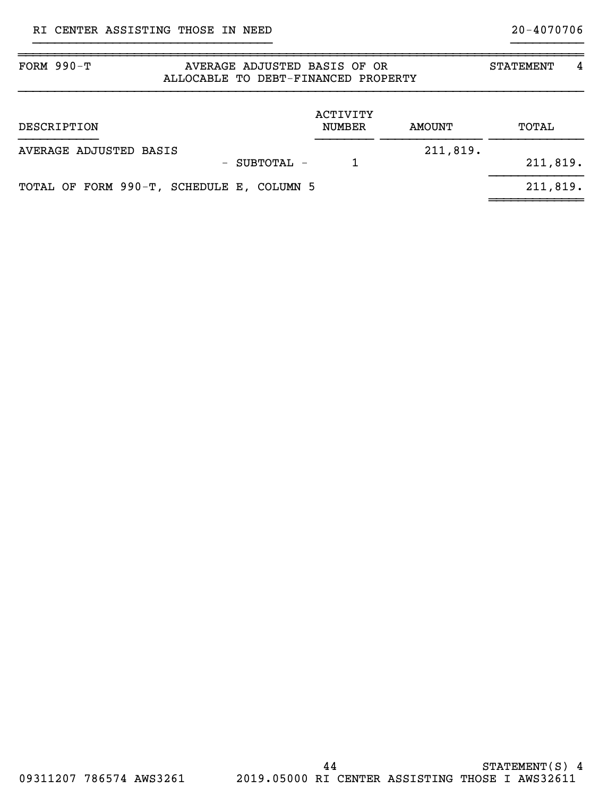| FORM $990-T$<br>AVERAGE ADJUSTED BASIS OF OR<br>ALLOCABLE TO DEBT-FINANCED PROPERTY | <b>STATEMENT</b>          | 4             |          |  |
|-------------------------------------------------------------------------------------|---------------------------|---------------|----------|--|
| DESCRIPTION                                                                         | ACTIVITY<br><b>NUMBER</b> | <b>AMOUNT</b> | TOTAL    |  |
| AVERAGE ADJUSTED BASIS<br>$-$ SUBTOTAL $-$                                          |                           | 211,819.      | 211,819. |  |
| TOTAL OF FORM 990-T, SCHEDULE E, COLUMN 5                                           |                           |               | 211,819. |  |

~~~~~~~~~~~~~~~~~~~~~~~~~~~~~~~~~~~~~~~~~~~~~~~~~~~~~~~~~~~~~~~~~~~~~~~~~~~~~~

}}}}}}}}}}}}}}}}}}}}}}}}}}}}}}}}} }}}}}}}}}}